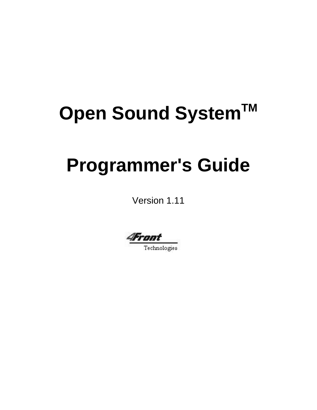# **Open Sound SystemTM**

# **Programmer's Guide**

Version 1.11

4Front

Technologies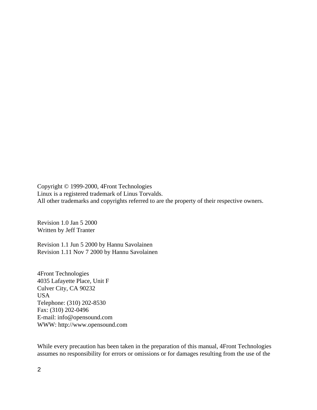Copyright © 1999-2000, 4Front Technologies Linux is a registered trademark of Linus Torvalds. All other trademarks and copyrights referred to are the property of their respective owners.

Revision 1.0 Jan 5 2000 Written by Jeff Tranter

Revision 1.1 Jun 5 2000 by Hannu Savolainen Revision 1.11 Nov 7 2000 by Hannu Savolainen

4Front Technologies 4035 Lafayette Place, Unit F Culver City, CA 90232 USA Telephone: (310) 202-8530 Fax: (310) 202-0496 E-mail: info@opensound.com WWW: http://www.opensound.com

While every precaution has been taken in the preparation of this manual, 4Front Technologies assumes no responsibility for errors or omissions or for damages resulting from the use of the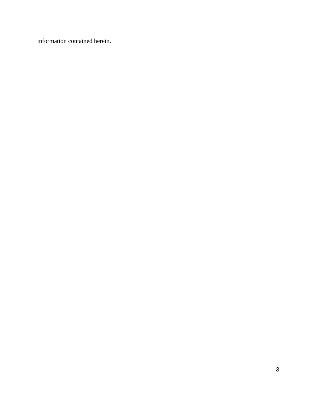information contained herein.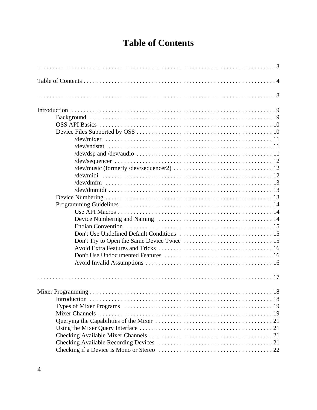# **Table of Contents**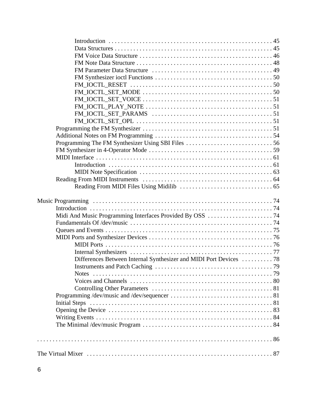| Differences Between Internal Synthesizer and MIDI Port Devices  78 |  |
|--------------------------------------------------------------------|--|
|                                                                    |  |
|                                                                    |  |
|                                                                    |  |
|                                                                    |  |
|                                                                    |  |
|                                                                    |  |
|                                                                    |  |
|                                                                    |  |
|                                                                    |  |
|                                                                    |  |
|                                                                    |  |
|                                                                    |  |
|                                                                    |  |
|                                                                    |  |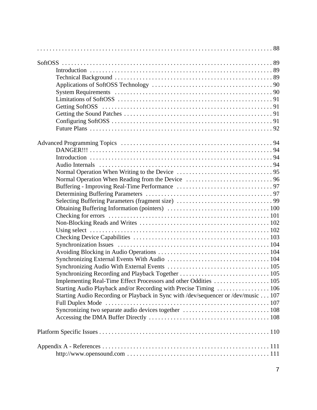| Implementing Real-Time Effect Processors and other Oddities  105                   |  |
|------------------------------------------------------------------------------------|--|
|                                                                                    |  |
| Starting Audio Recording or Playback in Sync with /dev/sequencer or /dev/music 107 |  |
|                                                                                    |  |
|                                                                                    |  |
|                                                                                    |  |
|                                                                                    |  |
|                                                                                    |  |
|                                                                                    |  |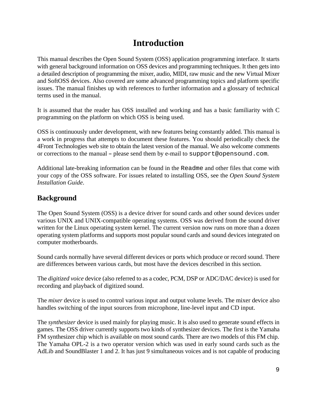# **Introduction**

This manual describes the Open Sound System (OSS) application programming interface. It starts with general background information on OSS devices and programming techniques. It then gets into a detailed description of programming the mixer, audio, MIDI, raw music and the new Virtual Mixer and SoftOSS devices. Also covered are some advanced programming topics and platform specific issues. The manual finishes up with references to further information and a glossary of technical terms used in the manual.

It is assumed that the reader has OSS installed and working and has a basic familiarity with C programming on the platform on which OSS is being used.

OSS is continuously under development, with new features being constantly added. This manual is a work in progress that attempts to document these features. You should periodically check the 4Front Technologies web site to obtain the latest version of the manual. We also welcome comments or corrections to the manual - please send them by e-mail to support@opensound.com.

Additional late-breaking information can be found in the Readme and other files that come with your copy of the OSS software. For issues related to installing OSS, see the *Open Sound System Installation Guide*.

## **Background**

The Open Sound System (OSS) is a device driver for sound cards and other sound devices under various UNIX and UNIX-compatible operating systems. OSS was derived from the sound driver written for the Linux operating system kernel. The current version now runs on more than a dozen operating system platforms and supports most popular sound cards and sound devices integrated on computer motherboards.

Sound cards normally have several different devices or ports which produce or record sound. There are differences between various cards, but most have the devices described in this section.

The *digitized voice* device (also referred to as a codec, PCM, DSP or ADC/DAC device) is used for recording and playback of digitized sound.

The *mixer* device is used to control various input and output volume levels. The mixer device also handles switching of the input sources from microphone, line-level input and CD input.

The *synthesizer* device is used mainly for playing music. It is also used to generate sound effects in games. The OSS driver currently supports two kinds of synthesizer devices. The first is the Yamaha FM synthesizer chip which is available on most sound cards. There are two models of this FM chip. The Yamaha OPL-2 is a two operator version which was used in early sound cards such as the AdLib and SoundBlaster 1 and 2. It has just 9 simultaneous voices and is not capable of producing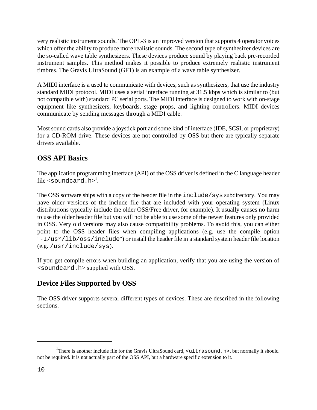very realistic instrument sounds. The OPL-3 is an improved version that supports 4 operator voices which offer the ability to produce more realistic sounds. The second type of synthesizer devices are the so-called wave table synthesizers. These devices produce sound by playing back pre-recorded instrument samples. This method makes it possible to produce extremely realistic instrument timbres. The Gravis UltraSound (GF1) is an example of a wave table synthesizer.

A MIDI interface is a used to communicate with devices, such as synthesizers, that use the industry standard MIDI protocol. MIDI uses a serial interface running at 31.5 kbps which is similar to (but not compatible with) standard PC serial ports. The MIDI interface is designed to work with on-stage equipment like synthesizers, keyboards, stage props, and lighting controllers. MIDI devices communicate by sending messages through a MIDI cable.

Most sound cards also provide a joystick port and some kind of interface (IDE, SCSI, or proprietary) for a CD-ROM drive. These devices are not controlled by OSS but there are typically separate drivers available.

## **OSS API Basics**

The application programming interface (API) of the OSS driver is defined in the C language header file  $\langle$  soundcard.h $>^1$ .

The OSS software ships with a copy of the header file in the include/sys subdirectory. You may have older versions of the include file that are included with your operating system (Linux distributions typically include the older OSS/Free driver, for example). It usually causes no harm to use the older header file but you will not be able to use some of the newer features only provided in OSS. Very old versions may also cause compatibility problems. To avoid this, you can either point to the OSS header files when compiling applications (e.g. use the compile option "-I/usr/lib/oss/include") or install the header file in a standard system header file location (e.g. /usr/include/sys).

If you get compile errors when building an application, verify that you are using the version of <soundcard.h> supplied with OSS.

## **Device Files Supported by OSS**

The OSS driver supports several different types of devices. These are described in the following sections.

<sup>&</sup>lt;sup>1</sup>There is another include file for the Gravis UltraSound card,  $\lt$ ultrasound.h>, but normally it should not be required. It is not actually part of the OSS API, but a hardware specific extension to it.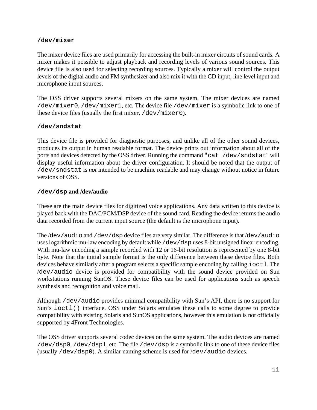#### **/dev/mixer**

The mixer device files are used primarily for accessing the built-in mixer circuits of sound cards. A mixer makes it possible to adjust playback and recording levels of various sound sources. This device file is also used for selecting recording sources. Typically a mixer will control the output levels of the digital audio and FM synthesizer and also mix it with the CD input, line level input and microphone input sources.

The OSS driver supports several mixers on the same system. The mixer devices are named /dev/mixer0, /dev/mixer1, etc. The device file /dev/mixer is a symbolic link to one of these device files (usually the first mixer, /dev/mixer0).

#### **/dev/sndstat**

This device file is provided for diagnostic purposes, and unlike all of the other sound devices, produces its output in human readable format. The device prints out information about all of the ports and devices detected by the OSS driver. Running the command "cat /dev/sndstat" will display useful information about the driver configuration. It should be noted that the output of /dev/sndstat is *not* intended to be machine readable and may change without notice in future versions of OSS.

#### **/dev/dsp and /dev/audio**

These are the main device files for digitized voice applications. Any data written to this device is played back with the DAC/PCM/DSP device of the sound card. Reading the device returns the audio data recorded from the current input source (the default is the microphone input).

The /dev/audio and /dev/dsp device files are very similar. The difference is that /dev/audio uses logarithmic mu-law encoding by default while /dev/dsp uses 8-bit unsigned linear encoding. With mu-law encoding a sample recorded with 12 or 16-bit resolution is represented by one 8-bit byte. Note that the initial sample format is the only difference between these device files. Both devices behave similarly after a program selects a specific sample encoding by calling  $i$  octl. The /dev/audio device is provided for compatibility with the sound device provided on Sun workstations running SunOS. These device files can be used for applications such as speech synthesis and recognition and voice mail.

Although /dev/audio provides minimal compatibility with Sun's API, there is no support for Sun's ioctl() interface. OSS under Solaris emulates these calls to some degree to provide compatibility with existing Solaris and SunOS applications, however this emulation is not officially supported by 4Front Technologies.

The OSS driver supports several codec devices on the same system. The audio devices are named /dev/dsp0, /dev/dsp1, etc. The file /dev/dsp is a symbolic link to one of these device files (usually  $/$ dev $/$ dsp0). A similar naming scheme is used for  $/$ dev $/$ audio devices.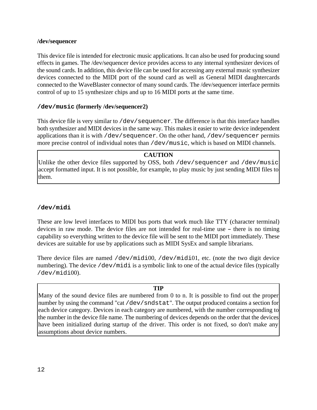#### **/dev/sequencer**

This device file is intended for electronic music applications. It can also be used for producing sound effects in games. The /dev/sequencer device provides access to any internal synthesizer devices of the sound cards. In addition, this device file can be used for accessing any external music synthesizer devices connected to the MIDI port of the sound card as well as General MIDI daughtercards connected to the WaveBlaster connector of many sound cards. The /dev/sequencer interface permits control of up to 15 synthesizer chips and up to 16 MIDI ports at the same time.

#### **/dev/music (formerly /dev/sequencer2)**

This device file is very similar to /dev/sequencer. The difference is that this interface handles both synthesizer and MIDI devices in the same way. This makes it easier to write device independent applications than it is with  $/$  dev/sequencer. On the other hand,  $/$  dev/sequencer permits more precise control of individual notes than /dev/music, which is based on MIDI channels.

#### **CAUTION**

Unlike the other device files supported by OSS, both /dev/sequencer and /dev/music accept formatted input. It is not possible, for example, to play music by just sending MIDI files to them.

#### **/dev/midi**

These are low level interfaces to MIDI bus ports that work much like TTY (character terminal) devices in raw mode. The device files are not intended for real-time use – there is no timing capability so everything written to the device file will be sent to the MIDI port immediately. These devices are suitable for use by applications such as MIDI SysEx and sample librarians.

There device files are named  $/$ dev $/$ midi00,  $/$ dev $/$ midi01, etc. (note the two digit device numbering). The device /dev/midi is a symbolic link to one of the actual device files (typically  $/\text{dev/midi}(0)$ .

#### **TIP**

Many of the sound device files are numbered from 0 to n. It is possible to find out the proper number by using the command "cat /dev/sndstat". The output produced contains a section for each device category. Devices in each category are numbered, with the number corresponding to the number in the device file name. The numbering of devices depends on the order that the devices have been initialized during startup of the driver. This order is not fixed, so don't make any assumptions about device numbers.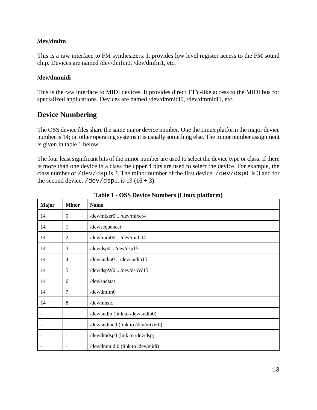#### **/dev/dmfm**

This is a raw interface to FM synthesizers. It provides low level register access to the FM sound chip. Devices are named /dev/dmfm0, /dev/dmfm1, etc.

#### **/dev/dmmidi**

This is the raw interface to MIDI devices. It provides direct TTY-like access to the MIDI bus for specialized applications. Devices are named /dev/dmmidi0, /dev/dmmidi1, etc.

## **Device Numbering**

The OSS device files share the same major device number. One the Linux platform the major device number is 14; on other operating systems it is usually something else. The minor number assignment is given in table 1 below.

The four least significant bits of the minor number are used to select the device type or class. If there is more than one device in a class the upper 4 bits are used to select the device. For example, the class number of /dev/dsp is 3. The minor number of the first device, /dev/dsp0, is 3 and for the second device,  $/$  dev $/$ dsp1, is 19 (16 + 3).

| <b>Major</b>             | <b>Minor</b>             | <b>Name</b>                            |
|--------------------------|--------------------------|----------------------------------------|
| 14                       | $\overline{0}$           | /dev/mixer0 /dev/mixer4                |
| 14                       | 1                        | /dev/sequencer                         |
| 14                       | 2                        | /dev/midi00 /dev/midi04                |
| 14                       | 3                        | /dev/dsp0 /dev/dsp15                   |
| 14                       | $\overline{4}$           | $/$ dev $/$ audio0 $/$ dev $/$ audio15 |
| 14                       | 5                        | /dev/dspW0 /dev/dspW15                 |
| 14                       | 6                        | /dev/sndstat                           |
| 14                       | 7                        | $/$ dev $/$ dmfm $0$                   |
| 14                       | 8                        | /dev/music                             |
| $\overline{\phantom{a}}$ | ۰                        | /dev/audio (link to /dev/audio0)       |
|                          | $\overline{\phantom{0}}$ | /dev/audioctl (link to /dev/mixer0)    |
|                          | $\overline{a}$           | /dev/dmdsp0 (link to /dev/dsp)         |
|                          | $\overline{a}$           | /dev/dmmidi0 (link to /dev/midi)       |

**Table 1 - OSS Device Numbers (Linux platform)**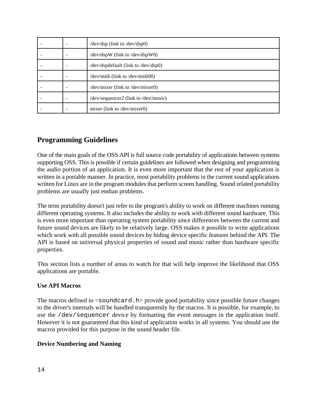|  | $/$ dev $/$ dsp $($ link to $/$ dev $/$ dsp $($ 0 $)$ |
|--|-------------------------------------------------------|
|  | /dev/dspW (link to /dev/dspW0)                        |
|  | /dev/dspdefault (link to /dev/dsp0)                   |
|  | /dev/midi (link to /dev/midi00)                       |
|  | /dev/mixer (link to /dev/mixer0)                      |
|  | $dev/sequence2$ (link to $dev/music$ )                |
|  | mixer (link to /dev/mixer0)                           |

## **Programming Guidelines**

One of the main goals of the OSS API is full source code portability of applications between systems supporting OSS. This is possible if certain guidelines are followed when designing and programming the audio portion of an application. It is even more important that the rest of your application is written in a portable manner. In practice, most portability problems in the current sound applications written for Linux are in the program modules that perform screen handling. Sound related portability problems are usually just endian problems.

The term portability doesn't just refer to the program's ability to work on different machines running different operating systems. It also includes the ability to work with different sound hardware. This is even more important than operating system portability since differences between the current and future sound devices are likely to be relatively large. OSS makes it possible to write applications which work with all possible sound devices by hiding device specific features behind the API. The API is based on universal physical properties of sound and music rather than hardware specific properties.

This section lists a number of areas to watch for that will help improve the likelihood that OSS applications are portable.

#### **Use API Macros**

The macros defined in  $\le$ soundcard.h> provide good portability since possible future changes to the driver's internals will be handled transparently by the macros. It is possible, for example, to use the /dev/sequencer device by formatting the event messages in the application itself. However it is not guaranteed that this kind of application works in all systems. You should use the macros provided for this purpose in the sound header file.

#### **Device Numbering and Naming**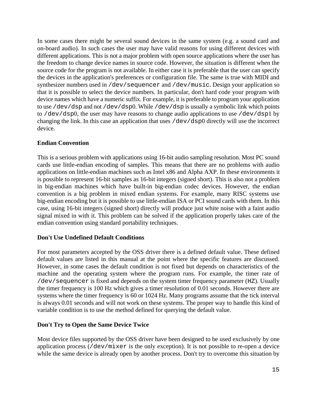In some cases there might be several sound devices in the same system (e.g. a sound card and on-board audio). In such cases the user may have valid reasons for using different devices with different applications. This is not a major problem with open source applications where the user has the freedom to change device names in source code. However, the situation is different when the source code for the program is not available. In either case it is preferable that the user can specify the devices in the application's preferences or configuration file. The same is true with MIDI and synthesizer numbers used in /dev/sequencer and /dev/music. Design your application so that it is possible to select the device numbers. In particular, don't hard code your program with device names which have a numeric suffix. For example, it is preferable to program your application to use /dev/dsp and not /dev/dsp0. While /dev/dsp is usually a symbolic link which points to /dev/dsp0, the user may have reasons to change audio applications to use /dev/dsp1 by changing the link. In this case an application that uses /dev/dsp0 directly will use the incorrect device.

#### **Endian Convention**

This is a serious problem with applications using 16-bit audio sampling resolution. Most PC sound cards use little-endian encoding of samples. This means that there are no problems with audio applications on little-endian machines such as Intel x86 and Alpha AXP. In these environments it is possible to represent 16-bit samples as 16-bit integers (signed short). This is also not a problem in big-endian machines which have built-in big-endian codec devices. However, the endian convention is a big problem in mixed endian systems. For example, many RISC systems use big-endian encoding but it is possible to use little-endian ISA or PCI sound cards with them. In this case, using 16-bit integers (signed short) directly will produce just white noise with a faint audio signal mixed in with it. This problem can be solved if the application properly takes care of the endian convention using standard portability techniques.

#### **Don't Use Undefined Default Conditions**

For most parameters accepted by the OSS driver there is a defined default value. These defined default values are listed in this manual at the point where the specific features are discussed. However, in some cases the default condition is not fixed but depends on characteristics of the machine and the operating system where the program runs. For example, the timer rate of /dev/sequencer is fixed and depends on the system timer frequency parameter (HZ). Usually the timer frequency is 100 Hz which gives a timer resolution of 0.01 seconds. However there are systems where the timer frequency is 60 or 1024 Hz. Many programs assume that the tick interval is always 0.01 seconds and will not work on these systems. The proper way to handle this kind of variable condition is to use the method defined for querying the default value.

#### **Don't Try to Open the Same Device Twice**

Most device files supported by the OSS driver have been designed to be used exclusively by one application process (/dev/mixer is the only exception). It is not possible to re-open a device while the same device is already open by another process. Don't try to overcome this situation by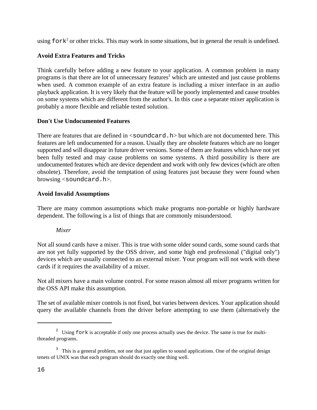using  $f \circ r k^2$  or other tricks. This may work in some situations, but in general the result is undefined.

#### **Avoid Extra Features and Tricks**

Think carefully before adding a new feature to your application. A common problem in many programs is that there are lot of unnecessary features<sup>3</sup> which are untested and just cause problems when used. A common example of an extra feature is including a mixer interface in an audio playback application. It is very likely that the feature will be poorly implemented and cause troubles on some systems which are different from the author's. In this case a separate mixer application is probably a more flexible and reliable tested solution.

#### **Don't Use Undocumented Features**

There are features that are defined in  $\le$ soundcard.h> but which are not documented here. This features are left undocumented for a reason. Usually they are obsolete features which are no longer supported and will disappear in future driver versions. Some of them are features which have not yet been fully tested and may cause problems on some systems. A third possibility is there are undocumented features which are device dependent and work with only few devices (which are often obsolete). Therefore, avoid the temptation of using features just because they were found when browsing <soundcard.h>.

#### **Avoid Invalid Assumptions**

There are many common assumptions which make programs non-portable or highly hardware dependent. The following is a list of things that are commonly misunderstood.

#### *Mixer*

Not all sound cards have a mixer. This is true with some older sound cards, some sound cards that are not yet fully supported by the OSS driver, and some high end professional ("digital only") devices which are usually connected to an external mixer. Your program will not work with these cards if it requires the availability of a mixer.

Not all mixers have a main volume control. For some reason almost all mixer programs written for the OSS API make this assumption.

The set of available mixer controls is not fixed, but varies between devices. Your application should query the available channels from the driver before attempting to use them (alternatively the

<sup>&</sup>lt;sup>2</sup> Using fork is acceptable if only one process actually uses the device. The same is true for multithreaded programs.

<sup>&</sup>lt;sup>3</sup> This is a general problem, not one that just applies to sound applications. One of the original design tenets of UNIX was that each program should do exactly one thing well.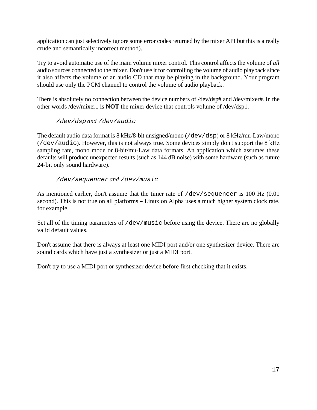application can just selectively ignore some error codes returned by the mixer API but this is a really crude and semantically incorrect method).

Try to avoid automatic use of the main volume mixer control. This control affects the volume of *all* audio sources connected to the mixer. Don't use it for controlling the volume of audio playback since it also affects the volume of an audio CD that may be playing in the background. Your program should use only the PCM channel to control the volume of audio playback.

There is absolutely no connection between the device numbers of /dev/dsp# and /dev/mixer#. In the other words /dev/mixer1 is **NOT** the mixer device that controls volume of /dev/dsp1.

/dev/dsp *and* /dev/audio

The default audio data format is 8 kHz/8-bit unsigned/mono (/dev/dsp) or 8 kHz/mu-Law/mono (/dev/audio). However, this is not always true. Some devices simply don't support the 8 kHz sampling rate, mono mode or 8-bit/mu-Law data formats. An application which assumes these defaults will produce unexpected results (such as 144 dB noise) with some hardware (such as future 24-bit only sound hardware).

#### /dev/sequencer *and* /dev/music

As mentioned earlier, don't assume that the timer rate of /dev/sequencer is 100 Hz (0.01 second). This is not true on all platforms – Linux on Alpha uses a much higher system clock rate, for example.

Set all of the timing parameters of /dev/music before using the device. There are no globally valid default values.

Don't assume that there is always at least one MIDI port and/or one synthesizer device. There are sound cards which have just a synthesizer or just a MIDI port.

Don't try to use a MIDI port or synthesizer device before first checking that it exists.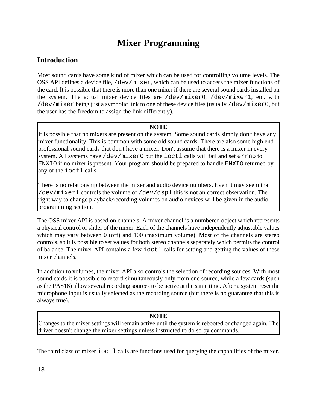# **Mixer Programming**

## **Introduction**

Most sound cards have some kind of mixer which can be used for controlling volume levels. The OSS API defines a device file, /dev/mixer, which can be used to access the mixer functions of the card. It is possible that there is more than one mixer if there are several sound cards installed on the system. The actual mixer device files are /dev/mixer0, /dev/mixer1, etc. with /dev/mixer being just a symbolic link to one of these device files (usually /dev/mixer0, but the user has the freedom to assign the link differently).

#### **NOTE**

It is possible that no mixers are present on the system. Some sound cards simply don't have any mixer functionality. This is common with some old sound cards. There are also some high end professional sound cards that don't have a mixer. Don't assume that there is a mixer in every system. All systems have /dev/mixer0 but the ioctl calls will fail and set errno to ENXIO if no mixer is present. Your program should be prepared to handle ENXIO returned by any of the ioctl calls.

There is no relationship between the mixer and audio device numbers. Even it may seem that /dev/mixer1 controls the volume of /dev/dsp1 this is not an correct observation. The right way to change playback/recording volumes on audio devices will be given in the audio programming section.

The OSS mixer API is based on channels. A mixer channel is a numbered object which represents a physical control or slider of the mixer. Each of the channels have independently adjustable values which may vary between 0 (off) and 100 (maximum volume). Most of the channels are stereo controls, so it is possible to set values for both stereo channels separately which permits the control of balance. The mixer API contains a few ioctl calls for setting and getting the values of these mixer channels.

In addition to volumes, the mixer API also controls the selection of recording sources. With most sound cards it is possible to record simultaneously only from one source, while a few cards (such as the PAS16) allow several recording sources to be active at the same time. After a system reset the microphone input is usually selected as the recording source (but there is no guarantee that this is always true).

#### **NOTE**

Changes to the mixer settings will remain active until the system is rebooted or changed again. The driver doesn't change the mixer settings unless instructed to do so by commands.

The third class of mixer ioctl calls are functions used for querying the capabilities of the mixer.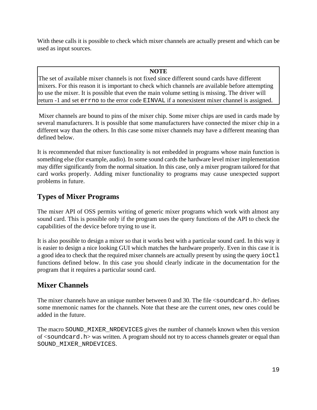With these calls it is possible to check which mixer channels are actually present and which can be used as input sources.

#### **NOTE**

The set of available mixer channels is not fixed since different sound cards have different mixers. For this reason it is important to check which channels are available before attempting to use the mixer. It is possible that even the main volume setting is missing. The driver will return -1 and set errno to the error code EINVAL if a nonexistent mixer channel is assigned.

 Mixer channels are bound to pins of the mixer chip. Some mixer chips are used in cards made by several manufacturers. It is possible that some manufacturers have connected the mixer chip in a different way than the others. In this case some mixer channels may have a different meaning than defined below.

It is recommended that mixer functionality is not embedded in programs whose main function is something else (for example, audio). In some sound cards the hardware level mixer implementation may differ significantly from the normal situation. In this case, only a mixer program tailored for that card works properly. Adding mixer functionality to programs may cause unexpected support problems in future.

## **Types of Mixer Programs**

The mixer API of OSS permits writing of generic mixer programs which work with almost any sound card. This is possible only if the program uses the query functions of the API to check the capabilities of the device before trying to use it.

It is also possible to design a mixer so that it works best with a particular sound card. In this way it is easier to design a nice looking GUI which matches the hardware properly. Even in this case it is a good idea to check that the required mixer channels are actually present by using the query ioctl functions defined below. In this case you should clearly indicate in the documentation for the program that it requires a particular sound card.

## **Mixer Channels**

The mixer channels have an unique number between 0 and 30. The file  $\leq$ soundcard.h  $>$  defines some mnemonic names for the channels. Note that these are the current ones, new ones could be added in the future.

The macro SOUND\_MIXER\_NRDEVICES gives the number of channels known when this version of <soundcard.h> was written. A program should not try to access channels greater or equal than SOUND\_MIXER\_NRDEVICES.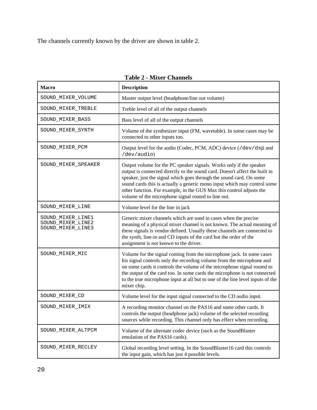The channels currently known by the driver are shown in table 2.

| <b>Macro</b>                                                | <b>Description</b>                                                                                                                                                                                                                                                                                                                                                                                                                   |
|-------------------------------------------------------------|--------------------------------------------------------------------------------------------------------------------------------------------------------------------------------------------------------------------------------------------------------------------------------------------------------------------------------------------------------------------------------------------------------------------------------------|
| SOUND_MIXER_VOLUME                                          | Master output level (headphone/line out volume)                                                                                                                                                                                                                                                                                                                                                                                      |
| SOUND_MIXER_TREBLE                                          | Treble level of all of the output channels                                                                                                                                                                                                                                                                                                                                                                                           |
| SOUND_MIXER_BASS                                            | Bass level of all of the output channels                                                                                                                                                                                                                                                                                                                                                                                             |
| SOUND_MIXER_SYNTH                                           | Volume of the synthesizer input (FM, wavetable). In some cases may be<br>connected to other inputs too.                                                                                                                                                                                                                                                                                                                              |
| SOUND_MIXER_PCM                                             | Output level for the audio (Codec, PCM, ADC) device (/dev/dsp and<br>/dev/audio)                                                                                                                                                                                                                                                                                                                                                     |
| SOUND_MIXER_SPEAKER                                         | Output volume for the PC speaker signals. Works only if the speaker<br>output is connected directly to the sound card. Doesn't affect the built in<br>speaker, just the signal which goes through the sound card. On some<br>sound cards this is actually a generic mono input which may control some<br>other function. For example, in the GUS Max this control adjusts the<br>volume of the microphone signal routed to line out. |
| SOUND_MIXER_LINE                                            | Volume level for the line in jack                                                                                                                                                                                                                                                                                                                                                                                                    |
| SOUND_MIXER_LINE1<br>SOUND_MIXER_LINE2<br>SOUND_MIXER_LINE3 | Generic mixer channels which are used in cases when the precise<br>meaning of a physical mixer channel is not known. The actual meaning of<br>these signals is vendor defined. Usually these channels are connected to<br>the synth, line-in and CD inputs of the card but the order of the<br>assignment is not known to the driver.                                                                                                |
| SOUND_MIXER_MIC                                             | Volume for the signal coming from the microphone jack. In some cases<br>his signal controls only the recording volume from the microphone and<br>on some cards it controls the volume of the microphone signal routed to<br>the output of the card too. In some cards the microphone is not connected<br>to the true microphone input at all but to one of the line level inputs of the<br>mixer chip.                               |
| SOUND_MIXER_CD                                              | Volume level for the input signal connected to the CD audio input.                                                                                                                                                                                                                                                                                                                                                                   |
| SOUND_MIXER_IMIX                                            | A recording monitor channel on the PAS16 and some other cards. It<br>controls the output (headphone jack) volume of the selected recording<br>sources while recording. This channel only has effect when recording.                                                                                                                                                                                                                  |
| SOUND_MIXER_ALTPCM                                          | Volume of the alternate codec device (such as the SoundBlaster<br>emulation of the PAS16 cards).                                                                                                                                                                                                                                                                                                                                     |
| SOUND_MIXER_RECLEV                                          | Global recording level setting. In the SoundBlaster16 card this controls<br>the input gain, which has just 4 possible levels.                                                                                                                                                                                                                                                                                                        |

| <b>Table 2 - Mixer Channels</b> |
|---------------------------------|
|                                 |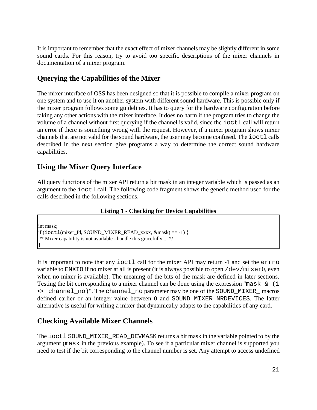It is important to remember that the exact effect of mixer channels may be slightly different in some sound cards. For this reason, try to avoid too specific descriptions of the mixer channels in documentation of a mixer program.

## **Querying the Capabilities of the Mixer**

The mixer interface of OSS has been designed so that it is possible to compile a mixer program on one system and to use it on another system with different sound hardware. This is possible only if the mixer program follows some guidelines. It has to query for the hardware configuration before taking any other actions with the mixer interface. It does no harm if the program tries to change the volume of a channel without first querying if the channel is valid, since the  $i$ octl call will return an error if there is something wrong with the request. However, if a mixer program shows mixer channels that are not valid for the sound hardware, the user may become confused. The ioctl calls described in the next section give programs a way to determine the correct sound hardware capabilities.

## **Using the Mixer Query Interface**

All query functions of the mixer API return a bit mask in an integer variable which is passed as an argument to the ioctl call. The following code fragment shows the generic method used for the calls described in the following sections.

#### **Listing 1 - Checking for Device Capabilities**

int mask; if (ioctl(mixer fd, SOUND\_MIXER\_READ\_xxxx,  $\&$ mask) == -1) { /\* Mixer capability is not available - handle this gracefully ... \*/ }

It is important to note that any ioctl call for the mixer API may return -1 and set the errno variable to ENXIO if no mixer at all is present (it is always possible to open /dev/mixer0, even when no mixer is available). The meaning of the bits of the mask are defined in later sections. Testing the bit corresponding to a mixer channel can be done using the expression "mask  $\&$  (1) << channel\_no)". The channel\_no parameter may be one of the SOUND\_MIXER\_ macros defined earlier or an integer value between 0 and SOUND\_MIXER\_NRDEVICES. The latter alternative is useful for writing a mixer that dynamically adapts to the capabilities of any card.

## **Checking Available Mixer Channels**

The ioctl SOUND MIXER READ DEVMASK returns a bit mask in the variable pointed to by the argument (mask in the previous example). To see if a particular mixer channel is supported you need to test if the bit corresponding to the channel number is set. Any attempt to access undefined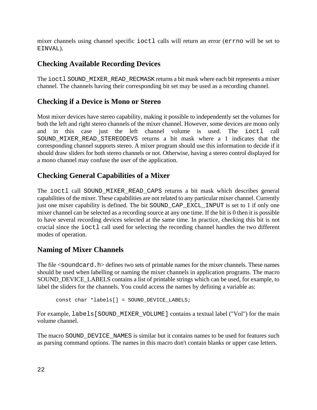mixer channels using channel specific ioctl calls will return an error (errno will be set to EINVAL).

## **Checking Available Recording Devices**

The ioctl SOUND MIXER READ RECMASK returns a bit mask where each bit represents a mixer channel. The channels having their corresponding bit set may be used as a recording channel.

## **Checking if a Device is Mono or Stereo**

Most mixer devices have stereo capability, making it possible to independently set the volumes for both the left and right stereo channels of the mixer channel. However, some devices are mono only and in this case just the left channel volume is used. The ioctl call SOUND\_MIXER\_READ\_STEREODEVS returns a bit mask where a 1 indicates that the corresponding channel supports stereo. A mixer program should use this information to decide if it should draw sliders for both stereo channels or not. Otherwise, having a stereo control displayed for a mono channel may confuse the user of the application.

## **Checking General Capabilities of a Mixer**

The ioctl call SOUND\_MIXER\_READ\_CAPS returns a bit mask which describes general capabilities of the mixer. These capabilities are not related to any particular mixer channel. Currently just one mixer capability is defined. The bit SOUND CAP EXCL INPUT is set to 1 if only one mixer channel can be selected as a recording source at any one time. If the bit is 0 then it is possible to have several recording devices selected at the same time. In practice, checking this bit is not crucial since the ioctl call used for selecting the recording channel handles the two different modes of operation.

## **Naming of Mixer Channels**

The file  $\le$ soundcard.h  $\ge$  defines two sets of printable names for the mixer channels. These names should be used when labelling or naming the mixer channels in application programs. The macro SOUND DEVICE LABELS contains a list of printable strings which can be used, for example, to label the sliders for the channels. You could access the names by defining a variable as:

```
const char *labels[] = SOUND DEVICE LABELS;
```
For example, labels [SOUND\_MIXER\_VOLUME] contains a textual label ("Vol") for the main volume channel.

The macro SOUND DEVICE NAMES is similar but it contains names to be used for features such as parsing command options. The names in this macro don't contain blanks or upper case letters.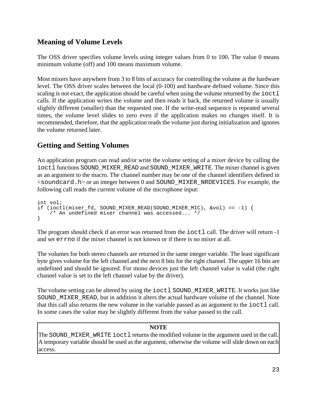## **Meaning of Volume Levels**

The OSS driver specifies volume levels using integer values from 0 to 100. The value 0 means minimum volume (off) and 100 means maximum volume.

Most mixers have anywhere from 3 to 8 bits of accuracy for controlling the volume at the hardware level. The OSS driver scales between the local (0-100) and hardware defined volume. Since this scaling is not exact, the application should be careful when using the volume returned by the  $i$ octl calls. If the application writes the volume and then reads it back, the returned volume is usually slightly different (smaller) than the requested one. If the write-read sequence is repeated several times, the volume level slides to zero even if the application makes no changes itself. It is recommended, therefore, that the application reads the volume just during initialization and ignores the volume returned later.

## **Getting and Setting Volumes**

An application program can read and/or write the volume setting of a mixer device by calling the ioctl functions SOUND\_MIXER\_READ and SOUND\_MIXER\_WRITE. The mixer channel is given as an argument to the macro. The channel number may be one of the channel identifiers defined in  $\le$ soundcard.h > or an integer between 0 and SOUND\_MIXER\_NRDEVICES. For example, the following call reads the current volume of the microphone input:

int vol; if (ioctl(mixer\_fd, SOUND\_MIXER\_READ(SOUND\_MIXER\_MIC),  $&vol$ ) == -1) { /\* An undefined mixer channel was accessed... \*/ }

The program should check if an error was returned from the ioctl call. The driver will return -1 and set errno if the mixer channel is not known or if there is no mixer at all.

The volumes for both stereo channels are returned in the same integer variable. The least significant byte gives volume for the left channel and the next 8 bits for the right channel. The upper 16 bits are undefined and should be ignored. For mono devices just the left channel value is valid (the right channel value is set to the left channel value by the driver).

The volume setting can be altered by using the ioctl SOUND\_MIXER\_WRITE. It works just like SOUND MIXER READ, but in addition it alters the actual hardware volume of the channel. Note that this call also returns the new volume in the variable passed as an argument to the ioctl call. In some cases the value may be slightly different from the value passed to the call.

#### **NOTE**

The SOUND\_MIXER\_WRITE ioctl returns the modified volume in the argument used in the call. A temporary variable should be used as the argument, otherwise the volume will slide down on each access.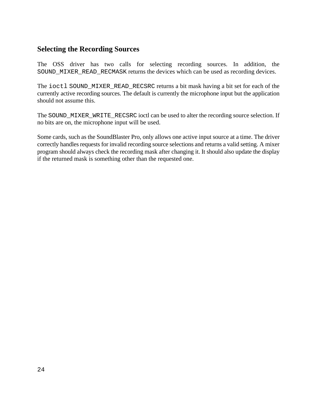## **Selecting the Recording Sources**

The OSS driver has two calls for selecting recording sources. In addition, the SOUND MIXER READ RECMASK returns the devices which can be used as recording devices.

The ioctl SOUND\_MIXER\_READ\_RECSRC returns a bit mask having a bit set for each of the currently active recording sources. The default is currently the microphone input but the application should not assume this.

The SOUND\_MIXER\_WRITE\_RECSRC ioctl can be used to alter the recording source selection. If no bits are on, the microphone input will be used.

Some cards, such as the SoundBlaster Pro, only allows one active input source at a time. The driver correctly handles requests for invalid recording source selections and returns a valid setting. A mixer program should always check the recording mask after changing it. It should also update the display if the returned mask is something other than the requested one.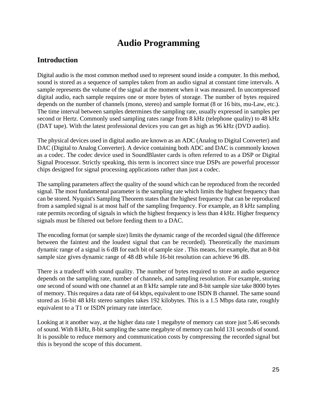# **Audio Programming**

### **Introduction**

Digital audio is the most common method used to represent sound inside a computer. In this method, sound is stored as a sequence of samples taken from an audio signal at constant time intervals. A sample represents the volume of the signal at the moment when it was measured. In uncompressed digital audio, each sample requires one or more bytes of storage. The number of bytes required depends on the number of channels (mono, stereo) and sample format (8 or 16 bits, mu-Law, etc.). The time interval between samples determines the sampling rate, usually expressed in samples per second or Hertz. Commonly used sampling rates range from 8 kHz (telephone quality) to 48 kHz (DAT tape). With the latest professional devices you can get as high as 96 kHz (DVD audio).

The physical devices used in digital audio are known as an ADC (Analog to Digital Converter) and DAC (Digital to Analog Converter). A device containing both ADC and DAC is commonly known as a codec. The codec device used in SoundBlaster cards is often referred to as a DSP or Digital Signal Processor. Strictly speaking, this term is incorrect since true DSPs are powerful processor chips designed for signal processing applications rather than just a codec.

The sampling parameters affect the quality of the sound which can be reproduced from the recorded signal. The most fundamental parameter is the sampling rate which limits the highest frequency than can be stored. Nyquist's Sampling Theorem states that the highest frequency that can be reproduced from a sampled signal is at most half of the sampling frequency. For example, an 8 kHz sampling rate permits recording of signals in which the highest frequency is less than 4 kHz. Higher frequency signals must be filtered out before feeding them to a DAC.

The encoding format (or sample size) limits the dynamic range of the recorded signal (the difference between the faintest and the loudest signal that can be recorded). Theoretically the maximum dynamic range of a signal is 6 dB for each bit of sample size . This means, for example, that an 8-bit sample size gives dynamic range of 48 dB while 16-bit resolution can achieve 96 dB.

There is a tradeoff with sound quality. The number of bytes required to store an audio sequence depends on the sampling rate, number of channels, and sampling resolution. For example, storing one second of sound with one channel at an 8 kHz sample rate and 8-bit sample size take 8000 bytes of memory. This requires a data rate of 64 kbps, equivalent to one ISDN B channel. The same sound stored as 16-bit 48 kHz stereo samples takes 192 kilobytes. This is a 1.5 Mbps data rate, roughly equivalent to a T1 or ISDN primary rate interface.

Looking at it another way, at the higher data rate 1 megabyte of memory can store just 5.46 seconds of sound. With 8 kHz, 8-bit sampling the same megabyte of memory can hold 131 seconds of sound. It is possible to reduce memory and communication costs by compressing the recorded signal but this is beyond the scope of this document.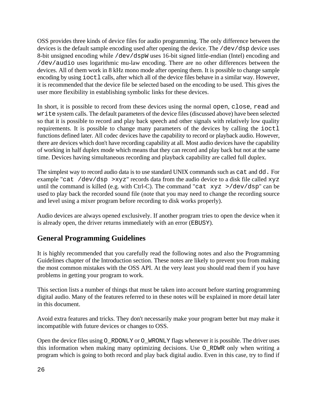OSS provides three kinds of device files for audio programming. The only difference between the devices is the default sample encoding used after opening the device. The /dev/dsp device uses 8-bit unsigned encoding while /dev/dspW uses 16-bit signed little-endian (Intel) encoding and /dev/audio uses logarithmic mu-law encoding. There are no other differences between the devices. All of them work in 8 kHz mono mode after opening them. It is possible to change sample encoding by using ioctl calls, after which all of the device files behave in a similar way. However, it is recommended that the device file be selected based on the encoding to be used. This gives the user more flexibility in establishing symbolic links for these devices.

In short, it is possible to record from these devices using the normal open, close, read and write system calls. The default parameters of the device files (discussed above) have been selected so that it is possible to record and play back speech and other signals with relatively low quality requirements. It is possible to change many parameters of the devices by calling the ioctl functions defined later. All codec devices have the capability to record or playback audio. However, there are devices which don't have recording capability at all. Most audio devices have the capability of working in half duplex mode which means that they can record and play back but not at the same time. Devices having simultaneous recording and playback capability are called full duplex.

The simplest way to record audio data is to use standard UNIX commands such as cat and dd. For example "cat /dev/dsp >xyz" records data from the audio device to a disk file called xyz until the command is killed (e.g. with Ctrl-C). The command "cat  $xyz$  >/dev/dsp" can be used to play back the recorded sound file (note that you may need to change the recording source and level using a mixer program before recording to disk works properly).

Audio devices are always opened exclusively. If another program tries to open the device when it is already open, the driver returns immediately with an error (EBUSY).

## **General Programming Guidelines**

It is highly recommended that you carefully read the following notes and also the Programming Guidelines chapter of the Introduction section. These notes are likely to prevent you from making the most common mistakes with the OSS API. At the very least you should read them if you have problems in getting your program to work.

This section lists a number of things that must be taken into account before starting programming digital audio. Many of the features referred to in these notes will be explained in more detail later in this document.

Avoid extra features and tricks. They don't necessarily make your program better but may make it incompatible with future devices or changes to OSS.

Open the device files using O\_RDONLY or O\_WRONLY flags whenever it is possible. The driver uses this information when making many optimizing decisions. Use O\_RDWR only when writing a program which is going to both record and play back digital audio. Even in this case, try to find if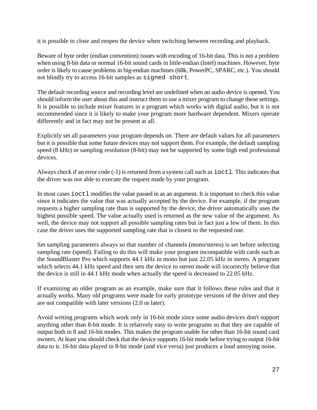it is possible to close and reopen the device when switching between recording and playback.

Beware of byte order (endian convention) issues with encoding of 16-bit data. This is not a problem when using 8-bit data or normal 16-bit sound cards in little-endian (Intel) machines. However, byte order is likely to cause problems in big-endian machines (68k, PowerPC, SPARC, etc.). You should not blindly try to access 16-bit samples as signed short.

The default recording source and recording level are undefined when an audio device is opened. You should inform the user about this and instruct them to use a mixer program to change these settings. It is possible to include mixer features in a program which works with digital audio, but it is not recommended since it is likely to make your program more hardware dependent. Mixers operate differently and in fact may not be present at all.

Explicitly set all parameters your program depends on. There are default values for all parameters but it is possible that some future devices may not support them. For example, the default sampling speed (8 kHz) or sampling resolution (8-bit) may not be supported by some high end professional devices.

Always check if an error code (-1) is returned from a system call such as  $i$  octl. This indicates that the driver was not able to execute the request made by your program.

In most cases ioctl modifies the value passed in as an argument. It is important to check this value since it indicates the value that was actually accepted by the device. For example, if the program requests a higher sampling rate than is supported by the device, the driver automatically uses the highest possible speed. The value actually used is returned as the new value of the argument. As well, the device may not support all possible sampling rates but in fact just a few of them. In this case the driver uses the supported sampling rate that is closest to the requested one.

Set sampling parameters always so that number of channels (mono/stereo) is set before selecting sampling rate (speed). Failing to do this will make your program incompatible with cards such as the SoundBlaster Pro which supports 44.1 kHz in mono but just 22.05 kHz in stereo. A program which selects 44.1 kHz speed and then sets the device to stereo mode will incorrectly believe that the device is still in 44.1 kHz mode when actually the speed is decreased to 22.05 kHz.

If examining an older program as an example, make sure that it follows these rules and that it actually works. Many old programs were made for early prototype versions of the driver and they are not compatible with later versions (2.0 or later).

Avoid writing programs which work only in 16-bit mode since some audio devices don't support anything other than 8-bit mode. It is relatively easy to write programs so that they are capable of output both in 8 and 16-bit modes. This makes the program usable for other than 16-bit sound card owners. At least you should check that the device supports 16-bit mode before trying to output 16-bit data to it. 16-bit data played in 8-bit mode (and vice versa) just produces a loud annoying noise.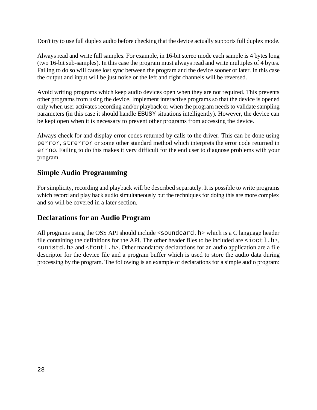Don't try to use full duplex audio before checking that the device actually supports full duplex mode.

Always read and write full samples. For example, in 16-bit stereo mode each sample is 4 bytes long (two 16-bit sub-samples). In this case the program must always read and write multiples of 4 bytes. Failing to do so will cause lost sync between the program and the device sooner or later. In this case the output and input will be just noise or the left and right channels will be reversed.

Avoid writing programs which keep audio devices open when they are not required. This prevents other programs from using the device. Implement interactive programs so that the device is opened only when user activates recording and/or playback or when the program needs to validate sampling parameters (in this case it should handle EBUSY situations intelligently). However, the device can be kept open when it is necessary to prevent other programs from accessing the device.

Always check for and display error codes returned by calls to the driver. This can be done using perror, strerror or some other standard method which interprets the error code returned in errno. Failing to do this makes it very difficult for the end user to diagnose problems with your program.

## **Simple Audio Programming**

For simplicity, recording and playback will be described separately. It is possible to write programs which record and play back audio simultaneously but the techniques for doing this are more complex and so will be covered in a later section.

## **Declarations for an Audio Program**

All programs using the OSS API should include  $\le$  soundcard. h which is a C language header file containing the definitions for the API. The other header files to be included are  $\text{dist}$ .h>,  $\le$ unistd.h > and  $\le$ f cntl.h >. Other mandatory declarations for an audio application are a file descriptor for the device file and a program buffer which is used to store the audio data during processing by the program. The following is an example of declarations for a simple audio program: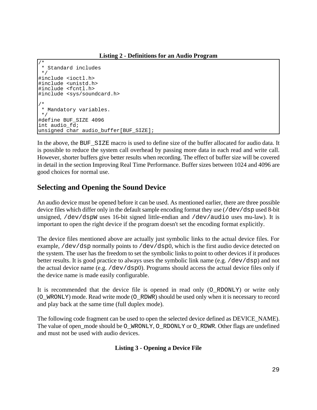**Listing 2 - Definitions for an Audio Program**

```
/*
  * Standard includes
  */
#include <ioctl.h>
#include <unistd.h>
#include <fcntl.h>
#include <sys/soundcard.h>
/*
 * Mandatory variables.
 */
#define BUF_SIZE 4096
int audio_fd;
unsigned char audio_buffer[BUF_SIZE];
```
In the above, the BUF\_SIZE macro is used to define size of the buffer allocated for audio data. It is possible to reduce the system call overhead by passing more data in each read and write call. However, shorter buffers give better results when recording. The effect of buffer size will be covered in detail in the section Improving Real Time Performance. Buffer sizes between 1024 and 4096 are good choices for normal use.

## **Selecting and Opening the Sound Device**

An audio device must be opened before it can be used. As mentioned earlier, there are three possible device files which differ only in the default sample encoding format they use (/dev/dsp used 8-bit unsigned, /dev/dspW uses 16-bit signed little-endian and /dev/audio uses mu-law). It is important to open the right device if the program doesn't set the encoding format explicitly.

The device files mentioned above are actually just symbolic links to the actual device files. For example, /dev/dsp normally points to /dev/dsp0, which is the first audio device detected on the system. The user has the freedom to set the symbolic links to point to other devices if it produces better results. It is good practice to always uses the symbolic link name (e.g. /dev/dsp) and not the actual device name (e.g.  $/$ dev $/$ d $sp$ 0). Programs should access the actual device files only if the device name is made easily configurable.

It is recommended that the device file is opened in read only (O\_RDONLY) or write only (O\_WRONLY) mode. Read write mode (O\_RDWR) should be used only when it is necessary to record and play back at the same time (full duplex mode).

The following code fragment can be used to open the selected device defined as DEVICE\_NAME). The value of open\_mode should be O\_WRONLY, O\_RDONLY or O\_RDWR. Other flags are undefined and must not be used with audio devices.

#### **Listing 3 - Opening a Device File**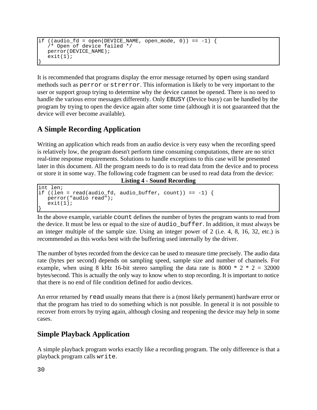```
if ((audio fd = open(DEVICE NAME, open mode, 0)) == -1) {
    /* Open of device failed */
    perror(DEVICE_NAME);
   exit(1);}
```
It is recommended that programs display the error message returned by open using standard methods such as perror or strerror. This information is likely to be very important to the user or support group trying to determine why the device cannot be opened. There is no need to handle the various error messages differently. Only EBUSY (Device busy) can be handled by the program by trying to open the device again after some time (although it is not guaranteed that the device will ever become available).

## **A Simple Recording Application**

Writing an application which reads from an audio device is very easy when the recording speed is relatively low, the program doesn't perform time consuming computations, there are no strict real-time response requirements. Solutions to handle exceptions to this case will be presented later in this document. All the program needs to do is to read data from the device and to process or store it in some way. The following code fragment can be used to read data from the device:

```
Listing 4 - Sound Recording
```

```
int len;
if ((len = read(audio_fd, audio_buffer, count)) == -1) {
   perror("audio read");
    exit(1);
}
```
In the above example, variable count defines the number of bytes the program wants to read from the device. It must be less or equal to the size of audio\_buffer. In addition, it must always be an integer multiple of the sample size. Using an integer power of 2 (i.e. 4, 8, 16, 32, etc.) is recommended as this works best with the buffering used internally by the driver.

The number of bytes recorded from the device can be used to measure time precisely. The audio data rate (bytes per second) depends on sampling speed, sample size and number of channels. For example, when using 8 kHz 16-bit stereo sampling the data rate is 8000  $*$  2  $*$  2 = 32000 bytes/second. This is actually the only way to know when to stop recording. It is important to notice that there is no end of file condition defined for audio devices.

An error returned by read usually means that there is a (most likely permanent) hardware error or that the program has tried to do something which is not possible. In general it is not possible to recover from errors by trying again, although closing and reopening the device may help in some cases.

## **Simple Playback Application**

A simple playback program works exactly like a recording program. The only difference is that a playback program calls write.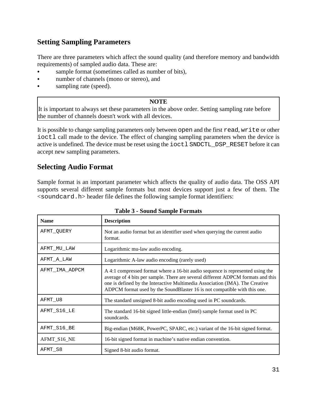## **Setting Sampling Parameters**

There are three parameters which affect the sound quality (and therefore memory and bandwidth requirements) of sampled audio data. These are:

- sample format (sometimes called as number of bits),
- number of channels (mono or stereo), and
- sampling rate (speed).

#### **NOTE**

It is important to always set these parameters in the above order. Setting sampling rate before the number of channels doesn't work with all devices.

It is possible to change sampling parameters only between open and the first read, write or other ioctl call made to the device. The effect of changing sampling parameters when the device is active is undefined. The device must be reset using the ioctl SNDCTL\_DSP\_RESET before it can accept new sampling parameters.

### **Selecting Audio Format**

Sample format is an important parameter which affects the quality of audio data. The OSS API supports several different sample formats but most devices support just a few of them. The  $\le$ soundcard.h> header file defines the following sample format identifiers:

| <b>Name</b>    | <b>Description</b>                                                                                                                                                                                                                                                                                                              |
|----------------|---------------------------------------------------------------------------------------------------------------------------------------------------------------------------------------------------------------------------------------------------------------------------------------------------------------------------------|
| AFMT QUERY     | Not an audio format but an identifier used when querying the current audio<br>format.                                                                                                                                                                                                                                           |
| AFMT MU LAW    | Logarithmic mu-law audio encoding.                                                                                                                                                                                                                                                                                              |
| AFMT A LAW     | Logarithmic A-law audio encoding (rarely used)                                                                                                                                                                                                                                                                                  |
| AFMT IMA ADPCM | A 4:1 compressed format where a 16-bit audio sequence is represented using the<br>average of 4 bits per sample. There are several different ADPCM formats and this<br>one is defined by the Interactive Multimedia Association (IMA). The Creative<br>ADPCM format used by the SoundBlaster 16 is not compatible with this one. |
| AFMT_U8        | The standard unsigned 8-bit audio encoding used in PC soundcards.                                                                                                                                                                                                                                                               |
| AFMT S16 LE    | The standard 16-bit signed little-endian (Intel) sample format used in PC<br>soundcards.                                                                                                                                                                                                                                        |
| AFMT S16 BE    | Big-endian (M68K, PowerPC, SPARC, etc.) variant of the 16-bit signed format.                                                                                                                                                                                                                                                    |
| AFMT_S16_NE    | 16-bit signed format in machine's native endian convention.                                                                                                                                                                                                                                                                     |
| AFMT S8        | Signed 8-bit audio format.                                                                                                                                                                                                                                                                                                      |

#### **Table 3 - Sound Sample Formats**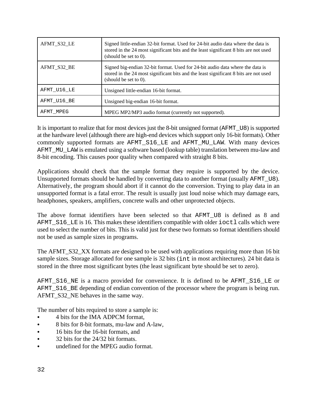| AFMT_S32_LE | Signed little-endian 32-bit format. Used for 24-bit audio data where the data is<br>stored in the 24 most significant bits and the least significant 8 bits are not used<br>(should be set to $0$ ). |
|-------------|------------------------------------------------------------------------------------------------------------------------------------------------------------------------------------------------------|
| AFMT_S32_BE | Signed big-endian 32-bit format. Used for 24-bit audio data where the data is<br>stored in the 24 most significant bits and the least significant 8 bits are not used<br>(should be set to $0$ ).    |
| AFMT U16 LE | Unsigned little-endian 16-bit format.                                                                                                                                                                |
| AFMT U16 BE | Unsigned big-endian 16-bit format.                                                                                                                                                                   |
| AFMT MPEG   | MPEG MP2/MP3 audio format (currently not supported).                                                                                                                                                 |

It is important to realize that for most devices just the 8-bit unsigned format (AFMT\_U8) is supported at the hardware level (although there are high-end devices which support only 16-bit formats). Other commonly supported formats are AFMT\_S16\_LE and AFMT\_MU\_LAW. With many devices AFMT\_MU\_LAW is emulated using a software based (lookup table) translation between mu-law and 8-bit encoding. This causes poor quality when compared with straight 8 bits.

Applications should check that the sample format they require is supported by the device. Unsupported formats should be handled by converting data to another format (usually AFMT\_U8). Alternatively, the program should abort if it cannot do the conversion. Trying to play data in an unsupported format is a fatal error. The result is usually just loud noise which may damage ears, headphones, speakers, amplifiers, concrete walls and other unprotected objects.

The above format identifiers have been selected so that AFMT\_U8 is defined as 8 and AFMT S16 LE is 16. This makes these identifiers compatible with older ioctl calls which were used to select the number of bits. This is valid just for these two formats so format identifiers should not be used as sample sizes in programs.

The AFMT\_S32\_XX formats are designed to be used with applications requiring more than 16 bit sample sizes. Storage allocated for one sample is 32 bits (int in most architectures). 24 bit data is stored in the three most significant bytes (the least significant byte should be set to zero).

AFMT\_S16\_NE is a macro provided for convenience. It is defined to be AFMT\_S16\_LE or AFMT S16 BE depending of endian convention of the processor where the program is being run. AFMT\_S32\_NE behaves in the same way.

The number of bits required to store a sample is:

- & 4 bits for the IMA ADPCM format,
- & 8 bits for 8-bit formats, mu-law and A-law,
- & 16 bits for the 16-bit formats, and
- 32 bits for the 24/32 bit formats.
- undefined for the MPEG audio format.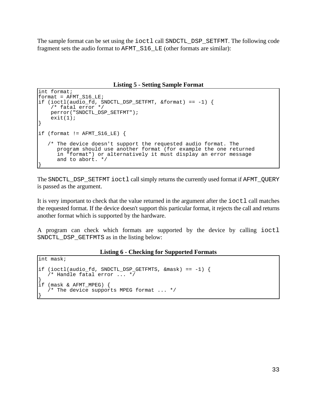The sample format can be set using the ioctl call SNDCTL\_DSP\_SETFMT. The following code fragment sets the audio format to AFMT\_S16\_LE (other formats are similar):

**Listing 5 - Setting Sample Format**

```
int format;
format = AFMT S16 LE;
if (ioctl(audio_fd, SNDCTL_DSP_SETFMT, &format) == -1) {
     /* fatal error */
    perror("SNDCTL_DSP_SETFMT");
   exit(1);}
if (format != AFMT_S16_LE) {
    /* The device doesn't support the requested audio format. The
       program should use another format (for example the one returned
       in "format") or alternatively it must display an error message
       and to abort. */
}
```
The SNDCTL\_DSP\_SETFMT ioctl call simply returns the currently used format if AFMT\_QUERY is passed as the argument.

It is very important to check that the value returned in the argument after the ioctl call matches the requested format. If the device doesn't support this particular format, it rejects the call and returns another format which is supported by the hardware.

A program can check which formats are supported by the device by calling ioctl SNDCTL\_DSP\_GETFMTS as in the listing below:

#### **Listing 6 - Checking for Supported Formats**

```
int mask;
if (ioctl(audio_fd, SNDCTL_DSP_GETFMTS, &mask) == -1) {
    /* Handle fatal error ... */
}
if (mask & AFMT_MPEG) {
    /* The device supports MPEG format ... */
}
```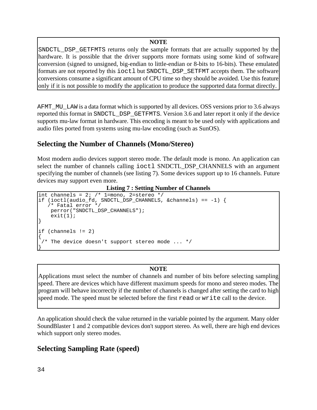#### **NOTE**

SNDCTL\_DSP\_GETFMTS returns only the sample formats that are actually supported by the hardware. It is possible that the driver supports more formats using some kind of software conversion (signed to unsigned, big-endian to little-endian or 8-bits to 16-bits). These emulated formats are not reported by this ioctl but SNDCTL\_DSP\_SETFMT accepts them. The software conversions consume a significant amount of CPU time so they should be avoided. Use this feature only if it is not possible to modify the application to produce the supported data format directly.

AFMT\_MU\_LAW is a data format which is supported by all devices. OSS versions prior to 3.6 always reported this format in SNDCTL\_DSP\_GETFMTS. Version 3.6 and later report it only if the device supports mu-law format in hardware. This encoding is meant to be used only with applications and audio files ported from systems using mu-law encoding (such as SunOS).

## **Selecting the Number of Channels (Mono/Stereo)**

Most modern audio devices support stereo mode. The default mode is mono. An application can select the number of channels calling  $i$  octl SNDCTL DSP CHANNELS with an argument specifying the number of channels (see listing 7). Some devices support up to 16 channels. Future devices may support even more.

**Listing 7 : Setting Number of Channels**

```
int channels = 2; /* 1=mono, 2=stereo */
if (ioctl(audio_fd, SNDCTL_DSP_CHANNELS, &channels) == -1) {
    /* Fatal error */
    perror("SNDCTL_DSP_CHANNELS");
    exit(1);}
if (channels != 2)
{
 /* The device doesn't support stereo mode ... */}
```
#### **NOTE**

Applications must select the number of channels and number of bits before selecting sampling speed. There are devices which have different maximum speeds for mono and stereo modes. The program will behave incorrectly if the number of channels is changed after setting the card to high speed mode. The speed must be selected before the first read or write call to the device.

An application should check the value returned in the variable pointed by the argument. Many older SoundBlaster 1 and 2 compatible devices don't support stereo. As well, there are high end devices which support only stereo modes.

## **Selecting Sampling Rate (speed)**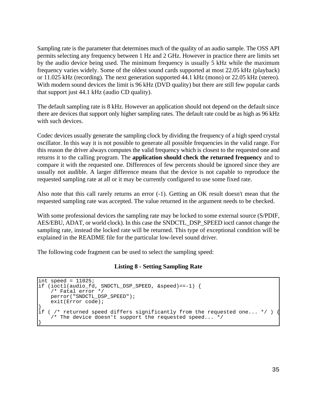Sampling rate is the parameter that determines much of the quality of an audio sample. The OSS API permits selecting any frequency between 1 Hz and 2 GHz. However in practice there are limits set by the audio device being used. The minimum frequency is usually 5 kHz while the maximum frequency varies widely. Some of the oldest sound cards supported at most 22.05 kHz (playback) or 11.025 kHz (recording). The next generation supported 44.1 kHz (mono) or 22.05 kHz (stereo). With modern sound devices the limit is 96 kHz (DVD quality) but there are still few popular cards that support just 44.1 kHz (audio CD quality).

The default sampling rate is 8 kHz. However an application should not depend on the default since there are devices that support only higher sampling rates. The default rate could be as high as 96 kHz with such devices.

Codec devices usually generate the sampling clock by dividing the frequency of a high speed crystal oscillator. In this way it is not possible to generate all possible frequencies in the valid range. For this reason the driver always computes the valid frequency which is closest to the requested one and returns it to the calling program. The **application should check the returned frequency** and to compare it with the requested one. Differences of few percents should be ignored since they are usually not audible. A larger difference means that the device is not capable to reproduce the requested sampling rate at all or it may be currently configured to use some fixed rate.

Also note that this call rarely returns an error (-1). Getting an OK result doesn't mean that the requested sampling rate was accepted. The value returned in the argument needs to be checked.

With some professional devices the sampling rate may be locked to some external source (S/PDIF, AES/EBU, ADAT, or world clock). In this case the SNDCTL\_DSP\_SPEED ioctl cannot change the sampling rate, instead the locked rate will be returned. This type of exceptional condition will be explained in the README file for the particular low-level sound driver.

The following code fragment can be used to select the sampling speed:

#### **Listing 8 - Setting Sampling Rate**

```
int speed = 11025;
if (ioctl(audio fd, SNDCTL DSP SPEED, &speed)==-1) {
    /* Fatal error */
    perror("SNDCTL_DSP_SPEED");
    exit(Error code);
}
if ( /* returned speed differs significantly from the requested one... */ ) \{ /* The device doesn't support the requested speed... */
}
```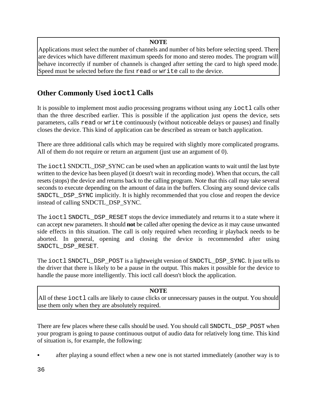#### **NOTE**

Applications must select the number of channels and number of bits before selecting speed. There are devices which have different maximum speeds for mono and stereo modes. The program will behave incorrectly if number of channels is changed after setting the card to high speed mode. Speed must be selected before the first read or write call to the device.

## **Other Commonly Used ioctl Calls**

It is possible to implement most audio processing programs without using any ioctl calls other than the three described earlier. This is possible if the application just opens the device, sets parameters, calls read or write continuously (without noticeable delays or pauses) and finally closes the device. This kind of application can be described as stream or batch application.

There are three additional calls which may be required with slightly more complicated programs. All of them do not require or return an argument (just use an argument of 0).

The ioctl SNDCTL\_DSP\_SYNC can be used when an application wants to wait until the last byte written to the device has been played (it doesn't wait in recording mode). When that occurs, the call resets (stops) the device and returns back to the calling program. Note that this call may take several seconds to execute depending on the amount of data in the buffers. Closing any sound device calls SNDCTL\_DSP\_SYNC implicitly. It is highly recommended that you close and reopen the device instead of calling SNDCTL\_DSP\_SYNC.

The ioctl SNDCTL\_DSP\_RESET stops the device immediately and returns it to a state where it can accept new parameters. It should **not** be called after opening the device as it may cause unwanted side effects in this situation. The call is only required when recording ir playback needs to be aborted. In general, opening and closing the device is recommended after using SNDCTL\_DSP\_RESET.

The ioctl SNDCTL\_DSP\_POST is a lightweight version of SNDCTL\_DSP\_SYNC. It just tells to the driver that there is likely to be a pause in the output. This makes it possible for the device to handle the pause more intelligently. This ioctl call doesn't block the application.

#### **NOTE**

All of these ioctl calls are likely to cause clicks or unnecessary pauses in the output. You should use them only when they are absolutely required.

There are few places where these calls should be used. You should call SNDCTL\_DSP\_POST when your program is going to pause continuous output of audio data for relatively long time. This kind of situation is, for example, the following:

& after playing a sound effect when a new one is not started immediately (another way is to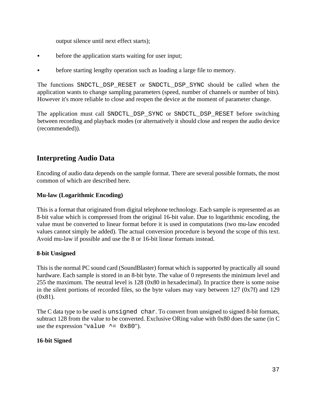output silence until next effect starts);

- & before the application starts waiting for user input;
- before starting lengthy operation such as loading a large file to memory.

The functions SNDCTL\_DSP\_RESET or SNDCTL\_DSP\_SYNC should be called when the application wants to change sampling parameters (speed, number of channels or number of bits). However it's more reliable to close and reopen the device at the moment of parameter change.

The application must call SNDCTL\_DSP\_SYNC or SNDCTL\_DSP\_RESET before switching between recording and playback modes (or alternatively it should close and reopen the audio device (recommended)).

# **Interpreting Audio Data**

Encoding of audio data depends on the sample format. There are several possible formats, the most common of which are described here.

### **Mu-law (Logarithmic Encoding)**

This is a format that originated from digital telephone technology. Each sample is represented as an 8-bit value which is compressed from the original 16-bit value. Due to logarithmic encoding, the value must be converted to linear format before it is used in computations (two mu-law encoded values cannot simply be added). The actual conversion procedure is beyond the scope of this text. Avoid mu-law if possible and use the 8 or 16-bit linear formats instead.

### **8-bit Unsigned**

This is the normal PC sound card (SoundBlaster) format which is supported by practically all sound hardware. Each sample is stored in an 8-bit byte. The value of 0 represents the minimum level and 255 the maximum. The neutral level is 128 (0x80 in hexadecimal). In practice there is some noise in the silent portions of recorded files, so the byte values may vary between 127 (0x7f) and 129 (0x81).

The C data type to be used is unsigned char. To convert from unsigned to signed 8-bit formats, subtract 128 from the value to be converted. Exclusive ORing value with 0x80 does the same (in C use the expression "value  $\sim$  = 0x80").

### **16-bit Signed**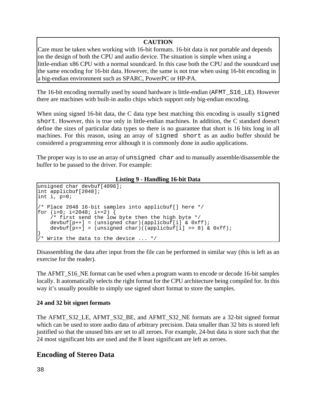## **CAUTION**

Care must be taken when working with 16-bit formats. 16-bit data is not portable and depends on the design of both the CPU and audio device. The situation is simple when using a little-endian x86 CPU with a normal soundcard. In this case both the CPU and the soundcard use the same encoding for 16-bit data. However, the same is not true when using 16-bit encoding in a big-endian environment such as SPARC, PowerPC or HP-PA.

The 16-bit encoding normally used by sound hardware is little-endian (AFMT\_S16\_LE). However there are machines with built-in audio chips which support only big-endian encoding.

When using signed 16-bit data, the C data type best matching this encoding is usually signed short. However, this is true only in little-endian machines. In addition, the C standard doesn't define the sizes of particular data types so there is no guarantee that short is 16 bits long in all machines. For this reason, using an array of signed short as an audio buffer should be considered a programming error although it is commonly done in audio applications.

The proper way is to use an array of unsigned char and to manually assemble/disassemble the buffer to be passed to the driver. For example:

**Listing 9 - Handling 16-bit Data**

```
unsigned char devbuf[4096];
int applicbuf[2048];
int i, p=0;
/* Place 2048 16-bit samples into applicbuf[] here */
for (i=0; i<2048; i+=2) {
    /* first send the low byte then the high byte */devbuf[p++] = (unsigned char)(applicbuf[i] & 0xff);
   devbuf[p++] = (unsigned char)((applicbuf[i] >> 8) & 0xf;
}
 /* Write the data to the device ... */
```
Disassembling the data after input from the file can be performed in similar way (this is left as an exercise for the reader).

The AFMT\_S16\_NE format can be used when a program wants to encode or decode 16-bit samples locally. It automatically selects the right format for the CPU architecture being compiled for. In this way it's usually possible to simply use signed short format to store the samples.

### **24 and 32 bit signet formats**

The AFMT\_S32\_LE, AFMT\_S32\_BE, and AFMT\_S32\_NE formats are a 32-bit signed format which can be used to store audio data of arbitrary precision. Data smaller than 32 bits is stored left justified so that the unused bits are set to all zeroes. For example, 24-but data is store such that the 24 most significant bits are used and the 8 least significant are left as zeroes.

# **Encoding of Stereo Data**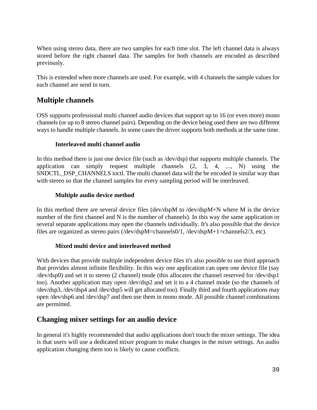When using stereo data, there are two samples for each time slot. The left channel data is always stored before the right channel data. The samples for both channels are encoded as described previously.

This is extended when more channels are used. For example, with 4 channels the sample values for each channel are send in turn.

# **Multiple channels**

OSS supports professional multi channel audio devices that support up to 16 (or even more) mono channels (or up to 8 stereo channel pairs). Depending on the device being used there are two different ways to handle multiple channels. In some cases the driver supports both methods at the same time.

## **Interleaved multi channel audio**

In this method there is just one device file (such as /dev/dsp) that supports multiple channels. The application can simply request multiple channels  $(2, 3, 4, \ldots, N)$  using the SNDCTL DSP CHANNELS ioctl. The multi channel data will the be encoded in similar way than with stereo so that the channel samples for every sampling period will be interleaved.

## **Multiple audio device method**

In this method there are several device files (dev/dspM to /dev/dspM+N where M is the device number of the first channel and N is the number of channels). In this way the same application or several separate applications may open the channels individually. It's also possible that the device files are organized as stereo pairs (/dev/dspM=channels0/1, /dev/dspM+1=channels2/3, etc).

## **Mixed multi device and interleaved method**

With devices that provide multiple independent device files it's also possible to use third approach that provides almost infinite flexibility. In this way one application can open one device file (say /dev/dsp0) and set it to stereo (2 channel) mode (this allocates the channel reserved for /dev/dsp1 too). Another application may open /dev/dsp2 and set it to a 4 channel mode (so the channels of /dev/dsp3, /dev/dsp4 and /dev/dsp5 will get allocated too). Finally third and fourth applications may open /dev/dsp6 and /dev/dsp7 and then use them in mono mode. All possible channel combinations are permitted.

## **Changing mixer settings for an audio device**

In general it's highly recommended that audio applications don't touch the mixer settings. The idea is that users will use a dedicated mixer program to make changes in the mixer settings. An audio application changing them too is likely to cause conflicts.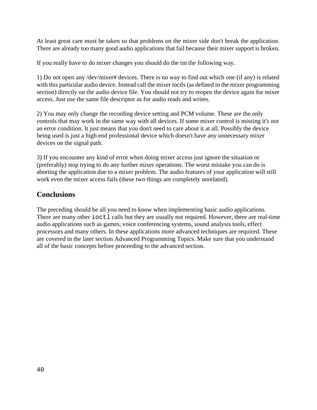At least great care must be taken so that problems on the mixer side don't break the application. There are already too many good audio applications that fail because their mixer support is broken.

If you really have to do mixer changes you should do the im the following way.

1) Do not open any /dev/mixer# devices. There is no way to find out which one (if any) is related with this particular audio device. Instead call the mixer ioctls (as defined in the mixer programming section) directly on the audio device file. You should not try to reopen the device again for mixer access. Just use the same file descriptor as for audio reads and writes.

2) You may only change the recording device setting and PCM volume. These are the only controls that may work in the same way with all devices. If some mixer control is missing it's not an error condition. It just means that you don't need to care about it at all. Possibly the device being used is just a high end professional device which doesn't have any unnecessary mixer devices on the signal path.

3) If you encounter any kind of error when doing mixer access just ignore the situation or (preferably) stop trying to do any further mixer operations. The worst mistake you can do is aborting the application due to a mixer problem. The audio features of your application will still work even the mixer access fails (these two things are completely unrelated).

## **Conclusions**

The preceding should be all you need to know when implementing basic audio applications. There are many other ioctl calls but they are usually not required. However, there are real-time audio applications such as games, voice conferencing systems, sound analysis tools, effect processors and many others. In these applications more advanced techniques are required. These are covered in the later section Advanced Programming Topics. Make sure that you understand all of the basic concepts before proceeding to the advanced section.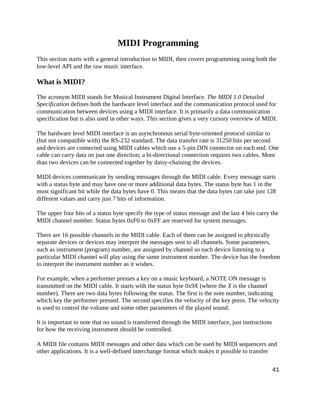# **MIDI Programming**

This section starts with a general introduction to MIDI, then covers programming using both the low-level API and the raw music interface.

# **What is MIDI?**

The acronym MIDI stands for Musical Instrument Digital Interface. *The MIDI 1.0 Detailed Specification* defines both the hardware level interface and the communication protocol used for communication between devices using a MIDI interface. It is primarily a data communication specification but is also used in other ways. This section gives a very cursory overview of MIDI.

The hardware level MIDI interface is an asynchronous serial byte-oriented protocol similar to (but not compatible with) the RS-232 standard. The data transfer rate is 31250 bits per second and devices are connected using MIDI cables which use a 5-pin DIN connector on each end. One cable can carry data on just one direction; a bi-directional connection requires two cables. More than two devices can be connected together by daisy-chaining the devices.

MIDI devices communicate by sending messages through the MIDI cable. Every message starts with a status byte and may have one or more additional data bytes. The status byte has 1 in the most significant bit while the data bytes have 0. This means that the data bytes can take just 128 different values and carry just 7 bits of information.

The upper four bits of a status byte specify the type of status message and the last 4 bits carry the MIDI channel number. Status bytes 0xF0 to 0xFF are reserved for system messages.

There are 16 possible channels in the MIDI cable. Each of them can be assigned to physically separate devices or devices may interpret the messages sent to all channels. Some parameters, such as instrument (program) number, are assigned by channel so each device listening to a particular MIDI channel will play using the same instrument number. The device has the freedom to interpret the instrument number as it wishes.

For example, when a performer presses a key on a music keyboard, a NOTE ON message is transmitted on the MIDI cable. It starts with the status byte 0x9*X* (where the *X* is the channel number). There are two data bytes following the status. The first is the note number, indicating which key the performer pressed. The second specifies the velocity of the key press. The velocity is used to control the volume and some other parameters of the played sound.

It is important to note that no sound is transferred through the MIDI interface, just instructions for how the receiving instrument should be controlled.

A MIDI file contains MIDI messages and other data which can be used by MIDI sequencers and other applications. It is a well-defined interchange format which makes it possible to transfer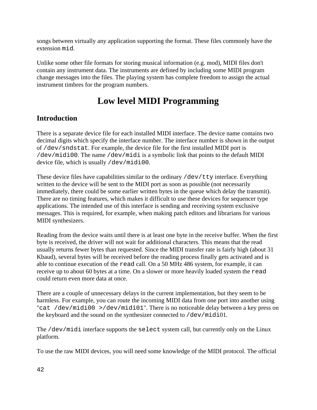songs between virtually any application supporting the format. These files commonly have the extension mid.

Unlike some other file formats for storing musical information (e.g. mod), MIDI files don't contain any instrument data. The instruments are defined by including some MIDI program change messages into the files. The playing system has complete freedom to assign the actual instrument timbres for the program numbers.

# **Low level MIDI Programming**

# **Introduction**

There is a separate device file for each installed MIDI interface. The device name contains two decimal digits which specify the interface number. The interface number is shown in the output of /dev/sndstat. For example, the device file for the first installed MIDI port is /dev/midi00. The name /dev/midi is a symbolic link that points to the default MIDI device file, which is usually /dev/midi00.

These device files have capabilities similar to the ordinary /dev/tty interface. Everything written to the device will be sent to the MIDI port as soon as possible (not necessarily immediately, there could be some earlier written bytes in the queue which delay the transmit). There are no timing features, which makes it difficult to use these devices for sequencer type applications. The intended use of this interface is sending and receiving system exclusive messages. This is required, for example, when making patch editors and librarians for various MIDI synthesizers.

Reading from the device waits until there is at least one byte in the receive buffer. When the first byte is received, the driver will not wait for additional characters. This means that the read usually returns fewer bytes than requested. Since the MIDI transfer rate is fairly high (about 31 Kbaud), several bytes will be received before the reading process finally gets activated and is able to continue execution of the read call. On a 50 MHz 486 system, for example, it can receive up to about 60 bytes at a time. On a slower or more heavily loaded system the read could return even more data at once.

There are a couple of unnecessary delays in the current implementation, but they seem to be harmless. For example, you can route the incoming MIDI data from one port into another using "cat /dev/midi00 >/dev/midi01". There is no noticeable delay between a key press on the keyboard and the sound on the synthesizer connected to /dev/midi01.

The /dev/midi interface supports the select system call, but currently only on the Linux platform.

To use the raw MIDI devices, you will need some knowledge of the MIDI protocol. The official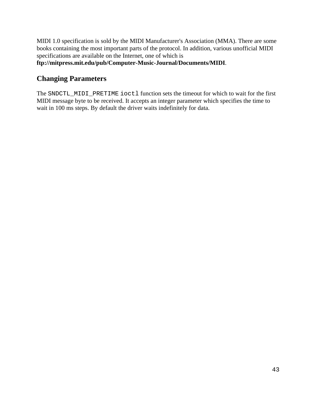MIDI 1.0 specification is sold by the MIDI Manufacturer's Association (MMA). There are some books containing the most important parts of the protocol. In addition, various unofficial MIDI specifications are available on the Internet, one of which is

**ftp://mitpress.mit.edu/pub/Computer-Music-Journal/Documents/MIDI**.

## **Changing Parameters**

The SNDCTL\_MIDI\_PRETIME ioctl function sets the timeout for which to wait for the first MIDI message byte to be received. It accepts an integer parameter which specifies the time to wait in 100 ms steps. By default the driver waits indefinitely for data.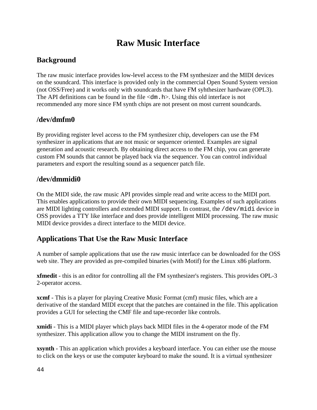# **Raw Music Interface**

# **Background**

The raw music interface provides low-level access to the FM synthesizer and the MIDI devices on the soundcard. This interface is provided only in the commercial Open Sound System version (not OSS/Free) and it works only with soundcards that have FM syhthesizer hardware (OPL3). The API definitions can be found in the file  $\langle dm, h \rangle$ . Using this old interface is not recommended any more since FM synth chips are not present on most current soundcards.

# **/dev/dmfm0**

By providing register level access to the FM synthesizer chip, developers can use the FM synthesizer in applications that are not music or sequencer oriented. Examples are signal generation and acoustic research. By obtaining direct access to the FM chip, you can generate custom FM sounds that cannot be played back via the sequencer. You can control individual parameters and export the resulting sound as a sequencer patch file.

# **/dev/dmmidi0**

On the MIDI side, the raw music API provides simple read and write access to the MIDI port. This enables applications to provide their own MIDI sequencing. Examples of such applications are MIDI lighting controllers and extended MIDI support. In contrast, the /dev/midi device in OSS provides a TTY like interface and does provide intelligent MIDI processing. The raw music MIDI device provides a direct interface to the MIDI device.

# **Applications That Use the Raw Music Interface**

A number of sample applications that use the raw music interface can be downloaded for the OSS web site. They are provided as pre-compiled binaries (with Motif) for the Linux x86 platform.

**xfmedit** - this is an editor for controlling all the FM synthesizer's registers. This provides OPL-3 2-operator access.

**xcmf** - This is a player for playing Creative Music Format (cmf) music files, which are a derivative of the standard MIDI except that the patches are contained in the file. This application provides a GUI for selecting the CMF file and tape-recorder like controls.

**xmidi** - This is a MIDI player which plays back MIDI files in the 4-operator mode of the FM synthesizer. This application allow you to change the MIDI instrument on the fly.

**xsynth** - This an application which provides a keyboard interface. You can either use the mouse to click on the keys or use the computer keyboard to make the sound. It is a virtual synthesizer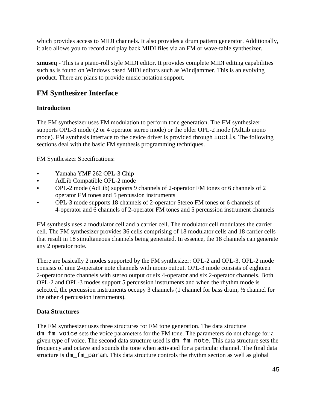which provides access to MIDI channels. It also provides a drum pattern generator. Additionally, it also allows you to record and play back MIDI files via an FM or wave-table synthesizer.

**xmuseq** - This is a piano-roll style MIDI editor. It provides complete MIDI editing capabilities such as is found on Windows based MIDI editors such as Windjammer. This is an evolving product. There are plans to provide music notation support.

# **FM Synthesizer Interface**

## **Introduction**

The FM synthesizer uses FM modulation to perform tone generation. The FM synthesizer supports OPL-3 mode (2 or 4 operator stereo mode) or the older OPL-2 mode (AdLib mono mode). FM synthesis interface to the device driver is provided through ioctls. The following sections deal with the basic FM synthesis programming techniques.

FM Synthesizer Specifications:

- Yamaha YMF 262 OPL-3 Chip
- & AdLib Compatible OPL-2 mode
- & OPL-2 mode (AdLib) supports 9 channels of 2-operator FM tones or 6 channels of 2 operator FM tones and 5 percussion instruments
- & OPL-3 mode supports 18 channels of 2-operator Stereo FM tones or 6 channels of 4-operator and 6 channels of 2-operator FM tones and 5 percussion instrument channels

FM synthesis uses a modulator cell and a carrier cell. The modulator cell modulates the carrier cell. The FM synthesizer provides 36 cells comprising of 18 modulator cells and 18 carrier cells that result in 18 simultaneous channels being generated. In essence, the 18 channels can generate any 2 operator note.

There are basically 2 modes supported by the FM synthesizer: OPL-2 and OPL-3. OPL-2 mode consists of nine 2-operator note channels with mono output. OPL-3 mode consists of eighteen 2-operator note channels with stereo output or six 4-operator and six 2-operator channels. Both OPL-2 and OPL-3 modes support 5 percussion instruments and when the rhythm mode is selected, the percussion instruments occupy 3 channels (1 channel for bass drum,  $\frac{1}{2}$  channel for the other 4 percussion instruments).

## **Data Structures**

The FM synthesizer uses three structures for FM tone generation. The data structure dm fm voice sets the voice parameters for the FM tone. The parameters do not change for a given type of voice. The second data structure used is dm\_fm\_note. This data structure sets the frequency and octave and sounds the tone when activated for a particular channel. The final data structure is dm\_fm\_param. This data structure controls the rhythm section as well as global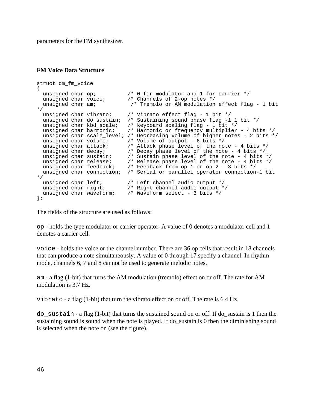parameters for the FM synthesizer.

#### **FM Voice Data Structure**

```
struct dm_fm_voice 
{
   unsigned char op; /* 0 for modulator and 1 for carrier */
  unsigned char voice; \overline{\phantom{a}} /* Channels of 2-op notes */
   unsigned char am; /* Tremolo or AM modulation effect flag - 1 bit
*/
  unsigned char vibrato; \frac{1}{2} /* Vibrato effect flag - 1 bit */<br>unsigned char do_sustain; /* Sustaining sound phase flag -1
  unsigned char do_sustain; /* Sustaining sound phase flag -1 1 bit */<br>unsigned char kbd_scale; /* keyboard scaling flag - 1 bit */<br>\frac{1}{2}unsigned char kbd_scale; /* keyboard scaling flag - 1 bit */<br>unsigned char harmonic; /* Harmonic or frequency multiplier
                                            /* Harmonic or frequency multiplier - 4 bits */
  unsigned char scale_level; /* Decreasing volume of higher notes - 2 bits */<br>unsigned char volume; /* Volume of output - 6 bits */
  unsigned char volume; \frac{1}{2} /* Volume of output - 6 bits */<br>unsigned char attack; \frac{1}{2} /* Attack phase level of the no
  unsigned char attack; /* Attack phase level of the note - 4 bits */<br>unsigned char decay; /* Decay phase level of the note - 4 bits */<br>unsigned char sustain; /* Sustain phase level of the note - 4 bits *<br>unsigned char rele
                                            /* Decay phase level of the note - 4 bits */
                                            /* Sustain phase level of the note - 4 bits */
                                            /* Release phase level of the note - 4 bits */
                                            /* Feedback from op 1 or op 2 - 3 bits */
   unsigned char connection; /* Serial or parallel operator connection-1 bit
*/
  unsigned char left; \frac{1}{2} /* Left channel audio output */
                                           /* Right channel audio output */<br>/* Waveform select - 3 bits */
  unsigned char right;<br>unsigned char waveform;<br>:
};
```
The fields of the structure are used as follows:

op - holds the type modulator or carrier operator. A value of 0 denotes a modulator cell and 1 denotes a carrier cell.

voice - holds the voice or the channel number. There are 36 op cells that result in 18 channels that can produce a note simultaneously. A value of 0 through 17 specify a channel. In rhythm mode, channels 6, 7 and 8 cannot be used to generate melodic notes.

am - a flag (1-bit) that turns the AM modulation (tremolo) effect on or off. The rate for AM modulation is 3.7 Hz.

vibrato - a flag  $(1-bit)$  that turn the vibrato effect on or off. The rate is 6.4 Hz.

do sustain - a flag (1-bit) that turns the sustained sound on or off. If do sustain is 1 then the sustaining sound is sound when the note is played. If do\_sustain is 0 then the diminishing sound is selected when the note on (see the figure).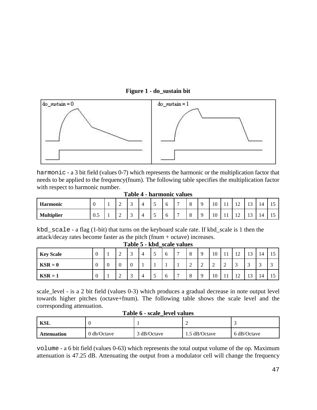#### **Figure 1 - do\_sustain bit**



harmonic - a 3 bit field (values 0-7) which represents the harmonic or the multiplication factor that needs to be applied to the frequency(fnum). The following table specifies the multiplication factor with respect to harmonic number.

**Table 4 - harmonic values**

| <b>Harmonic</b>   |          | ∽<br>- | -<br>້ | ⊶              | $\overline{\phantom{0}}$<br>$\overline{\phantom{0}}$ | ∽<br>U | $\overline{\phantom{0}}$ | ◡ | 10 | - 4<br>      | $\mathbf{1}$<br>$\overline{ }$ | $\sim$<br>∸         | 14  | ∸ |
|-------------------|----------|--------|--------|----------------|------------------------------------------------------|--------|--------------------------|---|----|--------------|--------------------------------|---------------------|-----|---|
| <b>Multiplier</b> | -<br>U.J | ∽<br>- | -<br>ັ | $\overline{ }$ | $\overline{\phantom{a}}$                             | U      | -                        | ◡ | 10 | $\mathbf{1}$ | $\sim$<br>∸                    | $\sim$<br><b>TP</b> | . . |   |

kbd\_scale - a flag (1-bit) that turns on the keyboard scale rate. If kbd\_scale is 1 then the attack/decay rates become faster as the pitch (fnum + octave) increases.

| $1$ able $3$ - Kbu scale values |                |   |   |        |   |                     |          |                |               |          |                  |             |                 |    |    |             |
|---------------------------------|----------------|---|---|--------|---|---------------------|----------|----------------|---------------|----------|------------------|-------------|-----------------|----|----|-------------|
| <b>Key Scale</b>                | $\overline{0}$ |   | ∼ | $\sim$ | 4 | $\overline{a}$<br>◡ | O        | $\overline{ }$ | $\Omega$<br>Õ | $\Omega$ | $\cap$<br>1 V    | - 1<br>. .  | 12<br>┸         | 13 | 14 |             |
| $\text{KSR} = 0$                | $\overline{0}$ | υ |   | v      |   |                     |          |                | ∸             | ∠        | $\sim$<br>∠      | $\sim$<br>∠ | $\sqrt{2}$<br>J |    |    | $\sim$<br>◡ |
| $KSR = 1$                       | $\overline{0}$ |   | ∠ |        | 4 | -<br>◡              | $\sigma$ | $\overline{ }$ | $\Omega$<br>O |          | $\sqrt{ }$<br>10 | -1          | 12              | 13 | 14 | 15          |

**Table 5 - kbd\_scale values**

scale\_level - is a 2 bit field (values 0-3) which produces a gradual decrease in note output level towards higher pitches (octave+fnum). The following table shows the scale level and the corresponding attenuation.

| <b>KSL</b>         |                                |             |               |             |  |
|--------------------|--------------------------------|-------------|---------------|-------------|--|
| <b>Attenuation</b> | $0 \, \text{db}/\text{Octave}$ | 3 dB/Octave | 1.5 dB/Octave | 6 dB/Octave |  |

**Table 6 - scale\_level values**

volume - a 6 bit field (values 0-63) which represents the total output volume of the op. Maximum attenuation is 47.25 dB. Attenuating the output from a modulator cell will change the frequency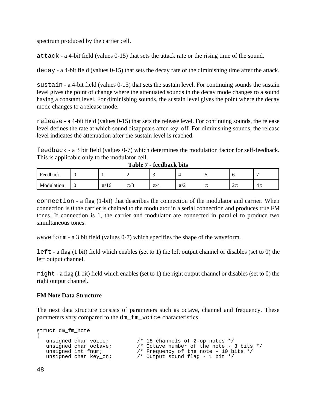spectrum produced by the carrier cell.

attack - a 4-bit field (values 0-15) that sets the attack rate or the rising time of the sound.

decay - a 4-bit field (values 0-15) that sets the decay rate or the diminishing time after the attack.

sustain - a 4-bit field (values 0-15) that sets the sustain level. For continuing sounds the sustain level gives the point of change where the attenuated sounds in the decay mode changes to a sound having a constant level. For diminishing sounds, the sustain level gives the point where the decay mode changes to a release mode.

release - a 4-bit field (values 0-15) that sets the release level. For continuing sounds, the release level defines the rate at which sound disappears after key\_off. For diminishing sounds, the release level indicates the attenuation after the sustain level is reached.

feedback - a 3 bit field (values 0-7) which determines the modulation factor for self-feedback. This is applicable only to the modulator cell.

| Feedback   |   |                         |         | -       |                   |                      | . J          | -      |
|------------|---|-------------------------|---------|---------|-------------------|----------------------|--------------|--------|
| Modulation | ◡ | $\sim$<br>$\pi$ /<br>40 | $\pi/8$ | $\pi/4$ | $\sim$<br>$\pi/2$ | $\overline{ }$<br>りし | —<br>یا او ک | $4\pi$ |

|  |  | Table 7 - feedback bits |  |
|--|--|-------------------------|--|
|--|--|-------------------------|--|

connection - a flag (1-bit) that describes the connection of the modulator and carrier. When connection is 0 the carrier is chained to the modulator in a serial connection and produces true FM tones. If connection is 1, the carrier and modulator are connected in parallel to produce two simultaneous tones.

waveform - a 3 bit field (values 0-7) which specifies the shape of the waveform.

left - a flag (1 bit) field which enables (set to 1) the left output channel or disables (set to 0) the left output channel.

right - a flag (1 bit) field which enables (set to 1) the right output channel or disables (set to 0) the right output channel.

#### **FM Note Data Structure**

The next data structure consists of parameters such as octave, channel and frequency. These parameters vary compared to the dm\_fm\_voice characteristics.

```
struct dm_fm_note
{
 unsigned char voice; /* 18 channels of 2-op notes */
 unsigned char octave; /* Octave number of the note - 3 bits */
 unsigned int fnum; /* Frequency of the note - 10 bits */
   unsigned char key_on; /* Output sound flag - 1 bit */
```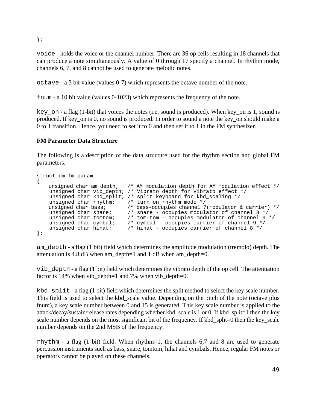};

voice - holds the voice or the channel number. There are 36 op cells resulting in 18 channels that can produce a note simultaneously. A value of 0 through 17 specify a channel. In rhythm mode, channels 6, 7, and 8 cannot be used to generate melodic notes.

octave - a 3 bit value (values 0-7) which represents the octave number of the note.

fnum - a 10 bit value (values 0-1023) which represents the frequency of the note.

key on - a flag  $(1-bit)$  that voices the notes (i.e. sound is produced). When key on is 1, sound is produced. If key\_on is 0, no sound is produced. In order to sound a note the key\_on should make a 0 to 1 transition. Hence, you need to set it to 0 and then set it to 1 in the FM synthesizer.

### **FM Parameter Data Structure**

The following is a description of the data structure used for the rhythm section and global FM parameters.

```
struct dm_fm_param 
{
     unsigned char am_depth; /* AM modulation depth for AM modulation effect */
 unsigned char vib_depth; /* Vibrato depth for Vibrato effect */
 unsigned char kbd_split; /* split keyboard for kbd_scaling */
     unsigned char rhythm; /* turn on rhythm mode */<br>unsigned char bass; /* bass-occupies channel 7
     unsigned char bass; \frac{1}{10} /* bass-occupies channel 7(modulator & carrier) */<br>unsigned char snare; /* snare - occupies modulator of channel 8 */
     unsigned char snare; /* snare - occupies modulator of channel 8 */<br>unsigned char tomtom; /* tom-tom - occupies modulator of channel 9<br>unsigned char cymbal; /* cymbal - occupies carrier of channel 9 */<br>unsigned char hibat:
                                             /* tom-tom - occupies modulator of channel 9 */
      unsigned char cymbal; /* cymbal - occupies carrier of channel 9 */<br>unsigned char hihat; /* hihat - occupies carrier of channel 8 */
                                              /* hihat - occupies carrier of channel 8 */
};
```
am\_depth - a flag (1 bit) field which determines the amplitude modulation (tremolo) depth. The attenuation is 4.8 dB when am\_depth=1 and 1 dB when am\_depth=0.

vib\_depth - a flag (1 bit) field which determines the vibrato depth of the op cell. The attenuation factor is 14% when vib\_depth=1 and 7% when vib\_depth=0.

kbd  $split$  - a flag (1 bit) field which determines the split method to select the key scale number. This field is used to select the kbd\_scale value. Depending on the pitch of the note (octave plus fnum), a key scale number between 0 and 15 is generated. This key scale number is applied to the attack/decay/sustain/release rates depending whether kbd\_scale is 1 or 0. If kbd\_split=1 then the key scale number depends on the most significant bit of the frequency. If kbd\_split=0 then the key\_scale number depends on the 2nd MSB of the frequency.

rhythm - a flag (1 bit) field. When rhythm=1, the channels 6,7 and 8 are used to generate percussion instruments such as bass, snare, tomtom, hihat and cymbals. Hence, regular FM notes or operators cannot be played on these channels.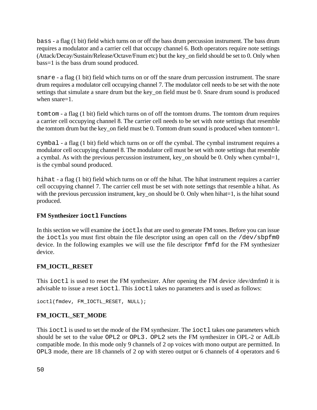bass - a flag (1 bit) field which turns on or off the bass drum percussion instrument. The bass drum requires a modulator and a carrier cell that occupy channel 6. Both operators require note settings (Attack/Decay/Sustain/Release/Octave/Fnum etc) but the key\_on field should be set to 0. Only when bass=1 is the bass drum sound produced.

snare - a flag (1 bit) field which turns on or off the snare drum percussion instrument. The snare drum requires a modulator cell occupying channel 7. The modulator cell needs to be set with the note settings that simulate a snare drum but the key\_on field must be 0. Snare drum sound is produced when snare=1.

tomtom - a flag (1 bit) field which turns on of off the tomtom drums. The tomtom drum requires a carrier cell occupying channel 8. The carrier cell needs to be set with note settings that resemble the tomtom drum but the key on field must be 0. Tomtom drum sound is produced when tomtom=1.

cymbal - a flag (1 bit) field which turns on or off the cymbal. The cymbal instrument requires a modulator cell occupying channel 8. The modulator cell must be set with note settings that resemble a cymbal. As with the previous percussion instrument, key\_on should be 0. Only when cymbal=1, is the cymbal sound produced.

hihat - a flag (1 bit) field which turns on or off the hihat. The hihat instrument requires a carrier cell occupying channel 7. The carrier cell must be set with note settings that resemble a hihat. As with the previous percussion instrument, key\_on should be 0. Only when hihat=1, is the hihat sound produced.

### **FM Synthesizer ioctl Functions**

In this section we will examine the ioctls that are used to generate FM tones. Before you can issue the ioctls you must first obtain the file descriptor using an open call on the /dev/sbpfm0 device. In the following examples we will use the file descriptor fmfd for the FM synthesizer device.

### **FM\_IOCTL\_RESET**

This ioctl is used to reset the FM synthesizer. After opening the FM device /dev/dmfm0 it is advisable to issue a reset ioctl. This ioctl takes no parameters and is used as follows:

```
ioctl(fmdev, FM_IOCTL_RESET, NULL);
```
### **FM\_IOCTL\_SET\_MODE**

This ioctl is used to set the mode of the FM synthesizer. The ioctl takes one parameters which should be set to the value OPL2 or OPL3. OPL2 sets the FM synthesizer in OPL-2 or AdLib compatible mode. In this mode only 9 channels of 2 op voices with mono output are permitted. In OPL3 mode, there are 18 channels of 2 op with stereo output or 6 channels of 4 operators and 6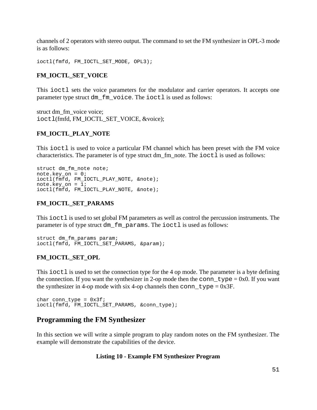channels of 2 operators with stereo output. The command to set the FM synthesizer in OPL-3 mode is as follows:

```
ioctl(fmfd, FM_IOCTL_SET_MODE, OPL3);
```
#### **FM\_IOCTL\_SET\_VOICE**

This ioctl sets the voice parameters for the modulator and carrier operators. It accepts one parameter type struct dm\_fm\_voice. The ioctl is used as follows:

struct dm\_fm\_voice voice; ioctl(fmfd, FM\_IOCTL\_SET\_VOICE, &voice);

#### **FM\_IOCTL\_PLAY\_NOTE**

This ioctl is used to voice a particular FM channel which has been preset with the FM voice characteristics. The parameter is of type struct dm\_fm\_note. The ioctl is used as follows:

```
struct dm_fm_note note;
note.key_on = 0;ioctl(fmfd, FM_IOCTL_PLAY_NOTE, &note);
note.key on = 1;
ioctl(fmfd, FM_IOCTL_PLAY_NOTE, &note);
```
#### **FM\_IOCTL\_SET\_PARAMS**

This ioctl is used to set global FM parameters as well as control the percussion instruments. The parameter is of type struct dm\_fm\_params. The ioctl is used as follows:

```
struct dm_fm_params param;
ioctl(fmfd, FM_IOCTL_SET_PARAMS, &param);
```
#### **FM\_IOCTL\_SET\_OPL**

This ioctl is used to set the connection type for the 4 op mode. The parameter is a byte defining the connection. If you want the synthesizer in 2-op mode then the conn\_type =  $0x0$ . If you want the synthesizer in 4-op mode with six 4-op channels then conn\_type =  $0x3F$ .

char conn\_type =  $0x3f$ ; ioctl(fmfd, FM\_IOCTL\_SET\_PARAMS, &conn\_type);

### **Programming the FM Synthesizer**

In this section we will write a simple program to play random notes on the FM synthesizer. The example will demonstrate the capabilities of the device.

#### **Listing 10 - Example FM Synthesizer Program**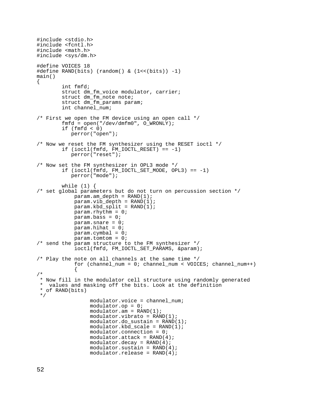```
#include <stdio.h>
#include <fcntl.h>
#include <math.h>
#include <sys/dm.h>
#define VOICES 18
#define RAND(bits) (random() & (1<<(bits)) -1)
main()
{
         int fmfd;
         struct dm_fm_voice modulator, carrier;
         struct dm_fm_note note;
        struct dm fm params param;
         int channel_num;
/* First we open the FM device using an open call */
         fmfd = open("/dev/dmfm0", O_WRONLY);
        if (fmfd < 0) perror("open");
/* Now we reset the FM synthesizer using the RESET ioctl */
        if (ioctl(fmfd, FM_IOCTL_REST) == -1) perror("reset");
/* Now set the FM synthesizer in OPL3 mode */
        if (ioctl(fmfd, FM_lOCTL_SET_MODE, OPL3) == -1) perror("mode");
        while (1) {
/* set global parameters but do not turn on percussion section */
            param.annotation = RAND(1);param.vib_depth = RAND(1);param.kbd_split = RAND(1);param.rhythm = 0;param. bass = 0; param.snare = 0;
             param.hihat = 0;
             param.cymbal = 0;
             param.tomtom = 0;
/* send the param structure to the FM synthesizer */
            ioctl(fmfd, FM_IOCTL_SET_PARAMS, &param);
/* Play the note on all channels at the same time */
             for (channel_num = 0; channel_num < VOICES; channel_num++)
\left\{ \begin{array}{c} 1 & 1 \\ 1 & 1 \end{array} \right\}/*
  * Now fill in the modulator cell structure using randomly generated
  * values and masking off the bits. Look at the definition
  * of RAND(bits) 
  */
                   modulator.voice = channel_num;
                   modulator.op = 0;
                  modulator . am = RAND(1); modulator.vibrato = RAND(1);
                   modulator.do_sustain = RAND(1);
                   modulator.kbd_scale = RAND(1);
                   modulator.connection = 0; 
                  modulator.attack = RAND(4);modulator.decay = RAND(4);
                   modulator.sustain = RAND(4);
                   modulator.release = RAND(4);
```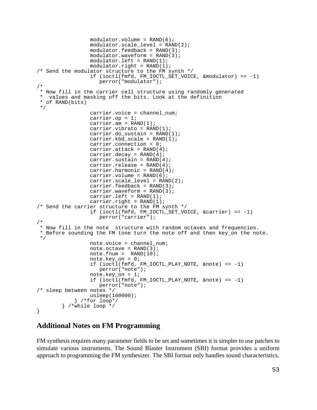```
modulator.volume = RAND(6);modulator.scale level = RAND(2);
                 modulator.feedback = RAND(3);modulator.waveform = RAND(3);modulator.left = RAND(1);modulator.right = RAND(1);/* Send the modulator structure to the FM synth */
                  if (ioctl(fmfd, FM_IOCTL_SET_VOICE, &modulator) == -1)
                     perror("modulator");
/*
  * Now fill in the carrier cell structure using randomly generated
   values and masking off the bits. Look at the definition
 * of RAND(bits) 
  */
                  carrier.voice = channel_num;
                  carrier.op = 1;
                 carrier.am = RAND(1);
                 carrier.vibrato = RAND(1);
                 carrier.do sustain = RAND(1); carrier.kbd_scale = RAND(1);
                  carrier.connection = 0; 
                 carrier.attack = RAND(4);
                 carrier.decay = RAND(4);
                 carrier.sustain = RAND(4);
                 carrier.release = RAND(4);
                 carrier.harmonic = RAND(4);
                 carrier.volume = RAND(6);
                  carrier.scale_level = RAND(2);
                 carrier.feedback = RAND(3);
                 carrier.waveform = RAND(3);
                 carrier.left = RAND(1);
                 carrier.right = RAND(1);/* Send the carrier structure to the FM synth */
                  if (ioctl(fmfd, FM_IOCTL_SET_VOICE, &carrier) == -1)
                     perror("carrier");
/* 
  * Now fill in the note structure with random octaves and frequencies.
 * Before sounding the FM tone turn the note off and then key_on the note.
  */
                  note.voice = channel_num;
                 note.octave = RAND(3);note. fnum = RAND(10);note.key_on = 0;if (ioctl(fmfd, FM\_IOCTL\_PLAY\_NOTE, % m=1)
                     perror("note");
                 note. key\_on = 1;if (ioctl(fmfd, FM_IOCTL_PLAY_NOTE, \&note) == -1)
                     perror("note");
/* sleep between notes */
                 usleep(100000);
             } /*for loop*/
         } /*while loop */
}
```
## **Additional Notes on FM Programming**

FM synthesis requires many parameter fields to be set and sometimes it is simpler to use patches to simulate various instruments. The Sound Blaster Instrument (SBI) format provides a uniform approach to programming the FM synthesizer. The SBI format only handles sound characteristics.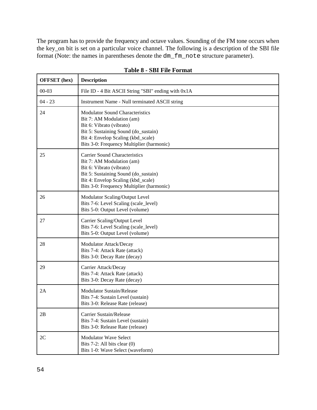The program has to provide the frequency and octave values. Sounding of the FM tone occurs when the key\_on bit is set on a particular voice channel. The following is a description of the SBI file format (Note: the names in parentheses denote the dm\_fm\_note structure parameter).

| <b>OFFSET</b> (hex) | <b>Description</b>                                                                                                                                                                                                         |
|---------------------|----------------------------------------------------------------------------------------------------------------------------------------------------------------------------------------------------------------------------|
| $00 - 03$           | File ID - 4 Bit ASCII String "SBI" ending with 0x1A                                                                                                                                                                        |
| $04 - 23$           | Instrument Name - Null terminated ASCII string                                                                                                                                                                             |
| 24                  | <b>Modulator Sound Characteristics</b><br>Bit 7: AM Modulation (am)<br>Bit 6: Vibrato (vibrato)<br>Bit 5: Sustaining Sound (do_sustain)<br>Bit 4: Envelop Scaling (kbd_scale)<br>Bits 3-0: Frequency Multiplier (harmonic) |
| 25                  | <b>Carrier Sound Characteristics</b><br>Bit 7: AM Modulation (am)<br>Bit 6: Vibrato (vibrato)<br>Bit 5: Sustaining Sound (do_sustain)<br>Bit 4: Envelop Scaling (kbd_scale)<br>Bits 3-0: Frequency Multiplier (harmonic)   |
| 26                  | Modulator Scaling/Output Level<br>Bits 7-6: Level Scaling (scale_level)<br>Bits 5-0: Output Level (volume)                                                                                                                 |
| 27                  | Carrier Scaling/Output Level<br>Bits 7-6: Level Scaling (scale_level)<br>Bits 5-0: Output Level (volume)                                                                                                                   |
| 28                  | Modulator Attack/Decay<br>Bits 7-4: Attack Rate (attack)<br>Bits 3-0: Decay Rate (decay)                                                                                                                                   |
| 29                  | Carrier Attack/Decay<br>Bits 7-4: Attack Rate (attack)<br>Bits 3-0: Decay Rate (decay)                                                                                                                                     |
| 2A                  | <b>Modulator Sustain/Release</b><br>Bits 7-4: Sustain Level (sustain)<br>Bits 3-0: Release Rate (release)                                                                                                                  |
| 2B                  | Carrier Sustain/Release<br>Bits 7-4: Sustain Level (sustain)<br>Bits 3-0: Release Rate (release)                                                                                                                           |
| 2C                  | <b>Modulator Wave Select</b><br>Bits $7-2$ : All bits clear $(0)$<br>Bits 1-0: Wave Select (waveform)                                                                                                                      |

**Table 8 - SBI File Format**

 $\overline{\mathbf{1}}$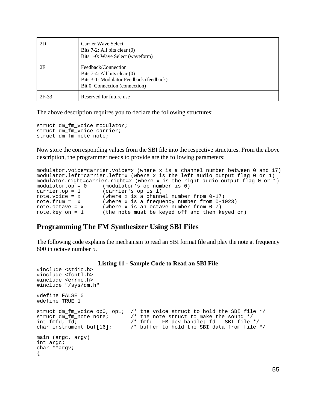| 2D      | Carrier Wave Select<br>Bits $7-2$ : All bits clear $(0)$<br>Bits 1-0: Wave Select (waveform)                                          |
|---------|---------------------------------------------------------------------------------------------------------------------------------------|
| 2E      | Feedback/Connection<br>Bits $7-4$ : All bits clear $(0)$<br>Bits 3-1: Modulator Feedback (feedback)<br>Bit 0: Connection (connection) |
| $2F-33$ | Reserved for future use                                                                                                               |

The above description requires you to declare the following structures:

```
struct dm_fm_voice modulator;
struct dm_fm_voice carrier;
struct dm_fm_note note;
```
Now store the corresponding values from the SBI file into the respective structures. From the above description, the programmer needs to provide are the following parameters:

```
modulator.voice=carrier.voice=x (where x is a channel number between 0 and 17)
modulator.left=carrier.left=x (where x is the left audio output flag 0 or 1)
modulator.right=carrier.right=x (where x is the right audio output flag 0 or 1)
modulator.op = 0 (modulator's op number is 0)
carrier.op = 1 (carrier's op is 1)
note.voice = x (where x is a channel number from 0-17)
note.fnum = x (where x is a frequency number from 0-1023)
note.octave = x (where x is an octave number from 0-7)
note.key_on = 1 (the note must be keyed off and then keyed on)
```
### **Programming The FM Synthesizer Using SBI Files**

The following code explains the mechanism to read an SBI format file and play the note at frequency 800 in octave number 5.

#### **Listing 11 - Sample Code to Read an SBI File**

```
#include <stdio.h>
#include <fcntl.h>
#include <errno.h>
#include "/sys/dm.h"
#define FALSE 0
#define TRUE 1
struct dm_fm_voice op0, op1; /* the voice struct to hold the SBI file */<br>struct dm_fm_note note; /* the note struct to make the sound */
struct dm_fm_note note; <br>int fmfd, fd;<br>/* fmfd - FM dev handle; fd - SBI file<br>/
int fmfd, fd;<br>
char instrument_buf[16]; /* fmfd - FM dev handle; fd - SBI file */<br>
char instrument_buf[16]; /* buffer to hold the SBI data from file
                                         /* buffer to hold the SBI data from file */
main (argc, argv)
int argc;
char **argv;
{
```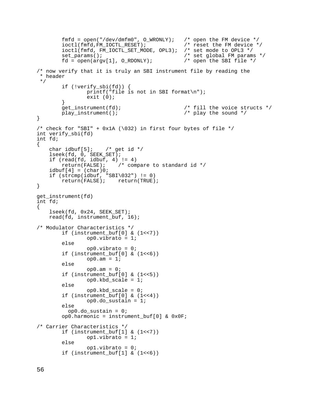```
fmfd = open("/dev/dmfm0", O_{WRONLY}; /* open the FM device */<br>ioctl(fmfd,FM IOCTL RESET); /* reset the FM device */
         ioctl(fmfd,FM_IOCTL_RESET); <br>ioctl(fmfd,FM_IOCTL_SET_MODE, OPL3); /* set_mode_to_OPL3 */
         ioctl(fmfd, FM_IOCTL_SET_MODE, OPL3);
         set_params();<br>fd = open(argv[1], O_RDONLY);<br>\frac{7}{5} /* open the SBI file */
         fd = open(argv[1], O_RDOMLY);/* now verify that it is truly an SBI instrument file by reading the 
  * header
  */
          if (!verify_sbi(fd)) {
                   printf("file is not in SBI format\n");
                  exit (0);
         }<br>get_instrument(fd);
                                                    /* fill the voice structs */play_instrument(); \overline{y} /* play the sound */
}
/* check for "SBI" + 0x1A (\032) in first four bytes of file */
int verify_sbi(fd)
int fd;
{
    char idbuf[5]; /* get id */ lseek(fd, 0, SEEK_SET);
    if (read(fd, idbuf, 4) != 4)<br>return(FALSE); /* com
                            /* compare to standard id */
    idbuf[4] = (char)0;if (strcmp(idbut, "SBI\032") != 0)return(FALSE); return(TRUE);
}
get_instrument(fd)
int fd;
{
     lseek(fd, 0x24, SEEK_SET);
    read(fd, instrument buf, 16);
/* Modulator Characteristics */
          if (instrument_buf[0] & (1<<7))
                  op0.vibrato = 1;
          else
                   op0.vibrato = 0;
          if (instrument_buf[0] & (1<<6))
                  op0.am = 1; else
                  op0.am = 0; if (instrument_buf[0] & (1<<5))
                  op0.kbd scale = 1;
          else
                   op0.kbd_scale = 0;
          if (instrument_buf[0] & (1<<4))
                  op0.do_sustain = 1;
          else
           op0.do sustain = 0; op0.harmonic = instrument_buf[0] & 0x0F;
/* Carrier Characteristics */
          if (instrument_buf[1] & (1<<7))
                   op1.vibrato = 1;
          else
                   op1.vibrato = 0;
          if (instrument_buf[1] & (1<<6))
```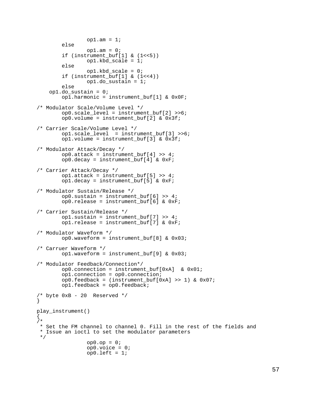```
op1.am = 1; else
                op1.am = 0; if (instrument_buf[1] & (1<<5))
                 op1.kbd_scale = 1;
         else
                 op1.kbd_scale = 0;
         if (instrument_buf[1] & (1<<4))
                 op1.do_sustain = 1;
         else
     op1.do_sustain = 0;
         op1.harmonic = instrument_buf[1] & 0x0F;
/* Modulator Scale/Volume Level */
         op0.scale_level = instrument_buf[2] >>6;
         op0.volume = instrument_buf[2] & 0x3f;
/* Carrier Scale/Volume Level */
         op1.scale_level = instrument_buf[3] >>6;
         op1.volume = instrument_buf[3] & 0x3f;
/* Modulator Attack/Decay */ 
         op0.attack = instrument_buf[4] >> 4;
         op0.decay = instrument_buf[4] & 0xF;
/* Carrier Attack/Decay */
         op1.attack = instrument_buf[5] >> 4;
         op1.decay = instrument_buf[5] & 0xF;
/* Modulator Sustain/Release */ 
         op0.sustain = instrument_buf[6] >> 4;
         op0.release = instrument_buf[6] & 0xF;
/* Carrier Sustain/Release */
        op1.sustain = instrument buf[7] >> 4;
         op1.release = instrument_buf[7] & 0xF;
/* Modulator Waveform */ 
         op0.waveform = instrument_buf[8] & 0x03;
/* Carruer Waveform */
         op1.waveform = instrument_buf[9] & 0x03;
/* Modulator Feedback/Connection*/ 
         op0.connection = instrument_buf[0xA] & 0x01;
         op1.connection = op0.connection; 
        op0.feedback = (instrument bulf[0xA] >> 1) & 0x07;op1.feedback = op0.feedback;/* byte 0xB - 20 Reserved */
}
play_instrument()
{
/*
  * Set the FM channel to channel 0. Fill in the rest of the fields and
  * Issue an ioctl to set the modulator parameters
  */
                op0.op = 0; op0.voice = 0;
                 op0.left = 1;
```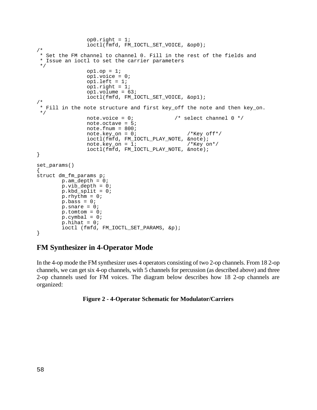```
op0.right = 1; ioctl(fmfd, FM_IOCTL_SET_VOICE, &op0);
/*
  * Set the FM channel to channel 0. Fill in the rest of the fields and
  * Issue an ioctl to set the carrier parameters
  */
                  op1.op = 1; op1.voice = 0;
                   op1.left = 1;
                  op1.right = 1; op1.volume = 63;
                   ioctl(fmfd, FM_IOCTL_SET_VOICE, &op1);
/*
  * Fill in the note structure and first key_off the note and then key_on.
 */
                  note.voice = 0; 4 \times select channel 0 \times/
                   note.octave = 5;
                  note.fnum = 800;note. key\_on = 0; /*Key off*/
                  \begin{array}{lcl} \texttt{iccl}(\texttt{fmfd},\texttt{FM\_IOCTL\_PLAN\_NOTE},\texttt{~\&note});\\ \texttt{note}.\texttt{key\_on} = 1; & \texttt{/*Key on*} \end{array}note.key_on = 1;ioctl(fmfd, FM_IOCTL_PLAY_NOTE, &note);
}
set_params()
{
struct dm_fm_params p;
        p . am\_depth = 0; p.vib_depth = 0;
         p.kbd_split = 0;p.rhythm = 0;p.bass = 0;p.snare = 0;p.tomton = 0;p.cymbal = 0;
         p.hihat = 0; ioctl (fmfd, FM_IOCTL_SET_PARAMS, &p);
}
```
## **FM Synthesizer in 4-Operator Mode**

In the 4-op mode the FM synthesizer uses 4 operators consisting of two 2-op channels. From 18 2-op channels, we can get six 4-op channels, with 5 channels for percussion (as described above) and three 2-op channels used for FM voices. The diagram below describes how 18 2-op channels are organized:

#### **Figure 2 - 4-Operator Schematic for Modulator/Carriers**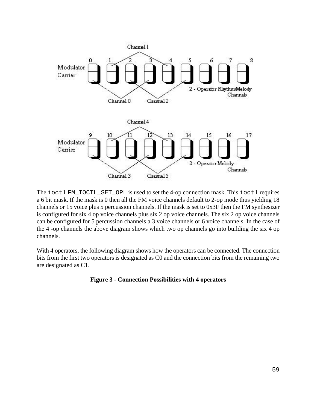

The ioctl FM\_IOCTL\_SET\_OPL is used to set the 4-op connection mask. This ioctl requires a 6 bit mask. If the mask is 0 then all the FM voice channels default to 2-op mode thus yielding 18 channels or 15 voice plus 5 percussion channels. If the mask is set to 0x3F then the FM synthesizer is configured for six 4 op voice channels plus six 2 op voice channels. The six 2 op voice channels can be configured for 5 percussion channels a 3 voice channels or 6 voice channels. In the case of the 4 -op channels the above diagram shows which two op channels go into building the six 4 op channels.

With 4 operators, the following diagram shows how the operators can be connected. The connection bits from the first two operators is designated as C0 and the connection bits from the remaining two are designated as C1.

#### **Figure 3 - Connection Possibilities with 4 operators**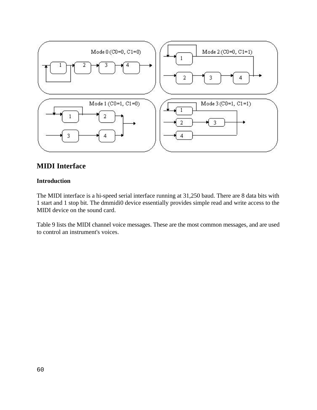

## **MIDI Interface**

#### **Introduction**

The MIDI interface is a hi-speed serial interface running at 31,250 baud. There are 8 data bits with 1 start and 1 stop bit. The dmmidi0 device essentially provides simple read and write access to the MIDI device on the sound card.

Table 9 lists the MIDI channel voice messages. These are the most common messages, and are used to control an instrument's voices.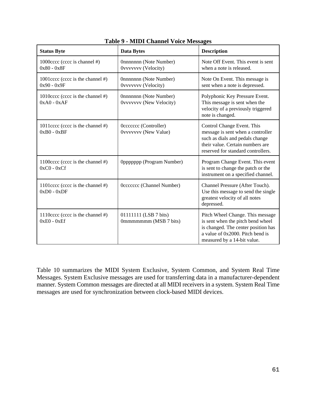| <b>Status Byte</b>                                   | <b>Data Bytes</b>                                 | <b>Description</b>                                                                                                                                                              |
|------------------------------------------------------|---------------------------------------------------|---------------------------------------------------------------------------------------------------------------------------------------------------------------------------------|
| 1000 cccc (cccc is channel #)<br>$0x80 - 0x8F$       | Onnnnnnn (Note Number)<br>0vvvvvvv (Velocity)     | Note Off Event. This event is sent<br>when a note is released.                                                                                                                  |
| 1001cccc (cccc is the channel #)<br>$0x90 - 0x9F$    | Onnnnnnn (Note Number)<br>Ovvvvvvv (Velocity)     | Note On Event. This message is<br>sent when a note is depressed.                                                                                                                |
| 1010cccc (cccc is the channel #)<br>$0xA0 - 0xAF$    | Onnnnnnn (Note Number)<br>Ovvvvvvv (New Velocity) | Polyphonic Key Pressure Event.<br>This message is sent when the<br>velocity of a previously triggered<br>note is changed.                                                       |
| 1011cccc (cccc is the channel #)<br>$0xB0 - 0xBF$    | Occecccc (Controller)<br>Ovvvvvvv (New Value)     | Control Change Event. This<br>message is sent when a controller<br>such as dials and pedals change<br>their value. Certain numbers are<br>reserved for standard controllers.    |
| 1100 cccc (cccc is the channel #)<br>$0xC0 - 0xCf$   | Oppppppp (Program Number)                         | Program Change Event. This event<br>is sent to change the patch or the<br>instrument on a specified channel.                                                                    |
| 1101cccc (cccc is the channel $#$ )<br>$0xD0 - 0xDF$ | Occccccc (Channel Number)                         | Channel Pressure (After Touch).<br>Use this message to send the single<br>greatest velocity of all notes<br>depressed.                                                          |
| 1110cccc (cccc is the channel #)<br>$0xE0 - 0xEf$    | 01111111 (LSB 7 bits)<br>0mmmmmmm (MSB 7 bits)    | Pitch Wheel Change. This message<br>is sent when the pitch bend wheel<br>is changed. The center position has<br>a value of 0x2000. Pitch bend is<br>measured by a 14-bit value. |

**Table 9 - MIDI Channel Voice Messages**

Table 10 summarizes the MIDI System Exclusive, System Common, and System Real Time Messages. System Exclusive messages are used for transferring data in a manufacturer-dependent manner. System Common messages are directed at all MIDI receivers in a system. System Real Time messages are used for synchronization between clock-based MIDI devices.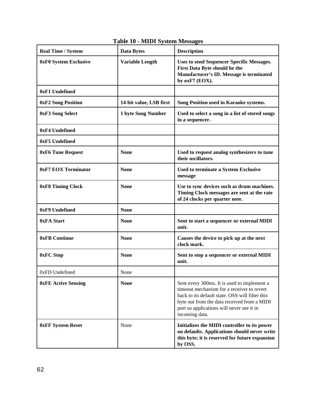| <b>Real Time / System</b>  | <b>Data Bytes</b>       | <b>Description</b>                                                                                                                                                                                                                                         |  |  |  |  |
|----------------------------|-------------------------|------------------------------------------------------------------------------------------------------------------------------------------------------------------------------------------------------------------------------------------------------------|--|--|--|--|
| 0xF0 System Exclusive      | <b>Variable Length</b>  | <b>Uses to send Sequencer Specific Messages.</b><br>First Data Byte should be the<br>Manufacturer's ID. Message is terminated<br>by oxF7 (EOX).                                                                                                            |  |  |  |  |
| 0xF1 Undefined             |                         |                                                                                                                                                                                                                                                            |  |  |  |  |
| <b>0xF2 Song Position</b>  | 14-bit value, LSB first | Song Position used in Karaoke systems.                                                                                                                                                                                                                     |  |  |  |  |
| 0xF3 Song Select           | 1 byte Song Number      | Used to select a song in a list of stored songs<br>in a sequencer.                                                                                                                                                                                         |  |  |  |  |
| 0xF4 Undefined             |                         |                                                                                                                                                                                                                                                            |  |  |  |  |
| 0xF5 Undefined             |                         |                                                                                                                                                                                                                                                            |  |  |  |  |
| 0xF6 Tune Request          | <b>None</b>             | Used to request analog synthesizers to tune<br>their oscillators.                                                                                                                                                                                          |  |  |  |  |
| 0xF7 EOX Terminator        | <b>None</b>             | <b>Used to terminate a System Exclusive</b><br>message                                                                                                                                                                                                     |  |  |  |  |
| 0xF8 Timing Clock          | <b>None</b>             | Use to sync devices such as drum machines.<br>Timing Clock messages are sent at the rate<br>of 24 clocks per quarter note.                                                                                                                                 |  |  |  |  |
| 0xF9 Undefined             | <b>None</b>             |                                                                                                                                                                                                                                                            |  |  |  |  |
| 0xFA Start                 | <b>None</b>             | Sent to start a sequencer or external MIDI<br>unit.                                                                                                                                                                                                        |  |  |  |  |
| 0xFB Continue              | <b>None</b>             | Causes the device to pick up at the next<br>clock mark.                                                                                                                                                                                                    |  |  |  |  |
| 0xFC Stop                  | <b>None</b>             | Sent to stop a sequencer or external MIDI<br>unit.                                                                                                                                                                                                         |  |  |  |  |
| 0xFD Undefined             | None                    |                                                                                                                                                                                                                                                            |  |  |  |  |
| <b>0xFE Active Sensing</b> | <b>None</b>             | Sent every 300ms. It is used to implement a<br>timeout mechanism for a receiver to revert<br>back to its default state. OSS will filter this<br>byte out from the data received from a MIDI<br>port so applications will never see it in<br>incoming data. |  |  |  |  |
| <b>0xFF System Reset</b>   | None                    | Initializes the MIDI controller to its power<br>on defaults. Applications should never write<br>this byte; it is reserved for future expansion<br>by OSS.                                                                                                  |  |  |  |  |

## **Table 10 - MIDI System Messages**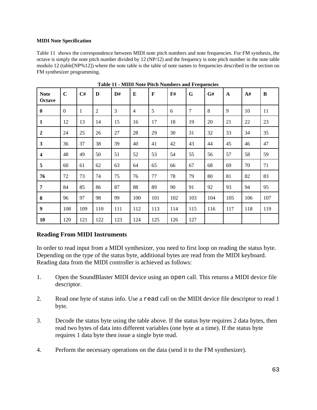#### **MIDI Note Specification**

Table 11 shows the correspondence between MIDI note pitch numbers and note frequencies. For FM synthesis, the octave is simply the note pitch number divided by 12 (NP/12) and the frequency is note pitch number in the note table modulo 12 (table[NP%12]) where the note table is the table of note names to frequencies described in the section on FM synthesizer programming.

| <b>Note</b><br>Octave   | $\mathbf C$ | C#  | D              | D#  | E              | $\mathbf F$ | F#  | G   | G#  | $\mathbf{A}$ | A#  | B   |
|-------------------------|-------------|-----|----------------|-----|----------------|-------------|-----|-----|-----|--------------|-----|-----|
| $\bf{0}$                | $\theta$    | 1   | $\overline{2}$ | 3   | $\overline{4}$ | 5           | 6   | 7   | 8   | 9            | 10  | 11  |
| 1                       | 12          | 13  | 14             | 15  | 16             | 17          | 18  | 19  | 20  | 21           | 22  | 23  |
| $\boldsymbol{2}$        | 24          | 25  | 26             | 27  | 28             | 29          | 30  | 31  | 32  | 33           | 34  | 35  |
| $\mathbf{3}$            | 36          | 37  | 38             | 39  | 40             | 41          | 42  | 43  | 44  | 45           | 46  | 47  |
| $\overline{\mathbf{4}}$ | 48          | 49  | 50             | 51  | 52             | 53          | 54  | 55  | 56  | 57           | 58  | 59  |
| 5                       | 60          | 61  | 62             | 63  | 64             | 65          | 66  | 67  | 68  | 69           | 70  | 71  |
| 76                      | 72          | 73  | 74             | 75  | 76             | 77          | 78  | 79  | 80  | 81           | 82  | 83  |
| $\overline{7}$          | 84          | 85  | 86             | 87  | 88             | 89          | 90  | 91  | 92  | 93           | 94  | 95  |
| 8                       | 96          | 97  | 98             | 99  | 100            | 101         | 102 | 103 | 104 | 105          | 106 | 107 |
| 9                       | 108         | 109 | 110            | 111 | 112            | 113         | 114 | 115 | 116 | 117          | 118 | 119 |
| 10                      | 120         | 121 | 122            | 123 | 124            | 125         | 126 | 127 |     |              |     |     |

**Table 11 - MIDI Note Pitch Numbers and Frequencies**

#### **Reading From MIDI Instruments**

In order to read input from a MIDI synthesizer, you need to first loop on reading the status byte. Depending on the type of the status byte, additional bytes are read from the MIDI keyboard. Reading data from the MIDI controller is achieved as follows:

- 1. Open the SoundBlaster MIDI device using an open call. This returns a MIDI device file descriptor.
- 2. Read one byte of status info. Use a read call on the MIDI device file descriptor to read 1 byte.
- 3. Decode the status byte using the table above. If the status byte requires 2 data bytes, then read two bytes of data into different variables (one byte at a time). If the status byte requires 1 data byte then issue a single byte read.
- 4. Perform the necessary operations on the data (send it to the FM synthesizer).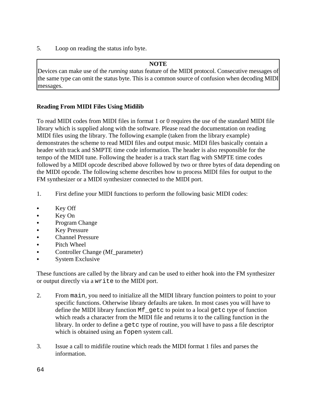5. Loop on reading the status info byte.

## **NOTE**

Devices can make use of the *running status* feature of the MIDI protocol. Consecutive messages of the same type can omit the status byte. This is a common source of confusion when decoding MIDI messages.

## **Reading From MIDI Files Using Midilib**

To read MIDI codes from MIDI files in format 1 or 0 requires the use of the standard MIDI file library which is supplied along with the software. Please read the documentation on reading MIDI files using the library. The following example (taken from the library example) demonstrates the scheme to read MIDI files and output music. MIDI files basically contain a header with track and SMPTE time code information. The header is also responsible for the tempo of the MIDI tune. Following the header is a track start flag with SMPTE time codes followed by a MIDI opcode described above followed by two or three bytes of data depending on the MIDI opcode. The following scheme describes how to process MIDI files for output to the FM synthesizer or a MIDI synthesizer connected to the MIDI port.

- 1. First define your MIDI functions to perform the following basic MIDI codes:
- Key Off
- Key On
- & Program Change
- Key Pressure
- & Channel Pressure
- & Pitch Wheel
- Controller Change (Mf\_parameter)
- & System Exclusive

These functions are called by the library and can be used to either hook into the FM synthesizer or output directly via a write to the MIDI port.

- 2. From main, you need to initialize all the MIDI library function pointers to point to your specific functions. Otherwise library defaults are taken. In most cases you will have to define the MIDI library function Mf\_getc to point to a local getc type of function which reads a character from the MIDI file and returns it to the calling function in the library. In order to define a getc type of routine, you will have to pass a file descriptor which is obtained using an fopen system call.
- 3. Issue a call to midifile routine which reads the MIDI format 1 files and parses the information.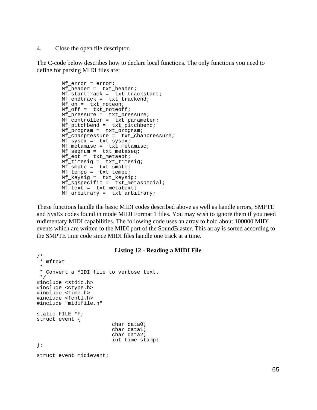4. Close the open file descriptor.

The C-code below describes how to declare local functions. The only functions you need to define for parsing MIDI files are:

```
Mf error = error;
        Mf_header = txt_header;
        Mf_starttrack = txt_trackstart;
        Mf_endtrack = txt_trackend;
        Mf_on = txt_noteon;
        Mf_off = txt_noteoff;
Mf_pressure = txt_pressure;
 Mf_controller = txt_parameter;
        Mf_pitchbend = txt_pitchbend;
        Mf_program = txt_program;
        Mf_chanpressure = txt_chanpressure;
        Mf_sysex = txt_sysex;
       Mf metamisc = txt metamisc;
        Mf_seqnum = txt_metaseq;
       Mf_eot = txt_metaeot; Mf_timesig = txt_timesig;
Mf_smpte = txt_smpte;
Mf_tempo = txt_tempo;
 Mf_keysig = txt_keysig;
        Mf_sqspecific = txt_metaspecial;
       Mf_{text} = txt_metatext;
        Mf_arbitrary = txt_arbitrary;
```
These functions handle the basic MIDI codes described above as well as handle errors, SMPTE and SysEx codes found in mode MIDI Format 1 files. You may wish to ignore them if you need rudimentary MIDI capabilities. The following code uses an array to hold about 100000 MIDI events which are written to the MIDI port of the SoundBlaster. This array is sorted according to the SMPTE time code since MIDI files handle one track at a time.

#### **Listing 12 - Reading a MIDI File**

```
/*
 * mftext
 * 
  * Convert a MIDI file to verbose text.
  */
#include <stdio.h>
#include <ctype.h>
#include <time.h>
#include <fcntl.h>
#include "midifile.h"
static FILE *F;
struct event {
                          char data0;
                          char data1;
                          char data2;
                          int time_stamp;
};
struct event midievent;
```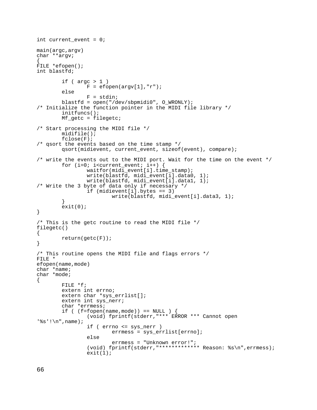```
int current_event = 0;
main(argc,argv)
char **argv;
{
FILE *efopen();
int blastfd;
        if ( \arg c > 1 )
                F = efopen(argv[1], "r");
         else
                 F = stdin;
         blastfd = open("/dev/sbpmidi0", O_WRONLY);
/* Initialize the function pointer in the MIDI file library */
         initfuncs();
         Mf_getc = filegetc;
/* Start processing the MIDI file */
         midifile();
         fclose(F);
/* qsort the events based on the time stamp */
         qsort(midievent, current_event, sizeof(event), compare);
/* write the events out to the MIDI port. Wait for the time on the event */
        for (i=0; i<sup>2</sup>) is interest (i+1) {
                 waitfor(midi_event[i].time_stamp);
                 write(blastfd, midi_event[i].data0, 1);
                 write(blastfd, midi_event[i].data1, 1);
/* Write the 3 byte of data only if necessary */
                 if (midievent[i].bytes == 3)
                          write(blastfd, midi_event[i].data3, 1);
 }
        ext(0);}
/* This is the getc routine to read the MIDI file */
filegetc()
{
         return(getc(F));
}
/* This routine opens the MIDI file and flags errors */
FILE *
efopen(name,mode)
char *name;
char *mode;
{
         FILE *f;
         extern int errno;
         extern char *sys_errlist[];
         extern int sys_nerr;
         char *errmess;
        if ( (f=fopen(name,mode) == NULL ) {
                  (void) fprintf(stderr,"*** ERROR *** Cannot open
'%s'!\n",name);
                 if ( errno <= sys_nerr )
                          errmess = sys_errlist[errno];
                 else
                          errmess = "Unknown error!";
                  (void) fprintf(stderr,"************* Reason: %s\n",errmess);
                exit(1);
```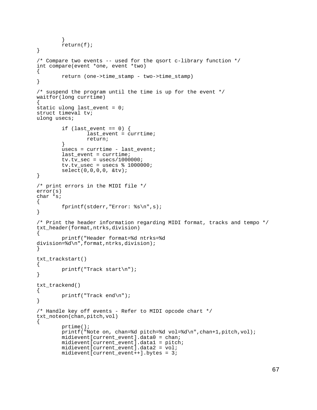```
 }
        return(f);}
/* Compare two events -- used for the qsort c-library function */
int compare(event *one, event *two)
\{ return (one->time_stamp - two->time_stamp)
}
/* suspend the program until the time is up for the event */waitfor(long currtime)
{
static ulong last_event = 0;
struct timeval tv;
ulong usecs;
        if (last\_event == 0) {
                  last_event = currtime;
                 return;
         }
         usecs = currtime - last_event;
         last_event = currtime;
        tv.tv\_sec = usecs/1000000itv.tv_usec = usecs % 1000000;
         select(0,0,0,0, &tv);
}
/* print errors in the MIDI file */
error(s)
char *s;
\left\{ \right. fprintf(stderr,"Error: %s\n",s);
}
/* Print the header information regarding MIDI format, tracks and tempo */
txt_header(format,ntrks,division)
{
         printf("Header format=%d ntrks=%d
division=%d\n",format,ntrks,division);
}
txt_trackstart()
{
         printf("Track start\n");
}
txt_trackend()
{
         printf("Track end\n");
}
/* Handle key off events - Refer to MIDI opcode chart */
txt_noteon(chan,pitch,vol)
{
         prtime();
         printf("Note on, chan=%d pitch=%d vol=%d\n",chan+1,pitch,vol);
        midievent[current event].data0 = chan;
         midievent[current_event].data1 = pitch;
         midievent[current_event].data2 = vol;
         midievent[current_event++].bytes = 3;
```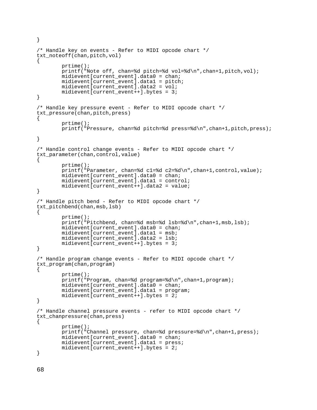```
}
/* Handle key on events - Refer to MIDI opcode chart */
txt_noteoff(chan,pitch,vol)
{
         prtime();
         printf("Note off, chan=%d pitch=%d vol=%d\n",chan+1,pitch,vol);
         midievent[current_event].data0 = chan;
         midievent[current_event].data1 = pitch;
         midievent[current_event].data2 = vol;
        midievent[current event++].bytes = 3;}
/* Handle key pressure event - Refer to MIDI opcode chart */
txt_pressure(chan,pitch,press)
{
         prtime();
         printf("Pressure, chan=%d pitch=%d press=%d\n",chan+1,pitch,press); 
}
/* Handle control change events - Refer to MIDI opcode chart */
txt_parameter(chan,control,value)
{
         prtime();
         printf("Parameter, chan=%d c1=%d c2=%d\n",chan+1,control,value);
         midievent[current_event].data0 = chan;
         midievent[current_event].data1 = control;
         midievent[current_event++].data2 = value;
}
/* Handle pitch bend - Refer to MIDI opcode chart */
txt_pitchbend(chan,msb,lsb)
{
         prtime();
         printf("Pitchbend, chan=%d msb=%d lsb=%d\n",chan+1,msb,lsb);
         midievent[current_event].data0 = chan;
         midievent[current_event].data1 = msb;
         midievent[current_event].data2 = lsb;
        midevent[current_events]\n.bytes = 3;
}
/* Handle program change events - Refer to MIDI opcode chart */
txt_program(chan,program)
{
         prtime();
         printf("Program, chan=%d program=%d\n",chan+1,program);
         midievent[current_event].data0 = chan;
         midievent[current_event].data1 = program;
        midievent[current_event++].bytes = 2;
}
/* Handle channel pressure events - refer to MIDI opcode chart */
txt_chanpressure(chan,press)
{
         prtime();
         printf("Channel pressure, chan=%d pressure=%d\n",chan+1,press);
        mid(current event event).data0 = chan; midievent[current_event].data1 = press;
        midevent[current_events + 1.bytes = 2;}
```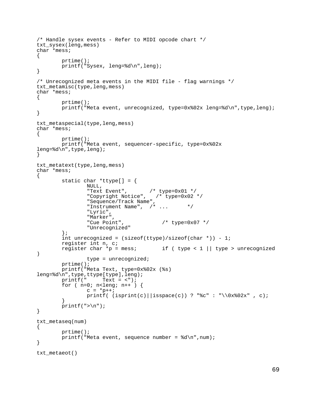```
/* Handle sysex events - Refer to MIDI opcode chart */
txt_sysex(leng,mess)
char *mess;
{
         prtime();
         printf("Sysex, leng=%d\n",leng);
}
/* Unrecognized meta events in the MIDI file - flag warnings */
txt_metamisc(type,leng,mess)
char *mess;
{
         prtime();
         printf("Meta event, unrecognized, type=0x%02x leng=%d\n",type,leng);
}
txt_metaspecial(type,leng,mess)
char *mess;
{
         prtime();
         printf("Meta event, sequencer-specific, type=0x%02x
leng=%d\n",type,leng);
}
txt_metatext(type,leng,mess)
char *mess;
{
         static char *ttype[] = {
                 NULL,
"Text Event", /* type=0x01 */
 "Copyright Notice", /* type=0x02 */
                 "Sequence/Track Name",
                 "Instrument Name", /* ... */
                 "Lyric",
                 "Marker",
                                        /* type=0x07 */
                 "Unrecognized"
         };
        int unrecognized = (sizeof(ttype)/sizeof(char *)) - 1;register int n, c;<br>reqister char *p = mess;
                                        if ( type < 1 || type > unrecognized
)
                 type = unrecognized;
         prtime();
         printf("Meta Text, type=0x%02x (%s) 
leng=%d\n",type,ttype[type],leng);
        printf(" Truext = < ");for ( n=0; n -leng; n++ ) {
                c = *p++;printf( (isprint(c)||isspace(c)) ? "%c" : "\\0x%02x", c);
 }
        print(f(">\n'');
}
txt_metaseq(num)
{
         prtime();
        printf("Meta event, sequence number = d \n\alpha", num);
}
txt_metaeot()
```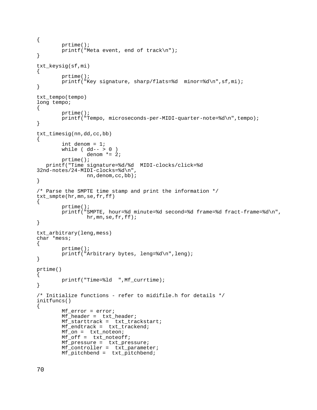```
{
         prtime();
         printf("Meta event, end of track\n");
}
txt_keysig(sf,mi)
{
         prtime();
         printf("Key signature, sharp/flats=%d minor=%d\n",sf,mi);
}
txt_tempo(tempo)
long tempo;
{
         prtime();
        printf("Tempo, microseconds-per-MIDI-quarter-note=%d\n",tempo);
}
txt_timesig(nn,dd,cc,bb)
{
         int denom = 1;
        while ( dd-- > 0 )
                 denom *= 2; prtime();
    printf("Time signature=%d/%d MIDI-clocks/click=%d 
32nd-notes/24-MIDI-clocks=%d\n",
                  nn,denom,cc,bb);
}
/* Parse the SMPTE time stamp and print the information */
txt_smpte(hr,mn,se,fr,ff)
\{ prtime();
         printf("SMPTE, hour=%d minute=%d second=%d frame=%d fract-frame=%d\n",
                  hr,mn,se,fr,ff);
}
txt_arbitrary(leng,mess)
char *mess;
\left\{ \right. prtime();
         printf("Arbitrary bytes, leng=%d\n",leng);
}
prtime()
{
         printf("Time=%ld ",Mf_currtime);
}
/* Initialize functions - refer to midifile.h for details */
initfuncs()
{
         Mf_error = error;
        Mf<sup>-</sup>header = txt<sub>-</sub>header;
         Mf_starttrack = txt_trackstart;
         Mf_endtrack = txt_trackend;
         Mf_on = txt_noteon;
         Mf_off = txt_noteoff;
         Mf_pressure = txt_pressure;
         Mf_controller = txt_parameter;
         Mf_pitchbend = txt_pitchbend;
```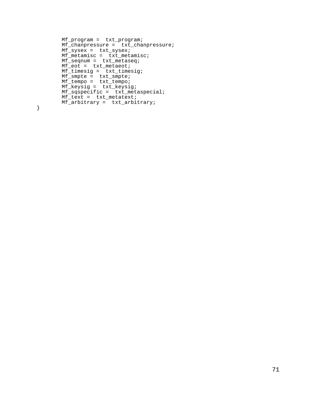```
 Mf_program = txt_program;
       Mf_chanpressure = txt_chanpressure;
      Mf<sub>sysex</sub> = txt_sysex;
       Mf_metamisc = txt_metamisc;
Mf_seqnum = txt_metaseq;
Mf_eot = txt_metaeot;
 Mf_timesig = txt_timesig;
Mf_smpte = txt_smpte;
Mf_tempo = txt_tempo;
 Mf_keysig = txt_keysig;
 Mf_sqspecific = txt_metaspecial;
      Mf_{text} = txt_metatext;
       Mf_arbitrary = txt_arbitrary;
```
}

71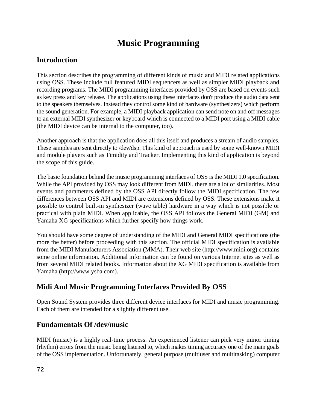# **Music Programming**

# **Introduction**

This section describes the programming of different kinds of music and MIDI related applications using OSS. These include full featured MIDI sequencers as well as simpler MIDI playback and recording programs. The MIDI programming interfaces provided by OSS are based on events such as key press and key release. The applications using these interfaces don't produce the audio data sent to the speakers themselves. Instead they control some kind of hardware (synthesizers) which perform the sound generation. For example, a MIDI playback application can send note on and off messages to an external MIDI synthesizer or keyboard which is connected to a MIDI port using a MIDI cable (the MIDI device can be internal to the computer, too).

Another approach is that the application does all this itself and produces a stream of audio samples. These samples are sent directly to /dev/dsp. This kind of approach is used by some well-known MIDI and module players such as Timidity and Tracker. Implementing this kind of application is beyond the scope of this guide.

The basic foundation behind the music programming interfaces of OSS is the MIDI 1.0 specification. While the API provided by OSS may look different from MIDI, there are a lot of similarities. Most events and parameters defined by the OSS API directly follow the MIDI specification. The few differences between OSS API and MIDI are extensions defined by OSS. These extensions make it possible to control built-in synthesizer (wave table) hardware in a way which is not possible or practical with plain MIDI. When applicable, the OSS API follows the General MIDI (GM) and Yamaha XG specifications which further specify how things work.

You should have some degree of understanding of the MIDI and General MIDI specifications (the more the better) before proceeding with this section. The official MIDI specification is available from the MIDI Manufacturers Association (MMA). Their web site (http://www.midi.org) contains some online information. Additional information can be found on various Internet sites as well as from several MIDI related books. Information about the XG MIDI specification is available from Yamaha (http://www.ysba.com).

# **Midi And Music Programming Interfaces Provided By OSS**

Open Sound System provides three different device interfaces for MIDI and music programming. Each of them are intended for a slightly different use.

## **Fundamentals Of /dev/music**

MIDI (music) is a highly real-time process. An experienced listener can pick very minor timing (rhythm) errors from the music being listened to, which makes timing accuracy one of the main goals of the OSS implementation. Unfortunately, general purpose (multiuser and multitasking) computer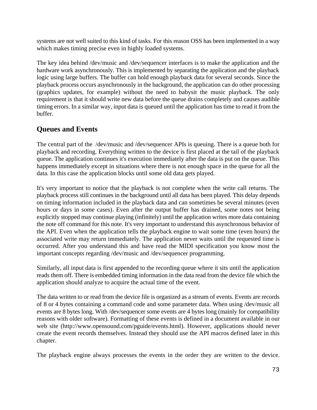systems are not well suited to this kind of tasks. For this reason OSS has been implemented in a way which makes timing precise even in highly loaded systems.

The key idea behind /dev/music and /dev/sequencer interfaces is to make the application and the hardware work asynchronously. This is implemented by separating the application and the playback logic using large buffers. The buffer can hold enough playback data for several seconds. Since the playback process occurs asynchronously in the background, the application can do other processing (graphics updates, for example) without the need to babysit the music playback. The only requirement is that it should write new data before the queue drains completely and causes audible timing errors. In a similar way, input data is queued until the application has time to read it from the buffer.

# **Queues and Events**

The central part of the /dev/music and /dev/sequencer APIs is queuing. There is a queue both for playback and recording. Everything written to the device is first placed at the tail of the playback queue. The application continues it's execution immediately after the data is put on the queue. This happens immediately except in situations where there is not enough space in the queue for all the data. In this case the application blocks until some old data gets played.

It's very important to notice that the playback is not complete when the write call returns. The playback process still continues in the background until all data has been played. This delay depends on timing information included in the playback data and can sometimes be several minutes (even hours or days in some cases). Even after the output buffer has drained, some notes not being explicitly stopped may continue playing (infinitely) until the application writes more data containing the note off command for this note. It's very important to understand this asynchronous behavior of the API. Even when the application tells the playback engine to wait some time (even hours) the associated write may return immediately. The application never waits until the requested time is occurred. After you understand this and have read the MIDI specification you know most the important concepts regarding /dev/music and /dev/sequencer programming.

Similarly, all input data is first appended to the recording queue where it sits until the application reads them off. There is embedded timing information in the data read from the device file which the application should analyze to acquire the actual time of the event.

The data written to or read from the device file is organized as a stream of events. Events are records of 8 or 4 bytes containing a command code and some parameter data. When using /dev/music all events are 8 bytes long. With /dev/sequencer some events are 4 bytes long (mainly for compatibility reasons with older software). Formatting of these events is defined in a document available in our web site (http://www.opensound.com/pguide/events.html). However, applications should never create the event records themselves. Instead they should use the API macros defined later in this chapter.

The playback engine always processes the events in the order they are written to the device.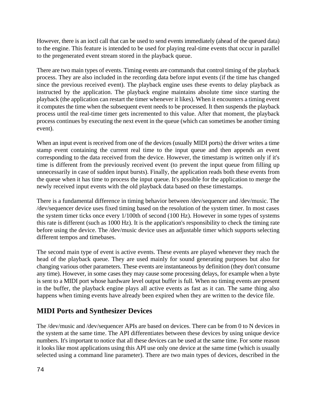However, there is an ioctl call that can be used to send events immediately (ahead of the queued data) to the engine. This feature is intended to be used for playing real-time events that occur in parallel to the pregenerated event stream stored in the playback queue.

There are two main types of events. Timing events are commands that control timing of the playback process. They are also included in the recording data before input events (if the time has changed since the previous received event). The playback engine uses these events to delay playback as instructed by the application. The playback engine maintains absolute time since starting the playback (the application can restart the timer whenever it likes). When it encounters a timing event it computes the time when the subsequent event needs to be processed. It then suspends the playback process until the real-time timer gets incremented to this value. After that moment, the playback process continues by executing the next event in the queue (which can sometimes be another timing event).

When an input event is received from one of the devices (usually MIDI ports) the driver writes a time stamp event containing the current real time to the input queue and then appends an event corresponding to the data received from the device. However, the timestamp is written only if it's time is different from the previously received event (to prevent the input queue from filling up unnecessarily in case of sudden input bursts). Finally, the application reads both these events from the queue when it has time to process the input queue. It's possible for the application to merge the newly received input events with the old playback data based on these timestamps.

There is a fundamental difference in timing behavior between /dev/sequencer and /dev/music. The /dev/sequencer device uses fixed timing based on the resolution of the system timer. In most cases the system timer ticks once every 1/100th of second (100 Hz). However in some types of systems this rate is different (such as 1000 Hz). It is the application's responsibility to check the timing rate before using the device. The /dev/music device uses an adjustable timer which supports selecting different tempos and timebases.

The second main type of event is active events. These events are played whenever they reach the head of the playback queue. They are used mainly for sound generating purposes but also for changing various other parameters. These events are instantaneous by definition (they don't consume any time). However, in some cases they may cause some processing delays, for example when a byte is sent to a MIDI port whose hardware level output buffer is full. When no timing events are present in the buffer, the playback engine plays all active events as fast as it can. The same thing also happens when timing events have already been expired when they are written to the device file.

# **MIDI Ports and Synthesizer Devices**

The /dev/music and /dev/sequencer APIs are based on devices. There can be from 0 to N devices in the system at the same time. The API differentiates between these devices by using unique device numbers. It's important to notice that all these devices can be used at the same time. For some reason it looks like most applications using this API use only one device at the same time (which is usually selected using a command line parameter). There are two main types of devices, described in the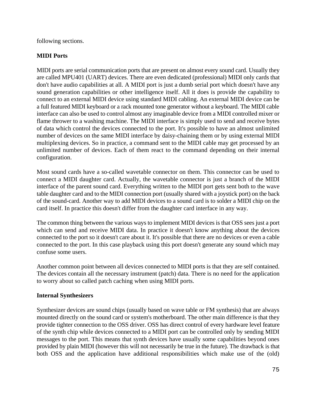following sections.

#### **MIDI Ports**

MIDI ports are serial communication ports that are present on almost every sound card. Usually they are called MPU401 (UART) devices. There are even dedicated (professional) MIDI only cards that don't have audio capabilities at all. A MIDI port is just a dumb serial port which doesn't have any sound generation capabilities or other intelligence itself. All it does is provide the capability to connect to an external MIDI device using standard MIDI cabling. An external MIDI device can be a full featured MIDI keyboard or a rack mounted tone generator without a keyboard. The MIDI cable interface can also be used to control almost any imaginable device from a MIDI controlled mixer or flame thrower to a washing machine. The MIDI interface is simply used to send and receive bytes of data which control the devices connected to the port. It's possible to have an almost unlimited number of devices on the same MIDI interface by daisy-chaining them or by using external MIDI multiplexing devices. So in practice, a command sent to the MIDI cable may get processed by an unlimited number of devices. Each of them react to the command depending on their internal configuration.

Most sound cards have a so-called wavetable connector on them. This connector can be used to connect a MIDI daughter card. Actually, the wavetable connector is just a branch of the MIDI interface of the parent sound card. Everything written to the MIDI port gets sent both to the wave table daughter card and to the MIDI connection port (usually shared with a joystick port) on the back of the sound-card. Another way to add MIDI devices to a sound card is to solder a MIDI chip on the card itself. In practice this doesn't differ from the daughter card interface in any way.

The common thing between the various ways to implement MIDI devices is that OSS sees just a port which can send and receive MIDI data. In practice it doesn't know anything about the devices connected to the port so it doesn't care about it. It's possible that there are no devices or even a cable connected to the port. In this case playback using this port doesn't generate any sound which may confuse some users.

Another common point between all devices connected to MIDI ports is that they are self contained. The devices contain all the necessary instrument (patch) data. There is no need for the application to worry about so called patch caching when using MIDI ports.

#### **Internal Synthesizers**

Synthesizer devices are sound chips (usually based on wave table or FM synthesis) that are always mounted directly on the sound card or system's motherboard. The other main difference is that they provide tighter connection to the OSS driver. OSS has direct control of every hardware level feature of the synth chip while devices connected to a MIDI port can be controlled only by sending MIDI messages to the port. This means that synth devices have usually some capabilities beyond ones provided by plain MIDI (however this will not necessarily be true in the future). The drawback is that both OSS and the application have additional responsibilities which make use of the (old)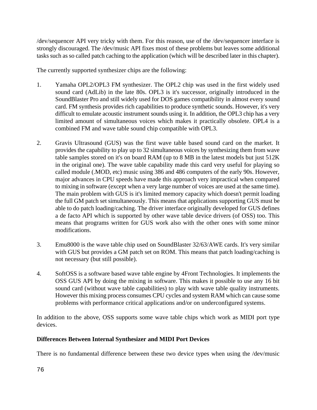/dev/sequencer API very tricky with them. For this reason, use of the /dev/sequencer interface is strongly discouraged. The /dev/music API fixes most of these problems but leaves some additional tasks such as so called patch caching to the application (which will be described later in this chapter).

The currently supported synthesizer chips are the following:

- 1. Yamaha OPL2/OPL3 FM synthesizer. The OPL2 chip was used in the first widely used sound card (AdLib) in the late 80s. OPL3 is it's successor, originally introduced in the SoundBlaster Pro and still widely used for DOS games compatibility in almost every sound card. FM synthesis provides rich capabilities to produce synthetic sounds. However, it's very difficult to emulate acoustic instrument sounds using it. In addition, the OPL3 chip has a very limited amount of simultaneous voices which makes it practically obsolete. OPL4 is a combined FM and wave table sound chip compatible with OPL3.
- 2. Gravis Ultrasound (GUS) was the first wave table based sound card on the market. It provides the capability to play up to 32 simultaneous voices by synthesizing them from wave table samples stored on it's on board RAM (up to 8 MB in the latest models but just 512K in the original one). The wave table capability made this card very useful for playing so called module (.MOD, etc) music using 386 and 486 computers of the early 90s. However, major advances in CPU speeds have made this approach very impractical when compared to mixing in software (except when a very large number of voices are used at the same time). The main problem with GUS is it's limited memory capacity which doesn't permit loading the full GM patch set simultaneously. This means that applications supporting GUS must be able to do patch loading/caching. The driver interface originally developed for GUS defines a de facto API which is supported by other wave table device drivers (of OSS) too. This means that programs written for GUS work also with the other ones with some minor modifications.
- 3. Emu8000 is the wave table chip used on SoundBlaster 32/63/AWE cards. It's very similar with GUS but provides a GM patch set on ROM. This means that patch loading/caching is not necessary (but still possible).
- 4. SoftOSS is a software based wave table engine by 4Front Technologies. It implements the OSS GUS API by doing the mixing in software. This makes it possible to use any 16 bit sound card (without wave table capabilities) to play with wave table quality instruments. However this mixing process consumes CPU cycles and system RAM which can cause some problems with performance critical applications and/or on underconfigured systems.

In addition to the above, OSS supports some wave table chips which work as MIDI port type devices.

#### **Differences Between Internal Synthesizer and MIDI Port Devices**

There is no fundamental difference between these two device types when using the /dev/music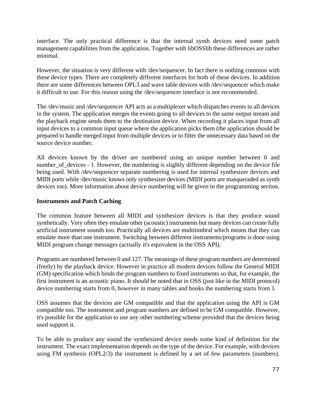interface. The only practical difference is that the internal synth devices need some patch management capabilities from the application. Together with libOSSlib these differences are rather minimal.

However, the situation is very different with /dev/sequencer. In fact there is nothing common with these device types. There are completely different interfaces for both of these devices. In addition there are some differences between OPL3 and wave table devices with /dev/sequencer which make it difficult to use. For this reason using the /dev/sequencer interface is not recommended.

The /dev/music and /dev/sequencer API acts as a multiplexer which dispatches events to all devices in the system. The application merges the events going to all devices to the same output stream and the playback engine sends them to the destination device. When recording it places input from all input devices to a common input queue where the application picks them (the application should be prepared to handle merged input from multiple devices or to filter the unnecessary data based on the source device number.

All devices known by the driver are numbered using an unique number between 0 and number\_of\_devices - 1. However, the numbering is slightly different depending on the device file being used. With /dev/sequencer separate numbering is used for internal synthesizer devices and MIDI ports while /dev/music knows only synthesizer devices (MIDI ports are masqueraded as synth devices too). More information about device numbering will be given in the programming section.

#### **Instruments and Patch Caching**

The common feature between all MIDI and synthesizer devices is that they produce sound synthetically. Very often they emulate other (acoustic) instruments but many devices can create fully artificial instrument sounds too. Practically all devices are multitimbral which means that they can emulate more than one instrument. Switching between different instruments/programs is done using MIDI program change messages (actually it's equivalent in the OSS API).

Programs are numbered between 0 and 127. The meanings of these program numbers are determined (freely) by the playback device. However in practice all modern devices follow the General MIDI (GM) specification which binds the program numbers to fixed instruments so that, for example, the first instrument is an acoustic piano. It should be noted that in OSS (just like in the MIDI protocol) device numbering starts from 0, however in many tables and books the numbering starts from 1.

OSS assumes that the devices are GM compatible and that the application using the API is GM compatible too. The instrument and program numbers are defined to be GM compatible. However, it's possible for the application to use any other numbering scheme provided that the devices being used support it.

To be able to produce any sound the synthesized device needs some kind of definition for the instrument. The exact implementation depends on the type of the device. For example, with devices using FM synthesis (OPL2/3) the instrument is defined by a set of few parameters (numbers).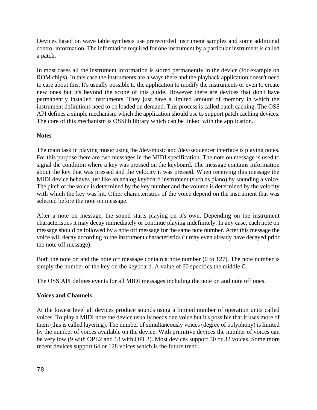Devices based on wave table synthesis use prerecorded instrument samples and some additional control information. The information required for one instrument by a particular instrument is called a patch.

In most cases all the instrument information is stored permanently in the device (for example on ROM chips). In this case the instruments are always there and the playback application doesn't need to care about this. It's usually possible to the application to modify the instruments or even to create new ones but it's beyond the scope of this guide. However there are devices that don't have permanently installed instruments. They just have a limited amount of memory in which the instrument definitions need to be loaded on demand. This process is called patch caching. The OSS API defines a simple mechanism which the application should use to support patch caching devices. The core of this mechanism is OSSlib library which can be linked with the application.

#### **Notes**

The main task in playing music using the /dev/music and /dev/sequencer interface is playing notes. For this purpose there are two messages in the MIDI specification. The note on message is used to signal the condition where a key was pressed on the keyboard. The message contains information about the key that was pressed and the velocity it was pressed. When receiving this message the MIDI device behaves just like an analog keyboard instrument (such as piano) by sounding a voice. The pitch of the voice is determined by the key number and the volume is determined by the velocity with which the key was hit. Other characteristics of the voice depend on the instrument that was selected before the note on message.

After a note on message, the sound starts playing on it's own. Depending on the instrument characteristics it may decay immediately or continue playing indefinitely. In any case, each note on message should be followed by a note off message for the same note number. After this message the voice will decay according to the instrument characteristics (it may even already have decayed prior the note off message).

Both the note on and the note off message contain a note number (0 to 127). The note number is simply the number of the key on the keyboard. A value of 60 specifies the middle C.

The OSS API defines events for all MIDI messages including the note on and note off ones.

#### **Voices and Channels**

At the lowest level all devices produce sounds using a limited number of operation units called voices. To play a MIDI note the device usually needs one voice but it's possible that it uses more of them (this is called layering). The number of simultaneously voices (degree of polyphony) is limited by the number of voices available on the device. With primitive devices the number of voices can be very low (9 with OPL2 and 18 with OPL3). Most devices support 30 or 32 voices. Some more recent devices support 64 or 128 voices which is the future trend.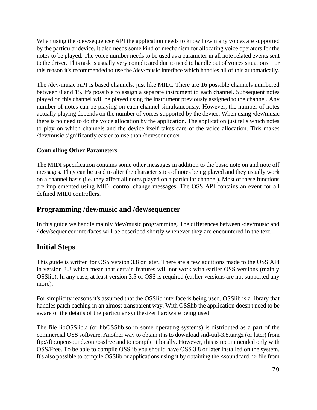When using the /dev/sequencer API the application needs to know how many voices are supported by the particular device. It also needs some kind of mechanism for allocating voice operators for the notes to be played. The voice number needs to be used as a parameter in all note related events sent to the driver. This task is usually very complicated due to need to handle out of voices situations. For this reason it's recommended to use the /dev/music interface which handles all of this automatically.

The /dev/music API is based channels, just like MIDI. There are 16 possible channels numbered between 0 and 15. It's possible to assign a separate instrument to each channel. Subsequent notes played on this channel will be played using the instrument previously assigned to the channel. Any number of notes can be playing on each channel simultaneously. However, the number of notes actually playing depends on the number of voices supported by the device. When using /dev/music there is no need to do the voice allocation by the application. The application just tells which notes to play on which channels and the device itself takes care of the voice allocation. This makes /dev/music significantly easier to use than /dev/sequencer.

#### **Controlling Other Parameters**

The MIDI specification contains some other messages in addition to the basic note on and note off messages. They can be used to alter the characteristics of notes being played and they usually work on a channel basis (i.e. they affect all notes played on a particular channel). Most of these functions are implemented using MIDI control change messages. The OSS API contains an event for all defined MIDI controllers.

#### **Programming /dev/music and /dev/sequencer**

In this guide we handle mainly /dev/music programming. The differences between /dev/music and / dev/sequencer interfaces will be described shortly whenever they are encountered in the text.

### **Initial Steps**

This guide is written for OSS version 3.8 or later. There are a few additions made to the OSS API in version 3.8 which mean that certain features will not work with earlier OSS versions (mainly OSSlib). In any case, at least version 3.5 of OSS is required (earlier versions are not supported any more).

For simplicity reasons it's assumed that the OSSlib interface is being used. OSSlib is a library that handles patch caching in an almost transparent way. With OSSlib the application doesn't need to be aware of the details of the particular synthesizer hardware being used.

The file libOSSlib.a (or libOSSlib.so in some operating systems) is distributed as a part of the commercial OSS software. Another way to obtain it is to download snd-util-3.8.tar.gz (or later) from ftp://ftp.opensound.com/ossfree and to compile it locally. However, this is recommended only with OSS/Free. To be able to compile OSSlib you should have OSS 3.8 or later installed on the system. It's also possible to compile OSSlib or applications using it by obtaining the <soundcard.h> file from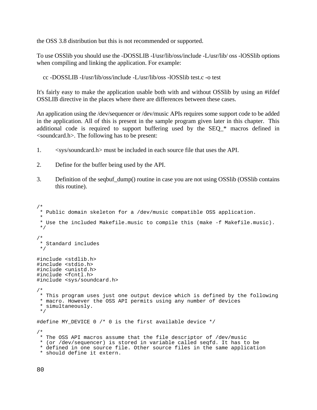the OSS 3.8 distribution but this is not recommended or supported.

To use OSSlib you should use the -DOSSLIB -I/usr/lib/oss/include -L/usr/lib/ oss -lOSSlib options when compiling and linking the application. For example:

cc -DOSSLIB -I/usr/lib/oss/include -L/usr/lib/oss -lOSSlib test.c -o test

It's fairly easy to make the application usable both with and without OSSlib by using an #ifdef OSSLIB directive in the places where there are differences between these cases.

An application using the /dev/sequencer or /dev/music APIs requires some support code to be added in the application. All of this is present in the sample program given later in this chapter. This additional code is required to support buffering used by the SEQ\_\* macros defined in <soundcard.h>. The following has to be present:

- 1. <sys/soundcard.h> must be included in each source file that uses the API.
- 2. Define for the buffer being used by the API.
- 3. Definition of the seqbuf\_dump() routine in case you are not using OSSlib (OSSlib contains this routine).

```
/*
  * Public domain skeleton for a /dev/music compatible OSS application.
 *
  * Use the included Makefile.music to compile this (make -f Makefile.music).
  */
/*
  * Standard includes
 */
#include <stdlib.h>
#include <stdio.h>
#include <unistd.h>
#include <fcntl.h>
#include <sys/soundcard.h>
/*
 * This program uses just one output device which is defined by the following
  * macro. However the OSS API permits using any number of devices
  * simultaneously.
  */
#define MY_DEVICE 0 /* 0 is the first available device */
/*
  * The OSS API macros assume that the file descriptor of /dev/music
  * (or /dev/sequencer) is stored in variable called seqfd. It has to be
  * defined in one source file. Other source files in the same application
  * should define it extern.
```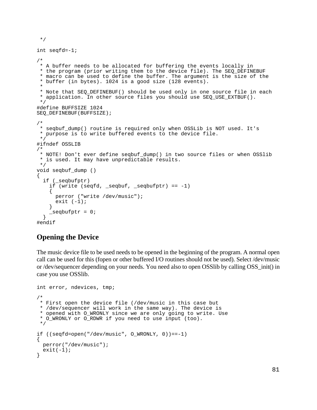```
int seqfd=-1;
/*
 * A buffer needs to be allocated for buffering the events locally in
 * the program (prior writing them to the device file). The SEQ_DEFINEBUF
  * macro can be used to define the buffer. The argument is the size of the
  * buffer (in bytes). 1024 is a good size (128 events).
 *
  * Note that SEQ_DEFINEBUF() should be used only in one source file in each
  * application. In other source files you should use SEQ_USE_EXTBUF().
  */
#define BUFFSIZE 1024
SEQ_DEFINEBUF(BUFFSIZE);
/*
 * seqbuf_dump() routine is required only when OSSLib is NOT used. It's
  * purpose is to write buffered events to the device file.
  */
#ifndef OSSLIB
/*
  * NOTE! Don't ever define seqbuf_dump() in two source files or when OSSlib
  * is used. It may have unpredictable results. 
 */
void seqbuf_dump ()
{
  if (_seqbufptr)
   if (write (seqfd, _seqbuf, _seqbufptr) == -1)
\{ perror ("write /dev/music");
     exit (-1);
 }
    \intseqbufptr = 0;
   }
#endif
```
#### **Opening the Device**

\*/

The music device file to be used needs to be opened in the beginning of the program. A normal open call can be used for this (fopen or other buffered I/O routines should not be used). Select /dev/music or /dev/sequencer depending on your needs. You need also to open OSSlib by calling OSS\_init() in case you use OSSlib.

```
int error, ndevices, tmp;
/*
 * First open the device file (/dev/music in this case but
  * /dev/sequencer will work in the same way). The device is
  * opened with O_WRONLY since we are only going to write. Use
  * O_WRONLY or O_RDWR if you need to use input (too).
  */
if ((\text{seqfd=open}("/dev/music", 0 WRONLY, 0)) == -1){
  perror("/dev/music");
 exit(-1);}
```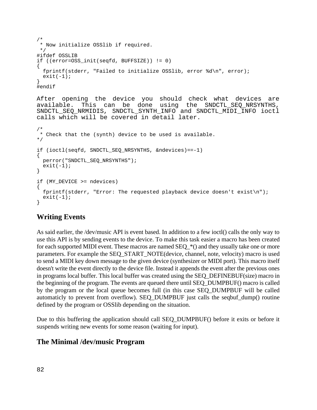```
/*
  * Now initialize OSSlib if required.
  */
#ifdef OSSLIB
if ((error=OSS_init(seqfd, BUFFSIZE)) != 0)
{
   fprintf(stderr, "Failed to initialize OSSlib, error %d\n", error);
 exit(-1);}
#endif
```
After opening the device you should check what devices are available. This can be done using the SNDCTL\_SEQ\_NRSYNTHS, SNDCTL\_SEQ\_NRMIDIS, SNDCTL\_SYNTH\_INFO and SNDCTL\_MIDI\_INFO ioctl calls which will be covered in detail later.

```
/*
 * Check that the (synth) device to be used is available.
*/
if (ioctl(seqfd, SNDCTL_SEQ_NRSYNTHS, &ndevices)==-1)
{
  perror("SNDCTL_SEQ_NRSYNTHS");
 exit(-1);}
if (MY_DEVICE >= ndevices)
{
   fprintf(stderr, "Error: The requested playback device doesn't exist\n");
 exit(-1);}
```
#### **Writing Events**

As said earlier, the /dev/music API is event based. In addition to a few ioctl() calls the only way to use this API is by sending events to the device. To make this task easier a macro has been created for each supported MIDI event. These macros are named  $SEQ_{\pm}^{*}()$  and they usually take one or more parameters. For example the SEQ\_START\_NOTE(device, channel, note, velocity) macro is used to send a MIDI key down message to the given device (synthesizer or MIDI port). This macro itself doesn't write the event directly to the device file. Instead it appends the event after the previous ones in programs local buffer. This local buffer was created using the SEQ\_DEFINEBUF(size) macro in the beginning of the program. The events are queued there until SEQ\_DUMPBUF() macro is called by the program or the local queue becomes full (in this case SEQ\_DUMPBUF will be called automaticly to prevent from overflow). SEQ\_DUMPBUF just calls the seqbuf\_dump() routine defined by the program or OSSlib depending on the situation.

Due to this buffering the application should call SEQ\_DUMPBUF() before it exits or before it suspends writing new events for some reason (waiting for input).

#### **The Minimal /dev/music Program**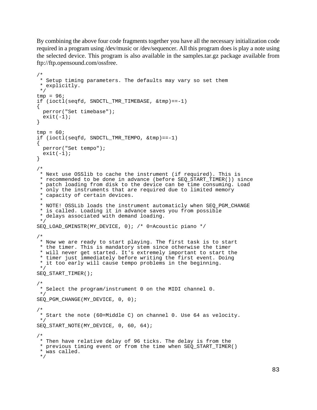By combining the above four code fragments together you have all the necessary initialization code required in a program using /dev/music or /dev/sequencer. All this program does is play a note using the selected device. This program is also available in the samples.tar.gz package available from ftp://ftp.opensound.com/ossfree.

```
/*
  * Setup timing parameters. The defaults may vary so set them
  * explicitly.
  */
tmp = 96;
if (ioctl(seqfd, SNDCTL_TMR_TIMEBASE, &tmp)==-1)
{
  perror("Set timebase");
 exit(-1);}
tmp = 60;if (ioctl(seqfd, SNDCTL_TMR_TEMPO, &tmp)==-1)
{
  perror("Set tempo");
 exit(-1);}
/*
 * Next use OSSlib to cache the instrument (if required). This is
  * recommended to be done in advance (before SEQ_START_TIMER()) since
  * patch loading from disk to the device can be time consuming. Load
  * only the instruments that are required due to limited memory
  * capacity of certain devices.
 *
  * NOTE! OSSLib loads the instrument automaticly when SEQ_PGM_CHANGE
  * is called. Loading it in advance saves you from possible
  * delays associated with demand loading.
  */
SEQ_LOAD_GMINSTR(MY_DEVICE, 0); /* 0=Acoustic piano */
/*
  * Now we are ready to start playing. The first task is to start
  * the timer. This is mandatory stem since otherwise the timer
  * will never get started. It's extremely important to start the
  * timer just immediately before writing the first event. Doing
  * it too early will cause tempo problems in the beginning.
  */
SEO START TIMER();
/*
  * Select the program/instrument 0 on the MIDI channel 0.
 */
SEQ_PGM_CHANGE(MY_DEVICE, 0, 0);
/*
  * Start the note (60=Middle C) on channel 0. Use 64 as velocity.
 */
SEQ START NOTE(MY DEVICE, 0, 60, 64);
/*
 * Then have relative delay of 96 ticks. The delay is from the
  * previous timing event or from the time when SEQ_START_TIMER()
  * was called.
  */
```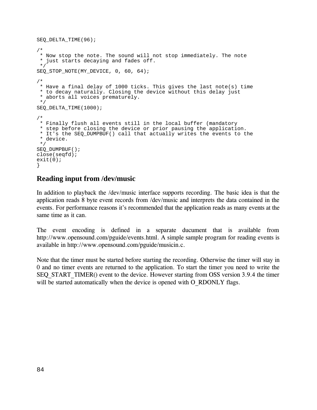```
SEQ_DELTA_TIME(96);
/*
  * Now stop the note. The sound will not stop immediately. The note
  * just starts decaying and fades off.
  */
SEQ_STOP_NOTE(MY_DEVICE, 0, 60, 64);
/*
 * Have a final delay of 1000 ticks. This gives the last note(s) time
  * to decay naturally. Closing the device without this delay just
  * aborts all voices prematurely.
  */
SEQ_DELTA_TIME(1000);
/*
  * Finally flush all events still in the local buffer (mandatory
  * step before closing the device or prior pausing the application.
  * It's the SEQ_DUMPBUF() call that actually writes the events to the
  * device.
  */
SEQ_DUMPBUF();
close(seqfd);
exit(0);}
```
#### **Reading input from /dev/music**

DG-

 $\frac{1}{2}$  the it's recommended that the application reads as many events at the<br>
interval in a separate ducument that is available from<br>
ide/events.html. A simple sample program for reading events is same time as it can.

The event encoding is defined in a separate ducument that is available free  $\frac{1}{2}$ http://www.opensound.com/pguide/events.html. A simple sample program for reading events is<br>available in http://www.opensound.com/pguide/musicin.c.<br>Note that the timer must be started before starting the recording. Otherwis om<br>Sis available in http ran<br>ncod<br>nsou<br>n://w www.opensound.com/pguide/events.html. A simple in http://www.opensound.com/pguide/musicin<br>hat the timer must be started before starting the rehtı<br>ui<br>ar

Note that the timer must be started before starting the recording. Otherwise the timer will stay in  $\alpha$  and no timer events are returned to the application. To start the timer vou need to write the --<br>in<br>ie SEQ\_START\_TIMER() event to the device. However starting from OSS version 3.9.4 the timer will be started automatically when the device is opened with O\_RDONLY flags. Extends the started before starting the recorder events are returned to the application. To T TIMER() event to the device. However start ne<br>er will be started automatically when the device is opened with O RDONLY flags.

TGEQTFKPI-

VJG-

UVCTVKPI-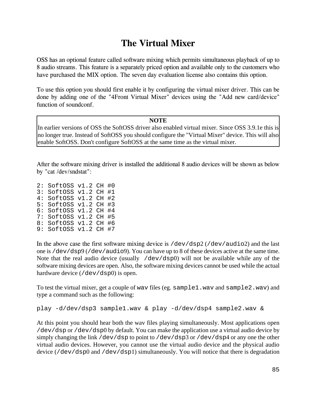# The Virtual Mixer

OSS has an optional feature called software mixing which permits simultaneous playback of up to ັນ<br>ທ<br>ກ

To use this option you should first enable it by configuring the virtual mixer driver. This can l done by adding one of the "4Front Virtual Mixer" devices using the "Add new card/dev n be<br>rice" NKEGPUG- $\frac{dP}{dr}$ <br>This cand/dev  $\overline{e}$ "

 $\overline{NOTE}$ Function of soundconf.<br>
NOTE<br>
In earlier versions of OSS the SoftOSS driver also enabled virtual mixer. Since OSS 3.9.1e this is no longer true. Instead of SoftOSS you should configure the "Virtual Mixer" device. This will also enable SoftOSS. Don't configure SoftOSS at the same time as the virtual mixer. function of soundconf.<br>In earlier versions of OSS  $\mathcal{L}(\mathcal{A})$ WUG-VJKU- $\mathcal{L}(\mathcal{L})$  $\frac{1}{2}$ UJQWNF-HKTUV-GPCDNG- $\overline{a}$ VJG- $X = \frac{1}{\sqrt{2}}$ OKZGT-FTKXGT-6JKU-ECPexternal<br>Persions of C<br>Pue Instead

3: SoftOSS v1.2 CH #1 4: SoftOSS v1.2 CH #2 EtOSS v1.2<br>EtOSS v1.2<br>EtOSS v1.2 2: SoftOSS v1.2 CH #0 5: SoftOSS v1.2 CH #3 6: SoftOSS v1.2 CH #4 7: SoftOSS v1.2 CH #5 8: SoftOSS v1.2 CH #6 9: SoftOSS v1.2 CH #7

hardware device (/dev/dsp0) is open. In the above case the first software mixing device is  $/$ dev $/$ dsp2 ( $/$ dev $/$ audio2) and the last one is /dev/dsp9 (/dev/audio9). You can have up to 8 of these devices active at the same time. Note that the real audio device (usually /dev/dsp0) will not be available while any of the software mixing devices are open. Also, the software mixing devices cannot be used while the actual

To test the virtual mixer, get a couple of wav files (eg. sample1.wav and sample2.wav) and type a command such as the following:

play -d/dev/dsp3 sample1.wav & play -d/dev/dsp4 sample2.wav &

At this point you should hear both the wav files playing simultaneously. Most applications open /dev/dsp or /dev/dsp0 by default. You can make the application use a virtual audio device by simply changing the link /dev/dsp to point to /dev/dsp3 or /dev/dsp4 or any one the other virtual audio devices. However, you cannot use the virtual audio device and the physical audio device (/dev/dsp0 and /dev/dsp1) simultaneously. You will notice that there is degradation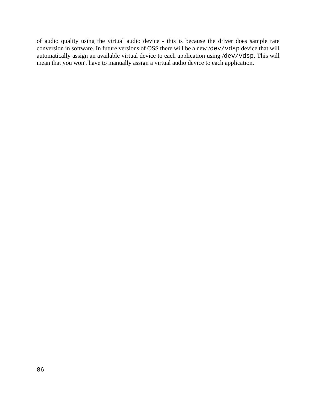of audio quality using the virtual audio device - this is because the driver does sample rate conversion in software. In future versions of OSS there will be a new /dev/vdsp device that will automatically assign an available virtual device to each application using /dev/vdsp. This will mean that you won't have to manually assign a virtual audio device to each application.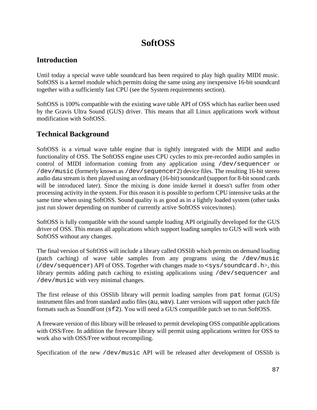# **SoftOSS**

#### **Introduction**

Until today a special wave table soundcard has been required to play high quality MIDI music. SoftOSS is a kernel module which permits doing the same using any inexpensive 16-bit soundcard together with a sufficiently fast CPU (see the System requirements section).

SoftOSS is 100% compatible with the existing wave table API of OSS which has earlier been used by the Gravis Ultra Sound (GUS) driver. This means that all Linux applications work without modification with SoftOSS.

### **Technical Background**

SoftOSS is a virtual wave table engine that is tightly integrated with the MIDI and audio functionality of OSS. The SoftOSS engine uses CPU cycles to mix pre-recorded audio samples in control of MIDI information coming from any application using /dev/sequencer or /dev/music (formerly known as /dev/sequencer2) device files. The resulting 16-bit stereo audio data stream is then played using an ordinary (16-bit) soundcard (support for 8-bit sound cards will be introduced later). Since the mixing is done inside kernel it doesn't suffer from other processing activity in the system. For this reason it is possible to perform CPU intensive tasks at the same time when using SoftOSS. Sound quality is as good as in a lightly loaded system (other tasks just run slower depending on number of currently active SoftOSS voices/notes).

SoftOSS is fully compatible with the sound sample loading API originally developed for the GUS driver of OSS. This means all applications which support loading samples to GUS will work with SoftOSS without any changes.

The final version of SoftOSS will include a library called OSSlib which permits on demand loading (patch caching) of wave table samples from any programs using the /dev/music ( $/\text{dev}/\text{sequence}$ ) API of OSS. Together with changes made to  $\langle$ sys/soundcard.h>, this library permits adding patch caching to existing applications using /dev/sequencer and /dev/music with very minimal changes.

The first release of this OSSlib library will permit loading samples from pat format (GUS) instrument files and from standard audio files (au, wav). Later versions will support other patch file formats such as SoundFont (sf2). You will need a GUS compatible patch set to run SoftOSS.

A freeware version of this library will be released to permit developing OSS compatible applications with OSS/Free. In addition the freeware library will permit using applications written for OSS to work also with OSS/Free without recompiling.

Specification of the new /dev/music API will be released after development of OSSlib is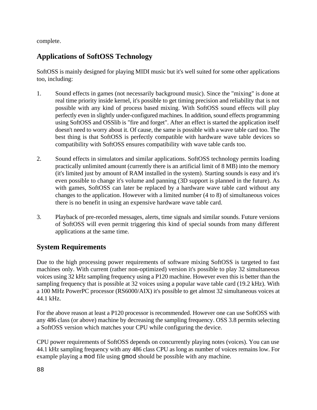complete.

# **Applications of SoftOSS Technology**

SoftOSS is mainly designed for playing MIDI music but it's well suited for some other applications too, including:

- 1. Sound effects in games (not necessarily background music). Since the "mixing" is done at real time priority inside kernel, it's possible to get timing precision and reliability that is not possible with any kind of process based mixing. With SoftOSS sound effects will play perfectly even in slightly under-configured machines. In addition, sound effects programming using SoftOSS and OSSlib is "fire and forget". After an effect is started the application itself doesn't need to worry about it. Of cause, the same is possible with a wave table card too. The best thing is that SoftOSS is perfectly compatible with hardware wave table devices so compatibility with SoftOSS ensures compatibility with wave table cards too.
- 2. Sound effects in simulators and similar applications. SoftOSS technology permits loading practically unlimited amount (currently there is an artificial limit of 8 MB) into the memory (it's limited just by amount of RAM installed in the system). Starting sounds is easy and it's even possible to change it's volume and panning (3D support is planned in the future). As with games, SoftOSS can later be replaced by a hardware wave table card without any changes to the application. However with a limited number (4 to 8) of simultaneous voices there is no benefit in using an expensive hardware wave table card.
- 3. Playback of pre-recorded messages, alerts, time signals and similar sounds. Future versions of SoftOSS will even permit triggering this kind of special sounds from many different applications at the same time.

# **System Requirements**

Due to the high processing power requirements of software mixing SoftOSS is targeted to fast machines only. With current (rather non-optimized) version it's possible to play 32 simultaneous voices using 32 kHz sampling frequency using a P120 machine. However even this is better than the sampling frequency that is possible at 32 voices using a popular wave table card (19.2 kHz). With a 100 MHz PowerPC processor (RS6000/AIX) it's possible to get almost 32 simultaneous voices at 44.1 kHz.

For the above reason at least a P120 processor is recommended. However one can use SoftOSS with any 486 class (or above) machine by decreasing the sampling frequency. OSS 3.8 permits selecting a SoftOSS version which matches your CPU while configuring the device.

CPU power requirements of SoftOSS depends on concurrently playing notes (voices). You can use 44.1 kHz sampling frequency with any 486 class CPU as long as number of voices remains low. For example playing a mod file using gmod should be possible with any machine.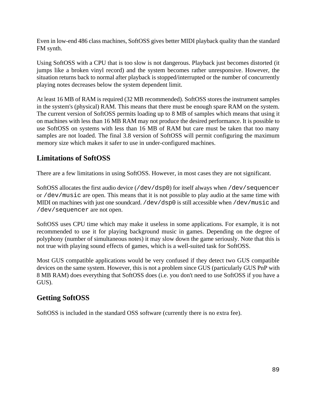Even in low-end 486 class machines, SoftOSS gives better MIDI playback quality than the standard FM synth.

Using SoftOSS with a CPU that is too slow is not dangerous. Playback just becomes distorted (it jumps like a broken vinyl record) and the system becomes rather unresponsive. However, the situation returns back to normal after playback is stopped/interrupted or the number of concurrently playing notes decreases below the system dependent limit.

At least 16 MB of RAM is required (32 MB recommended). SoftOSS stores the instrument samples in the system's (physical) RAM. This means that there must be enough spare RAM on the system. The current version of SoftOSS permits loading up to 8 MB of samples which means that using it on machines with less than 16 MB RAM may not produce the desired performance. It is possible to use SoftOSS on systems with less than 16 MB of RAM but care must be taken that too many samples are not loaded. The final 3.8 version of SoftOSS will permit configuring the maximum memory size which makes it safer to use in under-configured machines.

# **Limitations of SoftOSS**

There are a few limitations in using SoftOSS. However, in most cases they are not significant.

SoftOSS allocates the first audio device (/dev/dsp0) for itself always when /dev/sequencer or /dev/music are open. This means that it is not possible to play audio at the same time with MIDI on machines with just one soundcard. /dev/dsp0 is still accessible when /dev/music and /dev/sequencer are not open.

SoftOSS uses CPU time which may make it useless in some applications. For example, it is not recommended to use it for playing background music in games. Depending on the degree of polyphony (number of simultaneous notes) it may slow down the game seriously. Note that this is not true with playing sound effects of games, which is a well-suited task for SoftOSS.

Most GUS compatible applications would be very confused if they detect two GUS compatible devices on the same system. However, this is not a problem since GUS (particularly GUS PnP with 8 MB RAM) does everything that SoftOSS does (i.e. you don't need to use SoftOSS if you have a GUS).

# **Getting SoftOSS**

SoftOSS is included in the standard OSS software (currently there is no extra fee).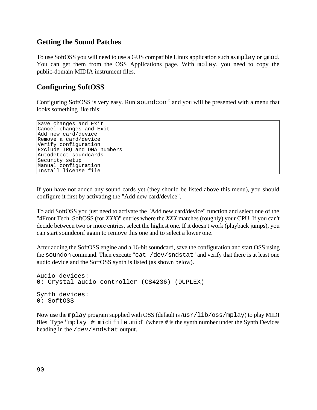#### **Getting the Sound Patches**

To use SoftOSS you will need to use a GUS compatible Linux application such as mplay or gmod. You can get them from the OSS Applications page. With mplay, you need to copy the public-domain MIDIA instrument files.

#### **Configuring SoftOSS**

Configuring SoftOSS is very easy. Run soundconf and you will be presented with a menu that looks something like this:

Save changes and Exit Cancel changes and Exit Add new card/device Remove a card/device Verify configuration Exclude IRQ and DMA numbers Autodetect soundcards Security setup Manual configuration Install license file

If you have not added any sound cards yet (they should be listed above this menu), you should configure it first by activating the "Add new card/device".

To add SoftOSS you just need to activate the "Add new card/device" function and select one of the "4Front Tech. SoftOSS (for *XXX*)" entries where the *XXX* matches (roughly) your CPU. If you can't decide between two or more entries, select the highest one. If it doesn't work (playback jumps), you can start soundconf again to remove this one and to select a lower one.

After adding the SoftOSS engine and a 16-bit soundcard, save the configuration and start OSS using the soundon command. Then execute "cat /dev/sndstat" and verify that there is at least one audio device and the SoftOSS synth is listed (as shown below).

```
Audio devices: 
0: Crystal audio controller (CS4236) (DUPLEX)
Synth devices:
0: SoftOSS
```
Now use the mplay program supplied with OSS (default is /usr/lib/oss/mplay) to play MIDI files. Type "mplay # midifile.mid" (where *#* is the synth number under the Synth Devices heading in the /dev/sndstat output.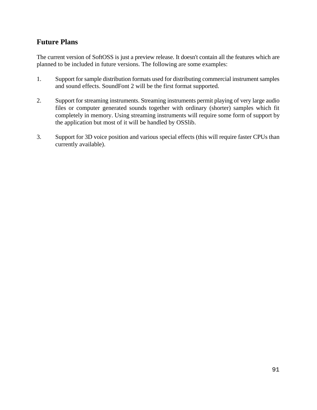### **Future Plans**

The current version of SoftOSS is just a preview release. It doesn't contain all the features which are planned to be included in future versions. The following are some examples:

- 1. Support for sample distribution formats used for distributing commercial instrument samples and sound effects. SoundFont 2 will be the first format supported.
- 2. Support for streaming instruments. Streaming instruments permit playing of very large audio files or computer generated sounds together with ordinary (shorter) samples which fit completely in memory. Using streaming instruments will require some form of support by the application but most of it will be handled by OSSlib.
- 3. Support for 3D voice position and various special effects (this will require faster CPUs than currently available).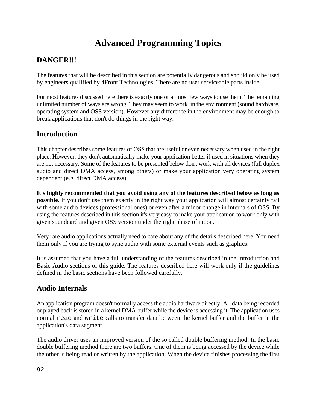# **Advanced Programming Topics**

# **DANGER!!!**

The features that will be described in this section are potentially dangerous and should only be used by engineers qualified by 4Front Technologies. There are no user serviceable parts inside.

For most features discussed here there is exactly one or at most few ways to use them. The remaining unlimited number of ways are wrong. They may seem to work in the environment (sound hardware, operating system and OSS version). However any difference in the environment may be enough to break applications that don't do things in the right way.

### **Introduction**

This chapter describes some features of OSS that are useful or even necessary when used in the right place. However, they don't automatically make your application better if used in situations when they are not necessary. Some of the features to be presented below don't work with all devices (full duplex audio and direct DMA access, among others) or make your application very operating system dependent (e.g. direct DMA access).

**It's highly recommended that you avoid using any of the features described below as long as possible.** If you don't use them exactly in the right way your application will almost certainly fail with some audio devices (professional ones) or even after a minor change in internals of OSS. By using the features described in this section it's very easy to make your applicatuon to work only with given soundcard and given OSS version under the right phase of moon.

Very rare audio applications actually need to care about any of the details described here. You need them only if you are trying to sync audio with some external events such as graphics.

It is assumed that you have a full understanding of the features described in the Introduction and Basic Audio sections of this guide. The features described here will work only if the guidelines defined in the basic sections have been followed carefully.

# **Audio Internals**

An application program doesn't normally access the audio hardware directly. All data being recorded or played back is stored in a kernel DMA buffer while the device is accessing it. The application uses normal read and write calls to transfer data between the kernel buffer and the buffer in the application's data segment.

The audio driver uses an improved version of the so called double buffering method. In the basic double buffering method there are two buffers. One of them is being accessed by the device while the other is being read or written by the application. When the device finishes processing the first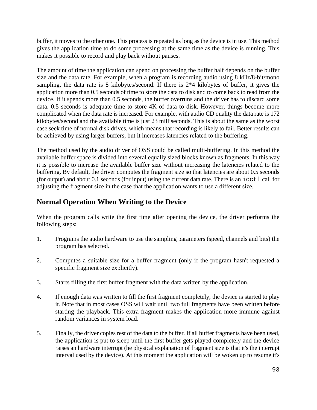buffer, it moves to the other one. This process is repeated as long as the device is in use. This method gives the application time to do some processing at the same time as the device is running. This makes it possible to record and play back without pauses.

The amount of time the application can spend on processing the buffer half depends on the buffer size and the data rate. For example, when a program is recording audio using 8 kHz/8-bit/mono sampling, the data rate is 8 kilobytes/second. If there is 2\*4 kilobytes of buffer, it gives the application more than 0.5 seconds of time to store the data to disk and to come back to read from the device. If it spends more than 0.5 seconds, the buffer overruns and the driver has to discard some data. 0.5 seconds is adequate time to store 4K of data to disk. However, things become more complicated when the data rate is increased. For example, with audio CD quality the data rate is 172 kilobytes/second and the available time is just 23 milliseconds. This is about the same as the worst case seek time of normal disk drives, which means that recording is likely to fail. Better results can be achieved by using larger buffers, but it increases latencies related to the buffering.

The method used by the audio driver of OSS could be called multi-buffering. In this method the available buffer space is divided into several equally sized blocks known as fragments. In this way it is possible to increase the available buffer size without increasing the latencies related to the buffering. By default, the driver computes the fragment size so that latencies are about 0.5 seconds (for output) and about 0.1 seconds (for input) using the current data rate. There is an ioctl call for adjusting the fragment size in the case that the application wants to use a different size.

### **Normal Operation When Writing to the Device**

When the program calls write the first time after opening the device, the driver performs the following steps:

- 1. Programs the audio hardware to use the sampling parameters (speed, channels and bits) the program has selected.
- 2. Computes a suitable size for a buffer fragment (only if the program hasn't requested a specific fragment size explicitly).
- 3. Starts filling the first buffer fragment with the data written by the application.
- 4. If enough data was written to fill the first fragment completely, the device is started to play it. Note that in most cases OSS will wait until two full fragments have been written before starting the playback. This extra fragment makes the application more immune against random variances in system load.
- 5. Finally, the driver copies rest of the data to the buffer. If all buffer fragments have been used, the application is put to sleep until the first buffer gets played completely and the device raises an hardware interrupt (he physical explanation of fragment size is that it's the interrupt interval used by the device). At this moment the application will be woken up to resume it's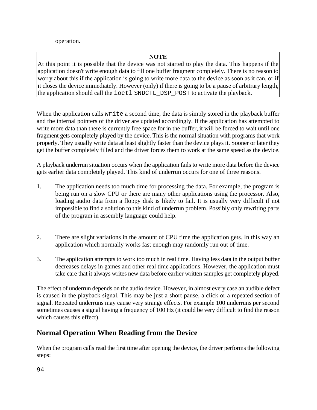operation.

#### **NOTE**

At this point it is possible that the device was not started to play the data. This happens if the application doesn't write enough data to fill one buffer fragment completely. There is no reason to worry about this if the application is going to write more data to the device as soon as it can, or if it closes the device immediately. However (only) if there is going to be a pause of arbitrary length, the application should call the ioctl SNDCTL\_DSP\_POST to activate the playback.

When the application calls write a second time, the data is simply stored in the playback buffer and the internal pointers of the driver are updated accordingly. If the application has attempted to write more data than there is currently free space for in the buffer, it will be forced to wait until one fragment gets completely played by the device. This is the normal situation with programs that work properly. They usually write data at least slightly faster than the device plays it. Sooner or later they get the buffer completely filled and the driver forces them to work at the same speed as the device.

A playback underrun situation occurs when the application fails to write more data before the device gets earlier data completely played. This kind of underrun occurs for one of three reasons.

- 1. The application needs too much time for processing the data. For example, the program is being run on a slow CPU or there are many other applications using the processor. Also, loading audio data from a floppy disk is likely to fail. It is usually very difficult if not impossible to find a solution to this kind of underrun problem. Possibly only rewriting parts of the program in assembly language could help.
- 2. There are slight variations in the amount of CPU time the application gets. In this way an application which normally works fast enough may randomly run out of time.
- 3. The application attempts to work too much in real time. Having less data in the output buffer decreases delays in games and other real time applications. However, the application must take care that it always writes new data before earlier written samples get completely played.

The effect of underrun depends on the audio device. However, in almost every case an audible defect is caused in the playback signal. This may be just a short pause, a click or a repeated section of signal. Repeated underruns may cause very strange effects. For example 100 underruns per second sometimes causes a signal having a frequency of 100 Hz (it could be very difficult to find the reason which causes this effect).

# **Normal Operation When Reading from the Device**

When the program calls read the first time after opening the device, the driver performs the following steps: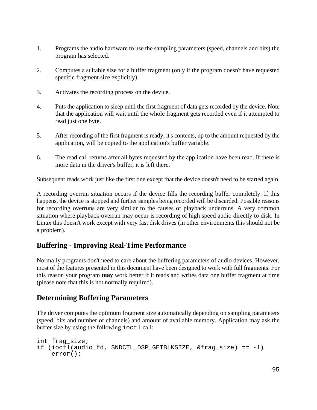- 1. Programs the audio hardware to use the sampling parameters (speed, channels and bits) the program has selected.
- 2. Computes a suitable size for a buffer fragment (only if the program doesn't have requested specific fragment size explicitly).
- 3. Activates the recording process on the device.
- 4. Puts the application to sleep until the first fragment of data gets recorded by the device. Note that the application will wait until the whole fragment gets recorded even if it attempted to read just one byte.
- 5. After recording of the first fragment is ready, it's contents, up to the amount requested by the application, will be copied to the application's buffer variable.
- 6. The read call returns after all bytes requested by the application have been read. If there is more data in the driver's buffer, it is left there.

Subsequent reads work just like the first one except that the device doesn't need to be started again.

A recording overrun situation occurs if the device fills the recording buffer completely. If this happens, the device is stopped and further samples being recorded will be discarded. Possible reasons for recording overruns are very similar to the causes of playback underruns. A very common situation where playback overrun may occur is recording of high speed audio directly to disk. In Linux this doesn't work except with very fast disk drives (in other environments this should not be a problem).

### **Buffering - Improving Real-Time Performance**

Normally programs don't need to care about the buffering parameters of audio devices. However, most of the features presented in this document have been designed to work with full fragments. For this reason your program **may** work better if it reads and writes data one buffer fragment at time (please note that this is not normally required).

#### **Determining Buffering Parameters**

The driver computes the optimum fragment size automatically depending on sampling parameters (speed, bits and number of channels) and amount of available memory. Application may ask the buffer size by using the following ioctl call:

```
int frag_size;
if (ioctl(audio_fd, SNDCTL_DSP_GETBLKSIZE, &frag_size) == -1)
    error();
```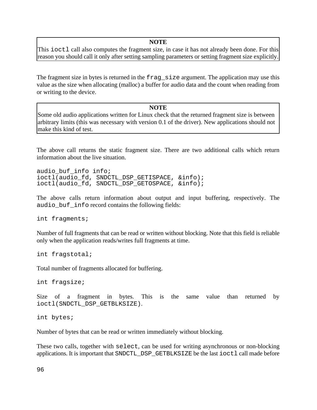#### **NOTE**

This ioctl call also computes the fragment size, in case it has not already been done. For this reason you should call it only after setting sampling parameters or setting fragment size explicitly.

The fragment size in bytes is returned in the frage size argument. The application may use this value as the size when allocating (malloc) a buffer for audio data and the count when reading from or writing to the device.

#### **NOTE**

Some old audio applications written for Linux check that the returned fragment size is between arbitrary limits (this was necessary with version 0.1 of the driver). New applications should not make this kind of test.

The above call returns the static fragment size. There are two additional calls which return information about the live situation.

audio buf info info; ioctl(audio\_fd, SNDCTL\_DSP\_GETISPACE, &info); ioctl(audio\_fd, SNDCTL\_DSP\_GETOSPACE, &info);

The above calls return information about output and input buffering, respectively. The audio\_buf\_info record contains the following fields:

int fragments;

Number of full fragments that can be read or written without blocking. Note that this field is reliable only when the application reads/writes full fragments at time.

int fragstotal;

Total number of fragments allocated for buffering.

int fragsize;

Size of a fragment in bytes. This is the same value than returned by ioctl(SNDCTL\_DSP\_GETBLKSIZE).

int bytes;

Number of bytes that can be read or written immediately without blocking.

These two calls, together with select, can be used for writing asynchronous or non-blocking applications. It is important that SNDCTL DSP GETBLKSIZE be the last ioctl call made before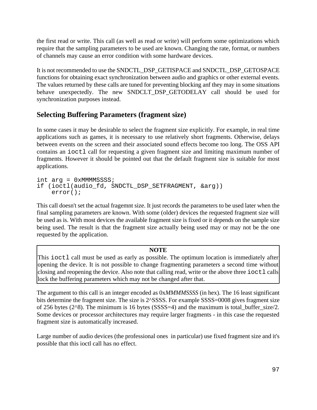the first read or write. This call (as well as read or write) will perform some optimizations which require that the sampling parameters to be used are known. Changing the rate, format, or numbers of channels may cause an error condition with some hardware devices.

It is not recommended to use the SNDCTL\_DSP\_GETISPACE and SNDCTL\_DSP\_GETOSPACE functions for obtaining exact synchronization between audio and graphics or other external events. The values returned by these calls are tuned for preventing blocking anf they may in some situations behave unexpectedly. The new SNDCLT\_DSP\_GETODELAY call should be used for synchronization purposes instead.

### **Selecting Buffering Parameters (fragment size)**

In some cases it may be desirable to select the fragment size explicitly. For example, in real time applications such as games, it is necessary to use relatively short fragments. Otherwise, delays between events on the screen and their associated sound effects become too long. The OSS API contains an ioctl call for requesting a given fragment size and limiting maximum number of fragments. However it should be pointed out that the default fragment size is suitable for most applications.

int  $arg = 0x$ MMMMSSSS; if (ioctl(audio fd, SNDCTL DSP SETFRAGMENT, &arg)) error();

This call doesn't set the actual fragemnt size. It just records the parameters to be used later when the final sampling parameters are known. With some (older) devices the requested fragment size will be used as is. With most devices the available fragment size is fixed or it depends on the sample size being used. The result is that the fragment size actually being used may or may not be the one requested by the application.

#### **NOTE**

This ioctl call must be used as early as possible. The optimum location is immediately after opening the device. It is not possible to change fragmenting parameters a second time without closing and reopening the device. Also note that calling read, write or the above three ioctl calls lock the buffering parameters which may not be changed after that.

The argument to this call is an integer encoded as 0x*MMMMSSSS* (in hex). The 16 least significant bits determine the fragment size. The size is 2^SSSS. For example SSSS=0008 gives fragment size of 256 bytes (2^8). The minimum is 16 bytes (SSSS=4) and the maximum is total\_buffer\_size/2. Some devices or processor architectures may require larger fragments - in this case the requested fragment size is automatically increased.

Large number of audio devices (the professional ones in particular) use fixed fragment size and it's possible that this ioctl call has no effect.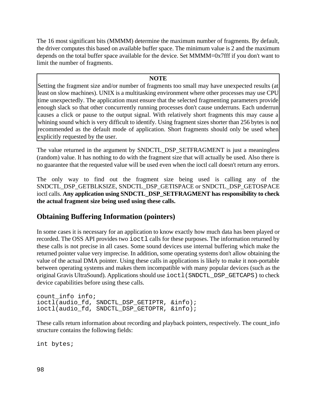The 16 most significant bits (MMMM) determine the maximum number of fragments. By default, the driver computes this based on available buffer space. The minimum value is 2 and the maximum depends on the total buffer space available for the device. Set MMMM=0x7fff if you don't want to limit the number of fragments.

#### **NOTE**

Setting the fragment size and/or number of fragments too small may have unexpected results (at least on slow machines). UNIX is a multitasking environment where other processes may use CPU time unexpectedly. The application must ensure that the selected fragmenting parameters provide enough slack so that other concurrently running processes don't cause underruns. Each underrun causes a click or pause to the output signal. With relatively short fragments this may cause a whining sound which is very difficult to identify. Using fragment sizes shorter than 256 bytes is not recommended as the default mode of application. Short fragments should only be used when explicitly requested by the user.

The value returned in the argument by SNDCTL\_DSP\_SETFRAGMENT is just a meaningless (random) value. It has nothing to do with the fragment size that will actually be used. Also there is no guarantee that the requested value will be used even when the ioctl call doesn't return any errors.

The only way to find out the fragment size being used is calling any of the SNDCTL\_DSP\_GETBLKSIZE, SNDCTL\_DSP\_GETISPACE or SNDCTL\_DSP\_GETOSPACE ioctl calls. **Any application using SNDCTL\_DSP\_SETFRAGMENT has responsibility to check the actual fragment size being used using these calls.**

#### **Obtaining Buffering Information (pointers)**

In some cases it is necessary for an application to know exactly how much data has been played or recorded. The OSS API provides two ioctl calls for these purposes. The information returned by these calls is not precise in all cases. Some sound devices use internal buffering which make the returned pointer value very imprecise. In addition, some operating systems don't allow obtaining the value of the actual DMA pointer. Using these calls in applications is likely to make it non-portable between operating systems and makes them incompatible with many popular devices (such as the original Gravis UltraSound). Applications should use ioctl(SNDCTL\_DSP\_GETCAPS) to check device capabilities before using these calls.

```
count_info info;
ioctl(audio fd, SNDCTL DSP GETIPTR, &info);
ioctl(audio_fd, SNDCTL_DSP_GETOPTR, &info);
```
These calls return information about recording and playback pointers, respectively. The count\_info structure contains the following fields:

int bytes;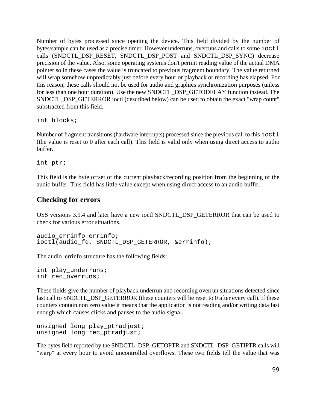Number of bytes processed since opening the device. This field divided by the number of bytes/sample can be used as a precise timer. However underruns, overruns and calls to some ioctl calls (SNDCTL\_DSP\_RESET, SNDCTL\_DSP\_POST and SNDCTL\_DSP\_SYNC) decrease precision of the value. Also, some operating systems don't permit reading value of the actual DMA pointer so in these cases the value is truncated to previous fragment boundary. The value returned will wrap somehow unpredictably just before every hour or playback or recording has elapsed. For this reason, these calls should not be used for audio and graphics synchronization purposes (unless for less than one hour duration). Use the new SNDCTL\_DSP\_GETODELAY function instead. The SNDCTL\_DSP\_GETERROR ioctl (described below) can be used to obtain the exact "wrap count" substracted from this field.

int blocks;

Number of fragment transitions (hardware interrupts) processed since the previous call to this ioctl (the value is reset to 0 after each call). This field is valid only when using direct access to audio buffer.

int ptr;

This field is the byte offset of the current playback/recording position from the beginning of the audio buffer. This field has little value except when using direct access to an audio buffer.

#### **Checking for errors**

OSS versions 3.9.4 and later have a new ioctl SNDCTL\_DSP\_GETERROR that can be used to check for various error situations.

```
audio errinfo errinfo;
ioctl(audio_fd, SNDCTL_DSP_GETERROR, &errinfo);
```
The audio\_errinfo structure has the following fields:

```
int play_underruns;
int rec_overruns;
```
These fields give the number of playback underrun and recording overrun situations detected since last call to SNDCTL\_DSP\_GETERROR (these counters will be reset to 0 after every call). If these counters contain non zero value it means that the application is not reading and/or writing data fast enough which causes clicks and pauses to the audio signal.

```
unsigned long play ptradjust;
unsigned long rec_ptradjust;
```
The bytes field reported by the SNDCTL\_DSP\_GETOPTR and SNDCTL\_DSP\_GETIPTR calls will "warp" at every hour to avoid uncontrolled overflows. These two fields tell the value that was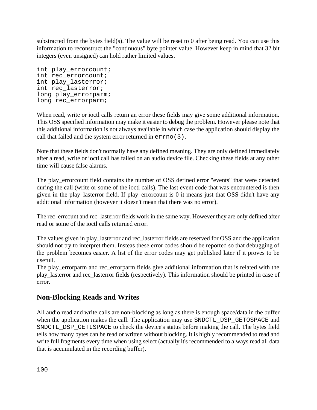substracted from the bytes field(s). The value will be reset to 0 after being read. You can use this information to reconstruct the "continuous" byte pointer value. However keep in mind that 32 bit integers (even unsigned) can hold rather limited values.

```
int play_errorcount;
int rec errorcount;
int play_lasterror;
int rec_lasterror;
long play errorparm;
long rec errorparm;
```
When read, write or ioctl calls return an error these fields may give some additional information. This OSS specified information may make it easier to debug the problem. However please note that this additional information is not always available in which case the application should display the call that failed and the system error returned in errno(3).

Note that these fields don't normally have any defined meaning. They are only defined immediately after a read, write or ioctl call has failed on an audio device file. Checking these fields at any other time will cause false alarms.

The play errorcount field contains the number of OSS defined error "events" that were detected during the call (write or some of the ioctl calls). The last event code that was encountered is then given in the play\_lasterror field. If play\_errorcount is 0 it means just that OSS didn't have any additional information (however it doesn't mean that there was no error).

The rec\_errcount and rec\_lasterror fields work in the same way. However they are only defined after read or some of the ioctl calls returned error.

The values given in play\_lasterror and rec\_lasterror fields are reserved for OSS and the application should not try to interpret them. Insteas these error codes should be reported so that debugging of the problem becomes easier. A list of the error codes may get published later if it proves to be usefull.

The play\_errorparm and rec\_errorparm fields give additional information that is related with the play\_lasterror and rec\_lasterror fields (respectively). This information should be printed in case of error.

### **Non-Blocking Reads and Writes**

All audio read and write calls are non-blocking as long as there is enough space/data in the buffer when the application makes the call. The application may use SNDCTL\_DSP\_GETOSPACE and SNDCTL\_DSP\_GETISPACE to check the device's status before making the call. The bytes field tells how many bytes can be read or written without blocking. It is highly recommended to read and write full fragments every time when using select (actually it's recommended to always read all data that is accumulated in the recording buffer).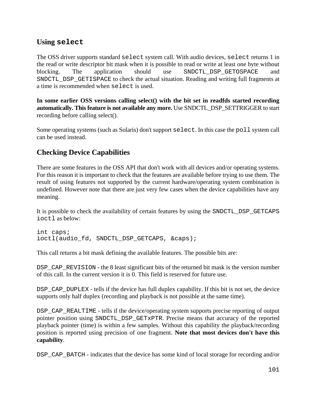### **Using select**

The OSS driver supports standard select system call. With audio devices, select returns 1 in the read or write descriptor bit mask when it is possible to read or write at least one byte without blocking. The application should use SNDCTL\_DSP\_GETOSPACE and SNDCTL\_DSP\_GETISPACE to check the actual situation. Reading and writing full fragments at a time is recommended when select is used.

**In some earlier OSS versions calling select() with the bit set in readfds started recording automatically. This feature is not available any more.** Use SNDCTL\_DSP\_SETTRIGGER to start recording before calling select().

Some operating systems (such as Solaris) don't support select. In this case the poll system call can be used instead.

### **Checking Device Capabilities**

There are some features in the OSS API that don't work with all devices and/or operating systems. For this reason it is important to check that the features are available before trying to use them. The result of using features not supported by the current hardware/operating system combination is undefined. However note that there are just very few cases when the device capabilities have any meaning.

It is possible to check the availability of certain features by using the SNDCTL\_DSP\_GETCAPS ioctl as below:

```
int caps;
ioctl(audio_fd, SNDCTL_DSP_GETCAPS, &caps);
```
This call returns a bit mask defining the available features. The possible bits are:

DSP\_CAP\_REVISION - the 8 least significant bits of the returned bit mask is the version number of this call. In the current version it is 0. This field is reserved for future use.

DSP CAP DUPLEX - tells if the device has full duplex capability. If this bit is not set, the device supports only half duplex (recording and playback is not possible at the same time).

DSP\_CAP\_REALTIME - tells if the device/operating system supports precise reporting of output pointer position using SNDCTL\_DSP\_GETxPTR. Precise means that accuracy of the reported playback pointer (time) is within a few samples. Without this capability the playback/recording position is reported using precision of one fragment. **Note that most devices don't have this capability**.

DSP\_CAP\_BATCH - indicates that the device has some kind of local storage for recording and/or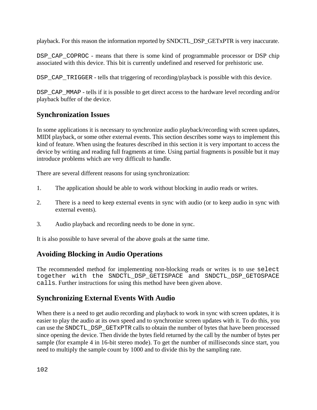playback. For this reason the information reported by SNDCTL\_DSP\_GETxPTR is very inaccurate.

DSP\_CAP\_COPROC - means that there is some kind of programmable processor or DSP chip associated with this device. This bit is currently undefined and reserved for prehistoric use.

DSP\_CAP\_TRIGGER - tells that triggering of recording/playback is possible with this device.

DSP\_CAP\_MMAP - tells if it is possible to get direct access to the hardware level recording and/or playback buffer of the device.

### **Synchronization Issues**

In some applications it is necessary to synchronize audio playback/recording with screen updates, MIDI playback, or some other external events. This section describes some ways to implement this kind of feature. When using the features described in this section it is very important to access the device by writing and reading full fragments at time. Using partial fragments is possible but it may introduce problems which are very difficult to handle.

There are several different reasons for using synchronization:

- 1. The application should be able to work without blocking in audio reads or writes.
- 2. There is a need to keep external events in sync with audio (or to keep audio in sync with external events).
- 3. Audio playback and recording needs to be done in sync.

It is also possible to have several of the above goals at the same time.

### **Avoiding Blocking in Audio Operations**

The recommended method for implementing non-blocking reads or writes is to use select together with the SNDCTL\_DSP\_GETISPACE and SNDCTL\_DSP\_GETOSPACE calls. Further instructions for using this method have been given above.

# **Synchronizing External Events With Audio**

When there is a need to get audio recording and playback to work in sync with screen updates, it is easier to play the audio at its own speed and to synchronize screen updates with it. To do this, you can use the SNDCTL\_DSP\_GETxPTR calls to obtain the number of bytes that have been processed since opening the device. Then divide the bytes field returned by the call by the number of bytes per sample (for example 4 in 16-bit stereo mode). To get the number of milliseconds since start, you need to multiply the sample count by 1000 and to divide this by the sampling rate.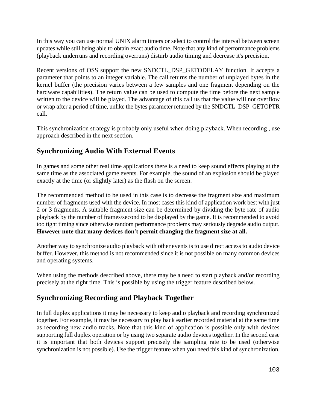In this way you can use normal UNIX alarm timers or select to control the interval between screen updates while still being able to obtain exact audio time. Note that any kind of performance problems (playback underruns and recording overruns) disturb audio timing and decrease it's precision.

Recent versions of OSS support the new SNDCTL\_DSP\_GETODELAY function. It accepts a parameter that points to an integer variable. The call returns the number of unplayed bytes in the kernel buffer (the precision varies between a few samples and one fragment depending on the hardware capabilities). The return value can be used to compute the time before the next sample written to the device will be played. The advantage of this call us that the value will not overflow or wrap after a period of time, unlike the bytes parameter returned by the SNDCTL\_DSP\_GETOPTR call.

This synchronization strategy is probably only useful when doing playback. When recording , use approach described in the next section.

### **Synchronizing Audio With External Events**

In games and some other real time applications there is a need to keep sound effects playing at the same time as the associated game events. For example, the sound of an explosion should be played exactly at the time (or slightly later) as the flash on the screen.

The recommended method to be used in this case is to decrease the fragment size and maximum number of fragments used with the device. In most cases this kind of application work best with just 2 or 3 fragments. A suitable fragment size can be determined by dividing the byte rate of audio playback by the number of frames/second to be displayed by the game. It is recommended to avoid too tight timing since otherwise random performance problems may seriously degrade audio output. **However note that many devices don't permit changing the fragment size at all.**

Another way to synchronize audio playback with other events is to use direct access to audio device buffer. However, this method is not recommended since it is not possible on many common devices and operating systems.

When using the methods described above, there may be a need to start playback and/or recording precisely at the right time. This is possible by using the trigger feature described below.

### **Synchronizing Recording and Playback Together**

In full duplex applications it may be necessary to keep audio playback and recording synchronized together. For example, it may be necessary to play back earlier recorded material at the same time as recording new audio tracks. Note that this kind of application is possible only with devices supporting full duplex operation or by using two separate audio devices together. In the second case it is important that both devices support precisely the sampling rate to be used (otherwise synchronization is not possible). Use the trigger feature when you need this kind of synchronization.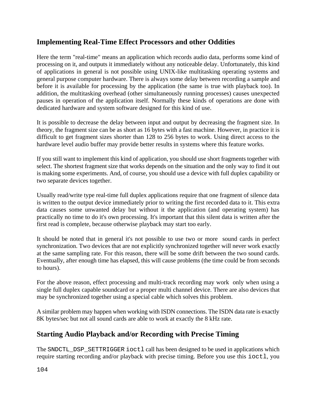### **Implementing Real-Time Effect Processors and other Oddities**

Here the term "real-time" means an application which records audio data, performs some kind of processing on it, and outputs it immediately without any noticeable delay. Unfortunately, this kind of applications in general is not possible using UNIX-like multitasking operating systems and general purpose computer hardware. There is always some delay between recording a sample and before it is available for processing by the application (the same is true with playback too). In addition, the multitasking overhead (other simultaneously running processes) causes unexpected pauses in operation of the application itself. Normally these kinds of operations are done with dedicated hardware and system software designed for this kind of use.

It is possible to decrease the delay between input and output by decreasing the fragment size. In theory, the fragment size can be as short as 16 bytes with a fast machine. However, in practice it is difficult to get fragment sizes shorter than 128 to 256 bytes to work. Using direct access to the hardware level audio buffer may provide better results in systems where this feature works.

If you still want to implement this kind of application, you should use short fragments together with select. The shortest fragment size that works depends on the situation and the only way to find it out is making some experiments. And, of course, you should use a device with full duplex capability or two separate devices together.

Usually read/write type real-time full duplex applications require that one fragment of silence data is written to the output device immediately prior to writing the first recorded data to it. This extra data causes some unwanted delay but without it the application (and operating system) has practically no time to do it's own processing. It's important that this silent data is written after the first read is complete, because otherwise playback may start too early.

It should be noted that in general it's not possible to use two or more sound cards in perfect synchronization. Two devices that are not explicitly synchronized together will never work exactly at the same sampling rate. For this reason, there will be some drift between the two sound cards. Eventually, after enough time has elapsed, this will cause problems (the time could be from seconds to hours).

For the above reason, effect processing and multi-track recording may work only when using a single full duplex capable soundcard or a proper multi channel device. There are also devices that may be synchronized together using a special cable which solves this problem.

A similar problem may happen when working with ISDN connections. The ISDN data rate is exactly 8K bytes/sec but not all sound cards are able to work at exactly the 8 kHz rate.

# **Starting Audio Playback and/or Recording with Precise Timing**

The SNDCTL\_DSP\_SETTRIGGER ioctl call has been designed to be used in applications which require starting recording and/or playback with precise timing. Before you use this ioctl, you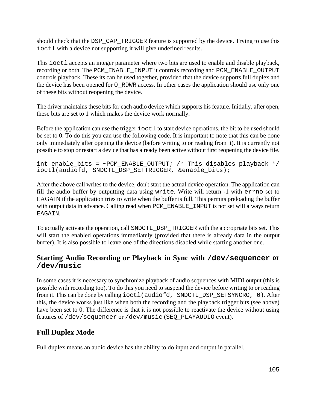should check that the DSP\_CAP\_TRIGGER feature is supported by the device. Trying to use this ioctl with a device not supporting it will give undefined results.

This ioctl accepts an integer parameter where two bits are used to enable and disable playback, recording or both. The PCM\_ENABLE\_INPUT it controls recording and PCM\_ENABLE\_OUTPUT controls playback. These its can be used together, provided that the device supports full duplex and the device has been opened for O\_RDWR access. In other cases the application should use only one of these bits without reopening the device.

The driver maintains these bits for each audio device which supports his feature. Initially, after open, these bits are set to 1 which makes the device work normally.

Before the application can use the trigger  $i$  oct  $1$  to start device operations, the bit to be used should be set to 0. To do this you can use the following code. It is important to note that this can be done only immediately after opening the device (before writing to or reading from it). It is currently not possible to stop or restart a device that has already been active without first reopening the device file.

```
int enable_bits = ~PCM_ENABLE_OUTPUT; /* This disables playback */
ioctl(audiofd, SNDCTL_DSP_SETTRIGGER, &enable_bits);
```
After the above call writes to the device, don't start the actual device operation. The application can fill the audio buffer by outputting data using write. Write will return -1 with errno set to EAGAIN if the application tries to write when the buffer is full. This permits preloading the buffer with output data in advance. Calling read when PCM ENABLE INPUT is not set will always return EAGAIN.

To actually activate the operation, call SNDCTL\_DSP\_TRIGGER with the appropriate bits set. This will start the enabled operations immediately (provided that there is already data in the output buffer). It is also possible to leave one of the directions disabled while starting another one.

#### **Starting Audio Recording or Playback in Sync with /dev/sequencer or /dev/music**

In some cases it is necessary to synchronize playback of audio sequences with MIDI output (this is possible with recording too). To do this you need to suspend the device before writing to or reading from it. This can be done by calling ioctl(audiofd, SNDCTL\_DSP\_SETSYNCRO, 0). After this, the device works just like when both the recording and the playback trigger bits (see above) have been set to 0. The difference is that it is not possible to reactivate the device without using features of /dev/sequencer or /dev/music (SEQ\_PLAYAUDIO event).

# **Full Duplex Mode**

Full duplex means an audio device has the ability to do input and output in parallel.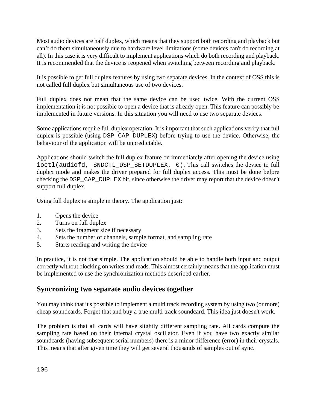Most audio devices are half duplex, which means that they support both recording and playback but can't do them simultaneously due to hardware level limitations (some devices can't do recording at all). In this case it is very difficult to implement applications which do both recording and playback. It is recommended that the device is reopened when switching between recording and playback.

It is possible to get full duplex features by using two separate devices. In the context of OSS this is not called full duplex but simultaneous use of two devices.

Full duplex does not mean that the same device can be used twice. With the current OSS implementation it is not possible to open a device that is already open. This feature can possibly be implemented in future versions. In this situation you will need to use two separate devices.

Some applications require full duplex operation. It is important that such applications verify that full duplex is possible (using DSP\_CAP\_DUPLEX) before trying to use the device. Otherwise, the behaviour of the application will be unpredictable.

Applications should switch the full duplex feature on immediately after opening the device using ioctl(audiofd, SNDCTL\_DSP\_SETDUPLEX, 0). This call switches the device to full duplex mode and makes the driver prepared for full duplex access. This must be done before checking the DSP\_CAP\_DUPLEX bit, since otherwise the driver may report that the device doesn't support full duplex.

Using full duplex is simple in theory. The application just:

- 1. Opens the device
- 2. Turns on full duplex
- 3. Sets the fragment size if necessary
- 4. Sets the number of channels, sample format, and sampling rate
- 5. Starts reading and writing the device

In practice, it is not that simple. The application should be able to handle both input and output correctly without blocking on writes and reads. This almost certainly means that the application must be implemented to use the synchronization methods described earlier.

#### **Syncronizing two separate audio devices together**

You may think that it's possible to implement a multi track recording system by using two (or more) cheap soundcards. Forget that and buy a true multi track soundcard. This idea just doesn't work.

The problem is that all cards will have slightly different sampling rate. All cards compute the sampling rate based on their internal crystal oscillator. Even if you have two exactly similar soundcards (having subsequent serial numbers) there is a minor difference (error) in their crystals. This means that after given time they will get several thousands of samples out of sync.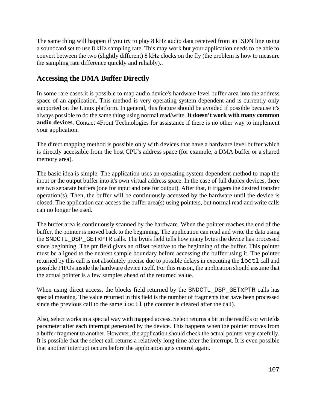The same thing will happen if you try to play 8 kHz audio data received from an ISDN line using a soundcard set to use 8 kHz sampling rate. This may work but your application needs to be able to convert between the two (slightly different) 8 kHz clocks on the fly (the problem is how to measure the sampling rate difference quickly and reliably)..

### **Accessing the DMA Buffer Directly**

In some rare cases it is possible to map audio device's hardware level buffer area into the address space of an application. This method is very operating system dependent and is currently only supported on the Linux platform. In general, this feature should be avoided if possible because it's always possible to do the same thing using normal read/write. **It doesn't work with many common audio devices**. Contact 4Front Technologies for assistance if there is no other way to implement your application.

The direct mapping method is possible only with devices that have a hardware level buffer which is directly accessible from the host CPU's address space (for example, a DMA buffer or a shared memory area).

The basic idea is simple. The application uses an operating system dependent method to map the input or the output buffer into it's own virtual address space. In the case of full duplex devices, there are two separate buffers (one for input and one for output). After that, it triggers the desired transfer operation(s). Then, the buffer will be continuously accessed by the hardware until the device is closed. The application can access the buffer area(s) using pointers, but normal read and write calls can no longer be used.

The buffer area is continuously scanned by the hardware. When the pointer reaches the end of the buffer, the pointer is moved back to the beginning. The application can read and write the data using the SNDCTL\_DSP\_GETxPTR calls. The bytes field tells how many bytes the device has processed since beginning. The ptr field gives an offset relative to the beginning of the buffer. This pointer must be aligned to the nearest sample boundary before accessing the buffer using it. The pointer returned by this call is not absolutely precise due to possible delays in executing the  $i$ octl call and possible FIFOs inside the hardware device itself. For this reason, the application should assume that the actual pointer is a few samples ahead of the returned value.

When using direct access, the blocks field returned by the SNDCTL\_DSP\_GETxPTR calls has special meaning. The value returned in this field is the number of fragments that have been processed since the previous call to the same ioctl (the counter is cleared after the call).

Also, select works in a special way with mapped access. Select returns a bit in the readfds or writefds parameter after each interrupt generated by the device. This happens when the pointer moves from a buffer fragment to another. However, the application should check the actual pointer very carefully. It is possible that the select call returns a relatively long time after the interrupt. It is even possible that another interrupt occurs before the application gets control again.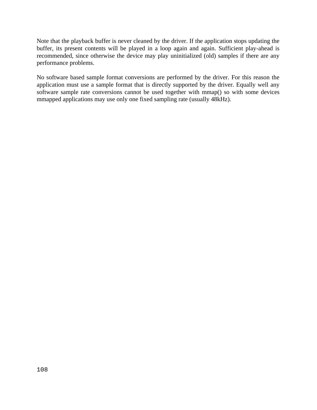Note that the playback buffer is never cleaned by the driver. If the application stops updating the buffer, its present contents will be played in a loop again and again. Sufficient play-ahead is recommended, since otherwise the device may play uninitialized (old) samples if there are any performance problems.

No software based sample format conversions are performed by the driver. For this reason the application must use a sample format that is directly supported by the driver. Equally well any software sample rate conversions cannot be used together with mmap() so with some devices mmapped applications may use only one fixed sampling rate (usually 48kHz).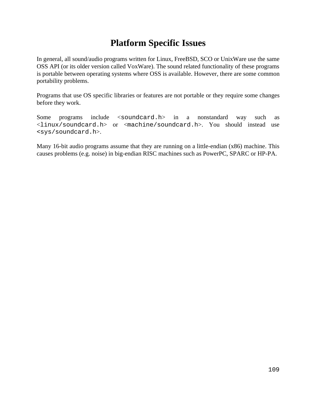### **Platform Specific Issues**

In general, all sound/audio programs written for Linux, FreeBSD, SCO or UnixWare use the same OSS API (or its older version called VoxWare). The sound related functionality of these programs is portable between operating systems where OSS is available. However, there are some common portability problems.

Programs that use OS specific libraries or features are not portable or they require some changes before they work.

Some programs include <soundcard.h> in a nonstandard way such as <linux/soundcard.h> or <machine/soundcard.h>. You should instead use <sys/soundcard.h>.

Many 16-bit audio programs assume that they are running on a little-endian (x86) machine. This causes problems (e.g. noise) in big-endian RISC machines such as PowerPC, SPARC or HP-PA.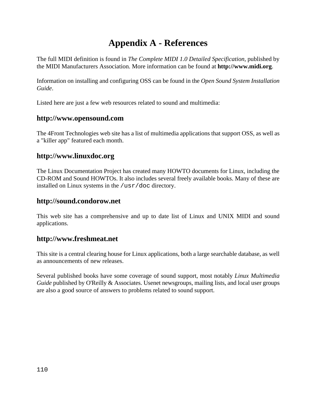## **Appendix A - References**

The full MIDI definition is found in *The Complete MIDI 1.0 Detailed Specification*, published by the MIDI Manufacturers Association. More information can be found at **http://www.midi.org**.

Information on installing and configuring OSS can be found in the *Open Sound System Installation Guide*.

Listed here are just a few web resources related to sound and multimedia:

### **http://www.opensound.com**

The 4Front Technologies web site has a list of multimedia applications that support OSS, as well as a "killer app" featured each month.

### **http://www.linuxdoc.org**

The Linux Documentation Project has created many HOWTO documents for Linux, including the CD-ROM and Sound HOWTOs. It also includes several freely available books. Many of these are installed on Linux systems in the /usr/doc directory.

### **http://sound.condorow.net**

This web site has a comprehensive and up to date list of Linux and UNIX MIDI and sound applications.

#### **http://www.freshmeat.net**

This site is a central clearing house for Linux applications, both a large searchable database, as well as announcements of new releases.

Several published books have some coverage of sound support, most notably *Linux Multimedia Guide* published by O'Reilly & Associates. Usenet newsgroups, mailing lists, and local user groups are also a good source of answers to problems related to sound support.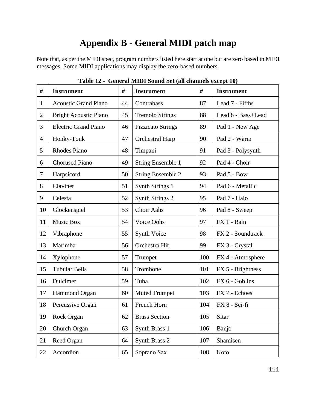# **Appendix B - General MIDI patch map**

Note that, as per the MIDI spec, program numbers listed here start at one but are zero based in MIDI messages. Some MIDI applications may display the zero-based numbers.

| $\#$           | <b>Instrument</b>            | #  | <b>Instrument</b>        | #   | <b>Instrument</b>  |
|----------------|------------------------------|----|--------------------------|-----|--------------------|
| $\mathbf{1}$   | <b>Acoustic Grand Piano</b>  | 44 | Contrabass               | 87  | Lead 7 - Fifths    |
| $\overline{2}$ | <b>Bright Acoustic Piano</b> | 45 | <b>Tremolo Strings</b>   | 88  | Lead 8 - Bass+Lead |
| 3              | <b>Electric Grand Piano</b>  | 46 | <b>Pizzicato Strings</b> | 89  | Pad 1 - New Age    |
| $\overline{4}$ | Honky-Tonk                   | 47 | Orchestral Harp          | 90  | Pad 2 - Warm       |
| 5              | <b>Rhodes Piano</b>          | 48 | Timpani                  | 91  | Pad 3 - Polysynth  |
| 6              | <b>Chorused Piano</b>        | 49 | <b>String Ensemble 1</b> | 92  | Pad 4 - Choir      |
| $\tau$         | Harpsicord                   | 50 | <b>String Ensemble 2</b> | 93  | Pad 5 - Bow        |
| 8              | Clavinet                     | 51 | Synth Strings 1          | 94  | Pad 6 - Metallic   |
| 9              | Celesta                      | 52 | <b>Synth Strings 2</b>   | 95  | Pad 7 - Halo       |
| 10             | Glockenspiel                 | 53 | Choir Aahs               | 96  | Pad 8 - Sweep      |
| 11             | Music Box                    | 54 | Voice Oohs               | 97  | FX 1 - Rain        |
| 12             | Vibraphone                   | 55 | Synth Voice              | 98  | FX 2 - Soundtrack  |
| 13             | Marimba                      | 56 | Orchestra Hit            | 99  | FX 3 - Crystal     |
| 14             | Xylophone                    | 57 | Trumpet                  | 100 | FX 4 - Atmosphere  |
| 15             | <b>Tubular Bells</b>         | 58 | Trombone                 | 101 | FX 5 - Brightness  |
| 16             | Dulcimer                     | 59 | Tuba                     | 102 | FX 6 - Goblins     |
| 17             | Hammond Organ                | 60 | <b>Muted Trumpet</b>     | 103 | FX 7 - Echoes      |
| 18             | Percussive Organ             | 61 | French Horn              | 104 | FX 8 - Sci-fi      |
| 19             | Rock Organ                   | 62 | <b>Brass Section</b>     | 105 | Sitar              |
| 20             | Church Organ                 | 63 | Synth Brass 1            | 106 | Banjo              |
| 21             | Reed Organ                   | 64 | Synth Brass 2            | 107 | Shamisen           |
| 22             | Accordion                    | 65 | Soprano Sax              | 108 | Koto               |

**Table 12 - General MIDI Sound Set (all channels except 10)**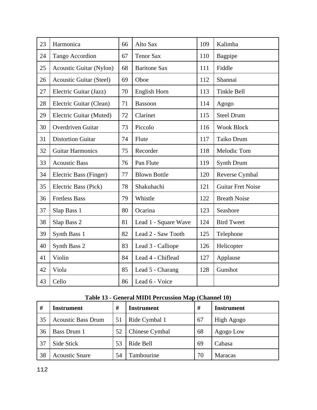| 23 | Harmonica                      | 66 | Alto Sax             | 109 | Kalimba                  |
|----|--------------------------------|----|----------------------|-----|--------------------------|
| 24 | <b>Tango Accordion</b>         | 67 | <b>Tenor Sax</b>     | 110 | Bagpipe                  |
| 25 | <b>Acoustic Guitar (Nylon)</b> | 68 | <b>Baritone Sax</b>  | 111 | Fiddle                   |
| 26 | <b>Acoustic Guitar (Steel)</b> | 69 | Oboe                 | 112 | Shannai                  |
| 27 | Electric Guitar (Jazz)         | 70 | English Horn         | 113 | <b>Tinkle Bell</b>       |
| 28 | Electric Guitar (Clean)        | 71 | <b>Bassoon</b>       | 114 | Agogo                    |
| 29 | Electric Guitar (Muted)        | 72 | Clarinet             | 115 | <b>Steel Drum</b>        |
| 30 | Overdriven Guitar              | 73 | Piccolo              | 116 | <b>Wook Block</b>        |
| 31 | <b>Distortion Guitar</b>       | 74 | Flute                | 117 | Taiko Drum               |
| 32 | <b>Guitar Harmonics</b>        | 75 | Recorder             | 118 | Melodic Tom              |
| 33 | <b>Acoustic Bass</b>           | 76 | Pan Flute            | 119 | <b>Synth Drum</b>        |
| 34 | Electric Bass (Finger)         | 77 | <b>Blown Bottle</b>  | 120 | Reverse Cymbal           |
| 35 | Electric Bass (Pick)           | 78 | Shakuhachi           | 121 | <b>Guitar Fret Noise</b> |
| 36 | <b>Fretless Bass</b>           | 79 | Whistle              | 122 | <b>Breath Noise</b>      |
| 37 | Slap Bass 1                    | 80 | Ocarina              | 123 | Seashore                 |
| 38 | Slap Bass 2                    | 81 | Lead 1 - Square Wave | 124 | <b>Bird Tweet</b>        |
| 39 | Synth Bass 1                   | 82 | Lead 2 - Saw Tooth   | 125 | Telephone                |
| 40 | Synth Bass 2                   | 83 | Lead 3 - Calliope    | 126 | Helicopter               |
| 41 | Violin                         | 84 | Lead 4 - Chiflead    | 127 | Applause                 |
| 42 | Viola                          | 85 | Lead 5 - Charang     | 128 | Gunshot                  |
| 43 | Cello                          | 86 | Lead 6 - Voice       |     |                          |

### **Table 13 - General MIDI Percussion Map (Channel 10)**

| #  | <b>Instrument</b>         | #  | <b>Instrument</b> | #  | <b>Instrument</b> |
|----|---------------------------|----|-------------------|----|-------------------|
| 35 | <b>Acoustic Bass Drum</b> | 51 | Ride Cymbal 1     | 67 | High Agogo        |
| 36 | <b>Bass Drum 1</b>        | 52 | Chinese Cymbal    | 68 | Agogo Low         |
| 37 | Side Stick                | 53 | Ride Bell         | 69 | Cabasa            |
| 38 | <b>Acoustic Snare</b>     | 54 | Tambourine        | 70 | <b>Maracas</b>    |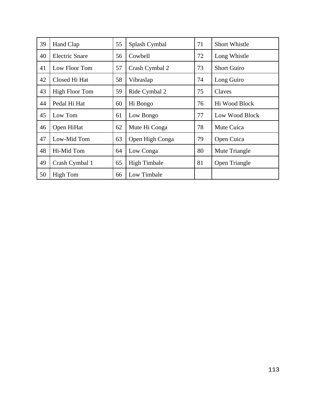| 39 | Hand Clap             | 55 | Splash Cymbal       | 71 | <b>Short Whistle</b> |
|----|-----------------------|----|---------------------|----|----------------------|
| 40 | <b>Electric Snare</b> | 56 | Cowbell             | 72 | Long Whistle         |
| 41 | Low Floor Tom         | 57 | Crash Cymbal 2      | 73 | <b>Short Guiro</b>   |
| 42 | Closed Hi Hat         | 58 | Vibraslap           | 74 | Long Guiro           |
| 43 | <b>High Floor Tom</b> | 59 | Ride Cymbal 2       | 75 | Claves               |
| 44 | Pedal Hi Hat          | 60 | Hi Bongo            | 76 | Hi Wood Block        |
| 45 | Low Tom               | 61 | Low Bongo           | 77 | Low Wood Block       |
| 46 | Open HiHat            | 62 | Mute Hi Conga       | 78 | Mute Cuica           |
| 47 | Low-Mid Tom           | 63 | Open High Conga     | 79 | Open Cuica           |
| 48 | Hi-Mid Tom            | 64 | Low Conga           | 80 | Mute Triangle        |
| 49 | Crash Cymbal 1        | 65 | <b>High Timbale</b> | 81 | Open Triangle        |
| 50 | <b>High Tom</b>       | 66 | Low Timbale         |    |                      |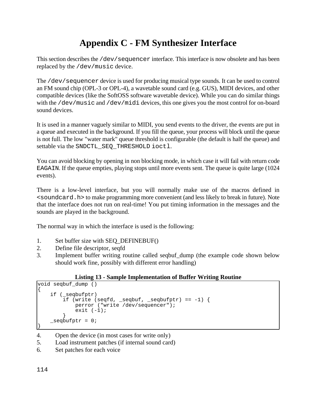# **Appendix C - FM Synthesizer Interface**

This section describes the /dev/sequencer interface. This interface is now obsolete and has been replaced by the /dev/music device.

The /dev/sequencer device is used for producing musical type sounds. It can be used to control an FM sound chip (OPL-3 or OPL-4), a wavetable sound card (e.g. GUS), MIDI devices, and other compatible devices (like the SoftOSS software wavetable device). While you can do similar things with the /dev/music and /dev/midi devices, this one gives you the most control for on-board sound devices.

It is used in a manner vaguely similar to MIDI, you send events to the driver, the events are put in a queue and executed in the background. If you fill the queue, your process will block until the queue is not full. The low "water mark" queue threshold is configurable (the default is half the queue) and settable via the SNDCTL SEQ THRESHOLD ioctl.

You can avoid blocking by opening in non blocking mode, in which case it will fail with return code EAGAIN. If the queue empties, playing stops until more events sent. The queue is quite large (1024 events).

There is a low-level interface, but you will normally make use of the macros defined in <soundcard.h> to make programming more convenient (and less likely to break in future). Note that the interface does not run on real-time! You put timing information in the messages and the sounds are played in the background.

The normal way in which the interface is used is the following:

- 1. Set buffer size with SEQ\_DEFINEBUF()
- 2. Define file descriptor, seqfd
- 3. Implement buffer writing routine called seqbuf\_dump (the example code shown below should work fine, possibly with different error handling)

#### **Listing 13 - Sample Implementation of Buffer Writing Routine**

```
void seqbuf_dump ()
{
    if (_seqbufptr)
       if (write (seqfd, _seqbuf, _seqbufptr) == -1) {
            perror ("write /dev/sequencer");
           exit (-1);
 }
   seqbuffer = 0;}
```
- 4. Open the device (in most cases for write only)
- 5. Load instrument patches (if internal sound card)
- 6. Set patches for each voice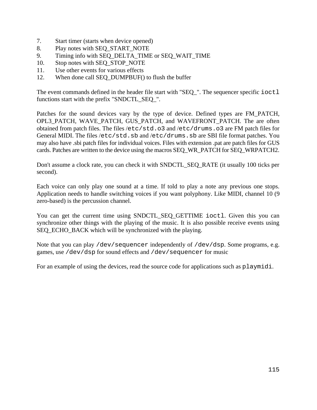- 7. Start timer (starts when device opened)
- 8. Play notes with SEQ\_START\_NOTE
- 9. Timing info with SEQ\_DELTA\_TIME or SEQ\_WAIT\_TIME
- 10. Stop notes with SEO STOP NOTE
- 11. Use other events for various effects
- 12. When done call SEQ\_DUMPBUF() to flush the buffer

The event commands defined in the header file start with "SEQ\_". The sequencer specific ioctl functions start with the prefix "SNDCTL\_SEQ\_".

Patches for the sound devices vary by the type of device. Defined types are FM\_PATCH, OPL3\_PATCH, WAVE\_PATCH, GUS\_PATCH, and WAVEFRONT\_PATCH. The are often obtained from patch files. The files /etc/std.o3 and /etc/drums.o3 are FM patch files for General MIDI. The files /etc/std.sb and /etc/drums.sb are SBI file format patches. You may also have .sbi patch files for individual voices. Files with extension .pat are patch files for GUS cards. Patches are written to the device using the macros SEQ\_WR\_PATCH for SEQ\_WRPATCH2.

Don't assume a clock rate, you can check it with SNDCTL\_SEQ\_RATE (it usually 100 ticks per second).

Each voice can only play one sound at a time. If told to play a note any previous one stops. Application needs to handle switching voices if you want polyphony. Like MIDI, channel 10 (9 zero-based) is the percussion channel.

You can get the current time using SNDCTL\_SEQ\_GETTIME ioctl. Given this you can synchronize other things with the playing of the music. It is also possible receive events using SEQ\_ECHO\_BACK which will be synchronized with the playing.

Note that you can play /dev/sequencer independently of /dev/dsp. Some programs, e.g. games, use /dev/dsp for sound effects and /dev/sequencer for music

For an example of using the devices, read the source code for applications such as playmidi.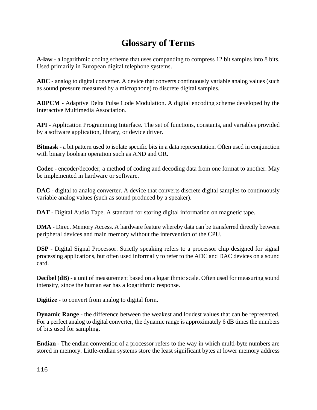## **Glossary of Terms**

**A-law** - a logarithmic coding scheme that uses companding to compress 12 bit samples into 8 bits. Used primarily in European digital telephone systems.

**ADC** - analog to digital converter. A device that converts continuously variable analog values (such as sound pressure measured by a microphone) to discrete digital samples.

**ADPCM** - Adaptive Delta Pulse Code Modulation. A digital encoding scheme developed by the Interactive Multimedia Association.

**API** - Application Programming Interface. The set of functions, constants, and variables provided by a software application, library, or device driver.

**Bitmask** - a bit pattern used to isolate specific bits in a data representation. Often used in conjunction with binary boolean operation such as AND and OR.

**Codec** - encoder/decoder; a method of coding and decoding data from one format to another. May be implemented in hardware or software.

**DAC** - digital to analog converter. A device that converts discrete digital samples to continuously variable analog values (such as sound produced by a speaker).

**DAT** - Digital Audio Tape. A standard for storing digital information on magnetic tape.

**DMA** - Direct Memory Access. A hardware feature whereby data can be transferred directly between peripheral devices and main memory without the intervention of the CPU.

**DSP** - Digital Signal Processor. Strictly speaking refers to a processor chip designed for signal processing applications, but often used informally to refer to the ADC and DAC devices on a sound card.

**Decibel (dB)** - a unit of measurement based on a logarithmic scale. Often used for measuring sound intensity, since the human ear has a logarithmic response.

**Digitize** - to convert from analog to digital form.

**Dynamic Range** - the difference between the weakest and loudest values that can be represented. For a perfect analog to digital converter, the dynamic range is approximately 6 dB times the numbers of bits used for sampling.

**Endian** - The endian convention of a processor refers to the way in which multi-byte numbers are stored in memory. Little-endian systems store the least significant bytes at lower memory address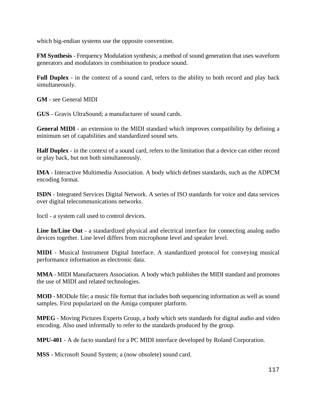which big-endian systems use the opposite convention.

**FM Synthesis** - Frequency Modulation synthesis; a method of sound generation that uses waveform generators and modulators in combination to produce sound.

**Full Duplex** - in the context of a sound card, refers to the ability to both record and play back simultaneously.

**GM** - see General MIDI

**GUS** - Gravis UltraSound; a manufacturer of sound cards.

**General MIDI** - an extension to the MIDI standard which improves compatibility by defining a minimum set of capabilities and standardized sound sets.

**Half Duplex** - in the context of a sound card, refers to the limitation that a device can either record or play back, but not both simultaneously.

**IMA** - Interactive Multimedia Association. A body which defines standards, such as the ADPCM encoding format.

**ISDN** - Integrated Services Digital Network. A series of ISO standards for voice and data services over digital telecommunications networks.

Ioctl - a system call used to control devices.

**Line In/Line Out** - a standardized physical and electrical interface for connecting analog audio devices together. Line level differs from microphone level and speaker level.

**MIDI** - Musical Instrument Digital Interface. A standardized protocol for conveying musical performance information as electronic data.

**MMA** - MIDI Manufacturers Association. A body which publishes the MIDI standard and promotes the use of MIDI and related technologies.

**MOD** - MODule file; a music file format that includes both sequencing information as well as sound samples. First popularized on the Amiga computer platform.

**MPEG** - Moving Pictures Experts Group, a body which sets standards for digital audio and video encoding. Also used informally to refer to the standards produced by the group.

**MPU-401** - A de facto standard for a PC MIDI interface developed by Roland Corporation.

**MSS** - Microsoft Sound System; a (now obsolete) sound card.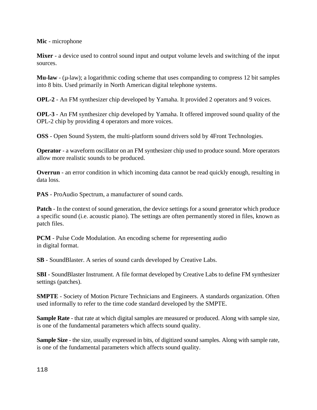**Mic** - microphone

**Mixer** - a device used to control sound input and output volume levels and switching of the input sources.

**Mu-law** - (µ-law); a logarithmic coding scheme that uses companding to compress 12 bit samples into 8 bits. Used primarily in North American digital telephone systems.

**OPL-2** - An FM synthesizer chip developed by Yamaha. It provided 2 operators and 9 voices.

**OPL-3** - An FM synthesizer chip developed by Yamaha. It offered improved sound quality of the OPL-2 chip by providing 4 operators and more voices.

**OSS** - Open Sound System, the multi-platform sound drivers sold by 4Front Technologies.

**Operator** - a waveform oscillator on an FM synthesizer chip used to produce sound. More operators allow more realistic sounds to be produced.

**Overrun** - an error condition in which incoming data cannot be read quickly enough, resulting in data loss.

**PAS** - ProAudio Spectrum, a manufacturer of sound cards.

**Patch** - In the context of sound generation, the device settings for a sound generator which produce a specific sound (i.e. acoustic piano). The settings are often permanently stored in files, known as patch files.

**PCM** - Pulse Code Modulation. An encoding scheme for representing audio in digital format.

**SB** - SoundBlaster. A series of sound cards developed by Creative Labs.

**SBI** - SoundBlaster Instrument. A file format developed by Creative Labs to define FM synthesizer settings (patches).

**SMPTE** - Society of Motion Picture Technicians and Engineers. A standards organization. Often used informally to refer to the time code standard developed by the SMPTE.

**Sample Rate** - that rate at which digital samples are measured or produced. Along with sample size, is one of the fundamental parameters which affects sound quality.

**Sample Size** - the size, usually expressed in bits, of digitized sound samples. Along with sample rate, is one of the fundamental parameters which affects sound quality.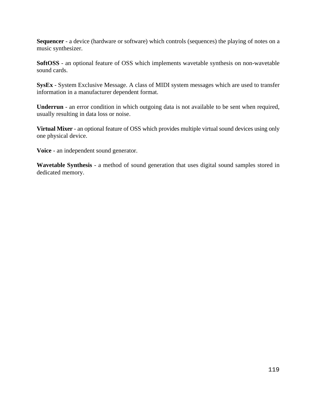**Sequencer** - a device (hardware or software) which controls (sequences) the playing of notes on a music synthesizer.

**SoftOSS** - an optional feature of OSS which implements wavetable synthesis on non-wavetable sound cards.

**SysEx** - System Exclusive Message. A class of MIDI system messages which are used to transfer information in a manufacturer dependent format.

**Underrun** - an error condition in which outgoing data is not available to be sent when required, usually resulting in data loss or noise.

**Virtual Mixer** - an optional feature of OSS which provides multiple virtual sound devices using only one physical device.

**Voice** - an independent sound generator.

**Wavetable Synthesis** - a method of sound generation that uses digital sound samples stored in dedicated memory.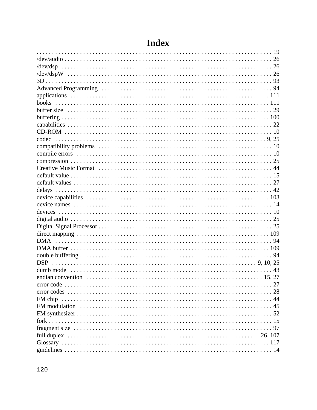| books |
|-------|
|       |
|       |
|       |
|       |
|       |
|       |
|       |
|       |
|       |
|       |
|       |
|       |
|       |
|       |
|       |
|       |
|       |
|       |
|       |
|       |
|       |
|       |
|       |
|       |
|       |
|       |
|       |
|       |
|       |
|       |
|       |
|       |
|       |
|       |

# Index